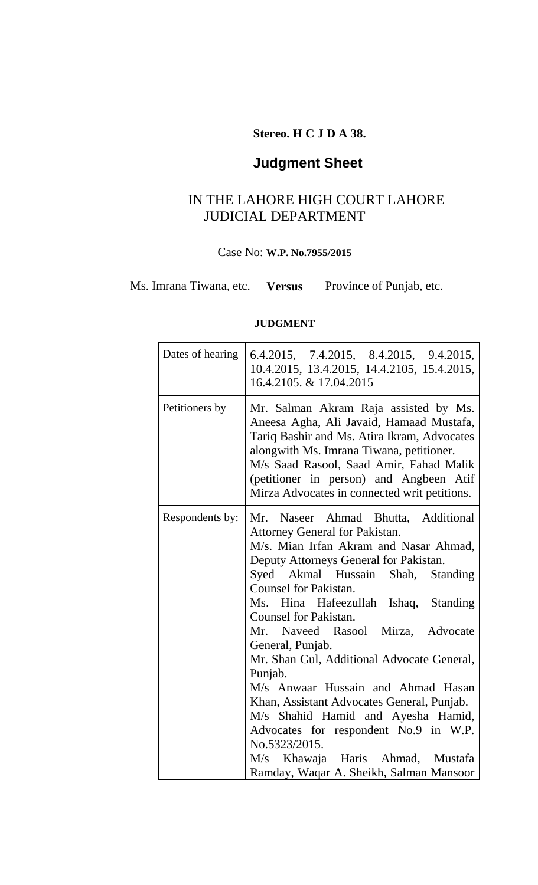### **Stereo. H C J D A 38.**

# **Judgment Sheet**

### IN THE LAHORE HIGH COURT LAHORE JUDICIAL DEPARTMENT

#### Case No: **W.P. No.7955/2015**

Ms. Imrana Tiwana, etc. **Versus** Province of Punjab, etc.

### **JUDGMENT**

| Dates of hearing | 6.4.2015, 7.4.2015, 8.4.2015, 9.4.2015,<br>10.4.2015, 13.4.2015, 14.4.2105, 15.4.2015,<br>16.4.2105. & 17.04.2015                                                                                                                                                                                                                                                                                                                                                                                                                                                                                                                                                                              |
|------------------|------------------------------------------------------------------------------------------------------------------------------------------------------------------------------------------------------------------------------------------------------------------------------------------------------------------------------------------------------------------------------------------------------------------------------------------------------------------------------------------------------------------------------------------------------------------------------------------------------------------------------------------------------------------------------------------------|
| Petitioners by   | Mr. Salman Akram Raja assisted by Ms.<br>Aneesa Agha, Ali Javaid, Hamaad Mustafa,<br>Tariq Bashir and Ms. Atira Ikram, Advocates<br>alongwith Ms. Imrana Tiwana, petitioner.<br>M/s Saad Rasool, Saad Amir, Fahad Malik<br>(petitioner in person) and Angbeen Atif<br>Mirza Advocates in connected writ petitions.                                                                                                                                                                                                                                                                                                                                                                             |
| Respondents by:  | Mr.<br>Naseer Ahmad Bhutta, Additional<br>Attorney General for Pakistan.<br>M/s. Mian Irfan Akram and Nasar Ahmad,<br>Deputy Attorneys General for Pakistan.<br>Syed Akmal Hussain Shah, Standing<br><b>Counsel for Pakistan.</b><br>Ms. Hina Hafeezullah Ishaq, Standing<br><b>Counsel for Pakistan.</b><br>Mr. Naveed Rasool Mirza, Advocate<br>General, Punjab.<br>Mr. Shan Gul, Additional Advocate General,<br>Punjab.<br>M/s Anwaar Hussain and Ahmad Hasan<br>Khan, Assistant Advocates General, Punjab.<br>M/s Shahid Hamid and Ayesha Hamid,<br>Advocates for respondent No.9 in W.P.<br>No.5323/2015.<br>M/s Khawaja Haris Ahmad, Mustafa<br>Ramday, Waqar A. Sheikh, Salman Mansoor |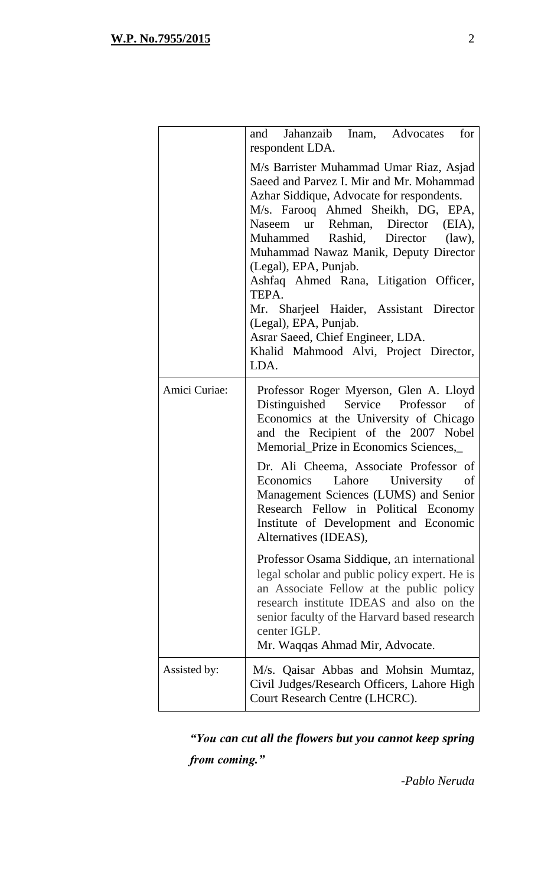|               | Jahanzaib Inam, Advocates<br>for<br>and<br>respondent LDA.                                                                                                                                                                                                                                                                                                                                                                                                                                                                      |
|---------------|---------------------------------------------------------------------------------------------------------------------------------------------------------------------------------------------------------------------------------------------------------------------------------------------------------------------------------------------------------------------------------------------------------------------------------------------------------------------------------------------------------------------------------|
|               | M/s Barrister Muhammad Umar Riaz, Asjad<br>Saeed and Parvez I. Mir and Mr. Mohammad<br>Azhar Siddique, Advocate for respondents.<br>M/s. Farooq Ahmed Sheikh, DG, EPA,<br>Naseem ur Rehman, Director (EIA),<br>Muhammed Rashid, Director (law),<br>Muhammad Nawaz Manik, Deputy Director<br>(Legal), EPA, Punjab.<br>Ashfaq Ahmed Rana, Litigation Officer,<br>TEPA.<br>Mr. Sharjeel Haider, Assistant Director<br>(Legal), EPA, Punjab.<br>Asrar Saeed, Chief Engineer, LDA.<br>Khalid Mahmood Alvi, Project Director,<br>LDA. |
| Amici Curiae: | Professor Roger Myerson, Glen A. Lloyd<br>Distinguished Service Professor of<br>Economics at the University of Chicago<br>and the Recipient of the 2007 Nobel<br>Memorial_Prize in Economics Sciences,                                                                                                                                                                                                                                                                                                                          |
|               | Dr. Ali Cheema, Associate Professor of<br>Lahore University of<br>Economics<br>Management Sciences (LUMS) and Senior<br>Research Fellow in Political Economy<br>Institute of Development and Economic<br>Alternatives (IDEAS),                                                                                                                                                                                                                                                                                                  |
|               | Professor Osama Siddique, an international<br>legal scholar and public policy expert. He is<br>an Associate Fellow at the public policy<br>research institute IDEAS and also on the<br>senior faculty of the Harvard based research<br>center IGLP.<br>Mr. Waqqas Ahmad Mir, Advocate.                                                                                                                                                                                                                                          |
| Assisted by:  | M/s. Qaisar Abbas and Mohsin Mumtaz,<br>Civil Judges/Research Officers, Lahore High<br>Court Research Centre (LHCRC).                                                                                                                                                                                                                                                                                                                                                                                                           |

*"You can cut all the flowers but you cannot keep spring from coming."* 

*-Pablo Neruda*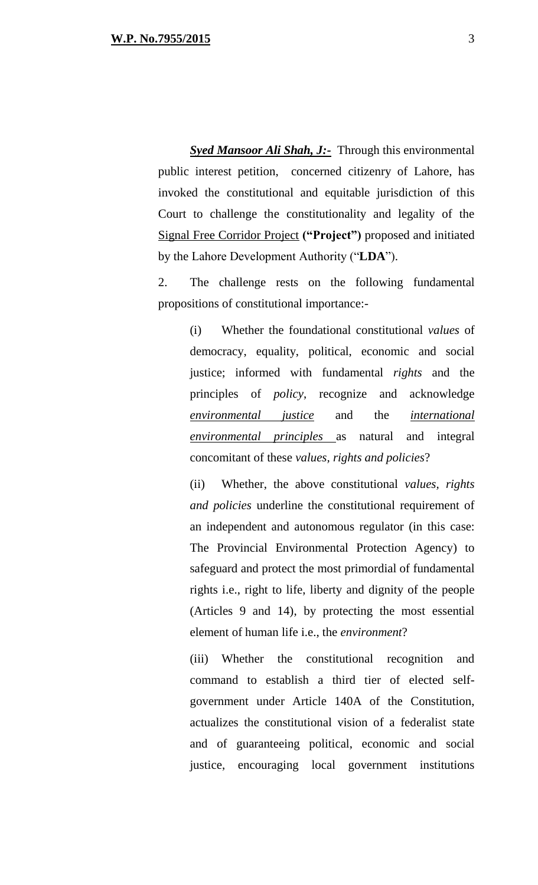*Syed Mansoor Ali Shah, J:-* Through this environmental public interest petition, concerned citizenry of Lahore, has invoked the constitutional and equitable jurisdiction of this Court to challenge the constitutionality and legality of the Signal Free Corridor Project **("Project")** proposed and initiated by the Lahore Development Authority ("**LDA**").

2. The challenge rests on the following fundamental propositions of constitutional importance:-

(i) Whether the foundational constitutional *values* of democracy, equality, political, economic and social justice; informed with fundamental *rights* and the principles of *policy*, recognize and acknowledge *environmental justice* and the *international environmental principles* as natural and integral concomitant of these *values, rights and policies*?

(ii) Whether, the above constitutional *values, rights and policies* underline the constitutional requirement of an independent and autonomous regulator (in this case: The Provincial Environmental Protection Agency) to safeguard and protect the most primordial of fundamental rights i.e., right to life, liberty and dignity of the people (Articles 9 and 14), by protecting the most essential element of human life i.e., the *environment*?

(iii) Whether the constitutional recognition and command to establish a third tier of elected selfgovernment under Article 140A of the Constitution, actualizes the constitutional vision of a federalist state and of guaranteeing political, economic and social justice, encouraging local government institutions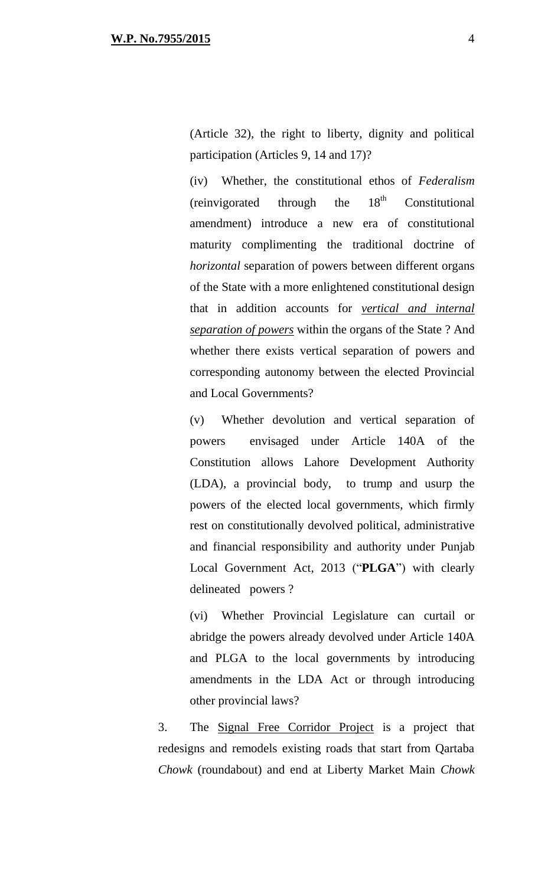(Article 32), the right to liberty, dignity and political participation (Articles 9, 14 and 17)?

(iv) Whether, the constitutional ethos of *Federalism* (reinvigorated through the  $18<sup>th</sup>$  Constitutional amendment) introduce a new era of constitutional maturity complimenting the traditional doctrine of *horizontal* separation of powers between different organs of the State with a more enlightened constitutional design that in addition accounts for *vertical and internal separation of powers* within the organs of the State ? And whether there exists vertical separation of powers and corresponding autonomy between the elected Provincial and Local Governments?

(v) Whether devolution and vertical separation of powers envisaged under Article 140A of the Constitution allows Lahore Development Authority (LDA), a provincial body, to trump and usurp the powers of the elected local governments, which firmly rest on constitutionally devolved political, administrative and financial responsibility and authority under Punjab Local Government Act, 2013 ("**PLGA**") with clearly delineated powers ?

(vi) Whether Provincial Legislature can curtail or abridge the powers already devolved under Article 140A and PLGA to the local governments by introducing amendments in the LDA Act or through introducing other provincial laws?

3. The Signal Free Corridor Project is a project that redesigns and remodels existing roads that start from Qartaba *Chowk* (roundabout) and end at Liberty Market Main *Chowk*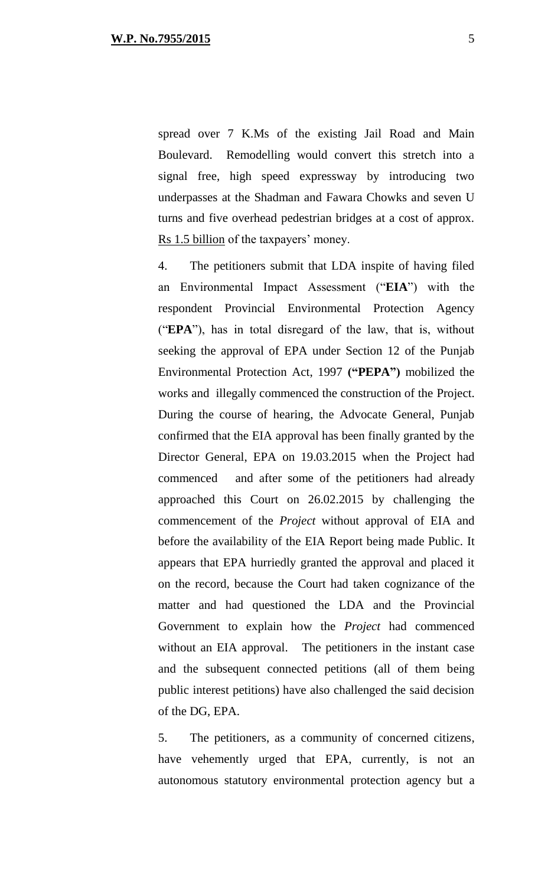spread over 7 K.Ms of the existing Jail Road and Main Boulevard. Remodelling would convert this stretch into a signal free, high speed expressway by introducing two underpasses at the Shadman and Fawara Chowks and seven U turns and five overhead pedestrian bridges at a cost of approx. Rs 1.5 billion of the taxpayers' money.

4. The petitioners submit that LDA inspite of having filed an Environmental Impact Assessment ("**EIA**") with the respondent Provincial Environmental Protection Agency ("**EPA**"), has in total disregard of the law, that is, without seeking the approval of EPA under Section 12 of the Punjab Environmental Protection Act, 1997 **("PEPA")** mobilized the works and illegally commenced the construction of the Project. During the course of hearing, the Advocate General, Punjab confirmed that the EIA approval has been finally granted by the Director General, EPA on 19.03.2015 when the Project had commenced and after some of the petitioners had already approached this Court on 26.02.2015 by challenging the commencement of the *Project* without approval of EIA and before the availability of the EIA Report being made Public*.* It appears that EPA hurriedly granted the approval and placed it on the record, because the Court had taken cognizance of the matter and had questioned the LDA and the Provincial Government to explain how the *Project* had commenced without an EIA approval. The petitioners in the instant case and the subsequent connected petitions (all of them being public interest petitions) have also challenged the said decision of the DG, EPA.

5. The petitioners, as a community of concerned citizens, have vehemently urged that EPA, currently, is not an autonomous statutory environmental protection agency but a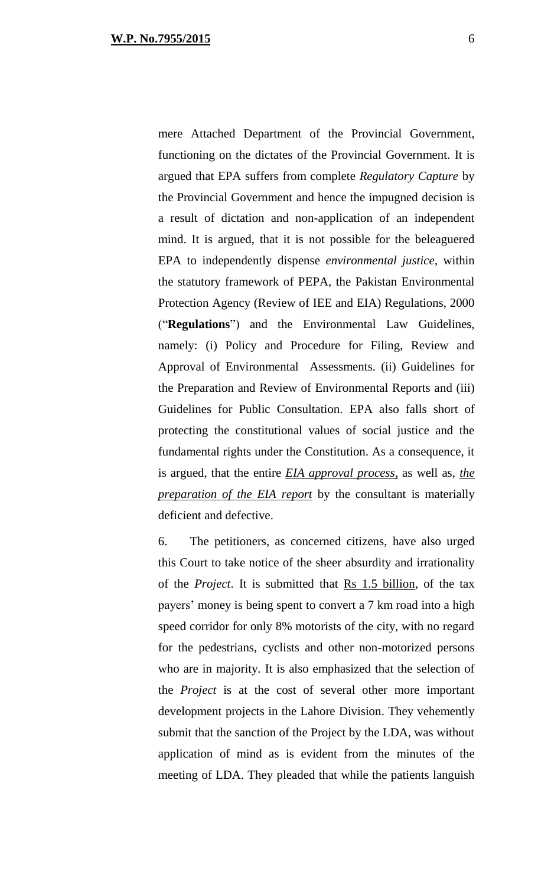mere Attached Department of the Provincial Government, functioning on the dictates of the Provincial Government. It is argued that EPA suffers from complete *Regulatory Capture* by the Provincial Government and hence the impugned decision is a result of dictation and non-application of an independent mind. It is argued, that it is not possible for the beleaguered EPA to independently dispense *environmental justice*, within the statutory framework of PEPA, the Pakistan Environmental Protection Agency (Review of IEE and EIA) Regulations, 2000 ("**Regulations**") and the Environmental Law Guidelines, namely: (i) Policy and Procedure for Filing, Review and Approval of Environmental Assessments. (ii) Guidelines for the Preparation and Review of Environmental Reports and (iii) Guidelines for Public Consultation. EPA also falls short of protecting the constitutional values of social justice and the fundamental rights under the Constitution. As a consequence, it is argued, that the entire *EIA approval process,* as well as, *the preparation of the EIA report* by the consultant is materially deficient and defective.

6. The petitioners, as concerned citizens, have also urged this Court to take notice of the sheer absurdity and irrationality of the *Project*. It is submitted that Rs 1.5 billion, of the tax payers' money is being spent to convert a 7 km road into a high speed corridor for only 8% motorists of the city, with no regard for the pedestrians, cyclists and other non-motorized persons who are in majority. It is also emphasized that the selection of the *Project* is at the cost of several other more important development projects in the Lahore Division. They vehemently submit that the sanction of the Project by the LDA, was without application of mind as is evident from the minutes of the meeting of LDA. They pleaded that while the patients languish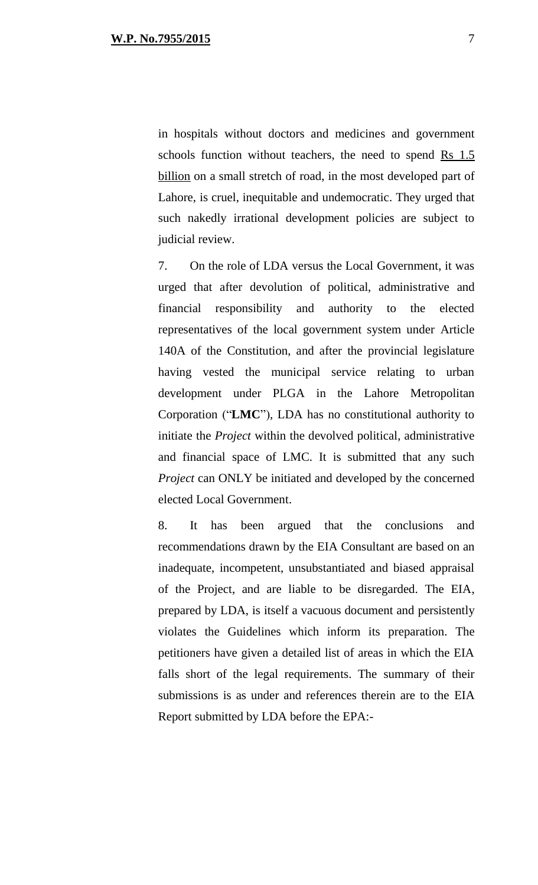in hospitals without doctors and medicines and government schools function without teachers, the need to spend  $\overline{Rs}$  1.5 billion on a small stretch of road, in the most developed part of Lahore, is cruel, inequitable and undemocratic. They urged that such nakedly irrational development policies are subject to judicial review.

7. On the role of LDA versus the Local Government, it was urged that after devolution of political, administrative and financial responsibility and authority to the elected representatives of the local government system under Article 140A of the Constitution, and after the provincial legislature having vested the municipal service relating to urban development under PLGA in the Lahore Metropolitan Corporation ("**LMC**"), LDA has no constitutional authority to initiate the *Project* within the devolved political, administrative and financial space of LMC. It is submitted that any such *Project* can ONLY be initiated and developed by the concerned elected Local Government.

8. It has been argued that the conclusions and recommendations drawn by the EIA Consultant are based on an inadequate, incompetent, unsubstantiated and biased appraisal of the Project, and are liable to be disregarded. The EIA, prepared by LDA, is itself a vacuous document and persistently violates the Guidelines which inform its preparation. The petitioners have given a detailed list of areas in which the EIA falls short of the legal requirements. The summary of their submissions is as under and references therein are to the EIA Report submitted by LDA before the EPA:-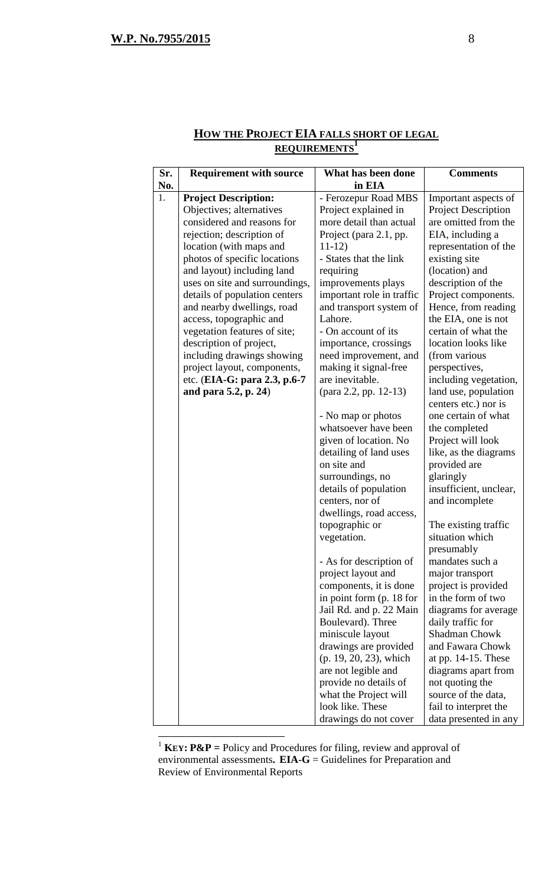$\overline{a}$ 

| Sr. | <b>Requirement with source</b> | What has been done                        | <b>Comments</b>                     |
|-----|--------------------------------|-------------------------------------------|-------------------------------------|
| No. |                                | in EIA                                    |                                     |
| 1.  | <b>Project Description:</b>    | - Ferozepur Road MBS                      | Important aspects of                |
|     | Objectives; alternatives       | Project explained in                      | <b>Project Description</b>          |
|     | considered and reasons for     | more detail than actual                   | are omitted from the                |
|     | rejection; description of      | Project (para 2.1, pp.                    | EIA, including a                    |
|     | location (with maps and        | $11-12)$                                  | representation of the               |
|     | photos of specific locations   | - States that the link                    | existing site                       |
|     | and layout) including land     | requiring                                 | (location) and                      |
|     | uses on site and surroundings, | improvements plays                        | description of the                  |
|     | details of population centers  | important role in traffic                 | Project components.                 |
|     | and nearby dwellings, road     | and transport system of                   | Hence, from reading                 |
|     | access, topographic and        | Lahore.                                   | the EIA, one is not                 |
|     | vegetation features of site;   | - On account of its                       | certain of what the                 |
|     | description of project,        | importance, crossings                     | location looks like                 |
|     | including drawings showing     | need improvement, and                     | (from various                       |
|     | project layout, components,    | making it signal-free                     | perspectives,                       |
|     | etc. (EIA-G: para 2.3, p.6-7   | are inevitable.                           | including vegetation,               |
|     | and para 5.2, p. 24)           | (para 2.2, pp. 12-13)                     | land use, population                |
|     |                                |                                           | centers etc.) nor is                |
|     |                                | - No map or photos                        | one certain of what                 |
|     |                                | whatsoever have been                      | the completed                       |
|     |                                | given of location. No                     | Project will look                   |
|     |                                | detailing of land uses<br>on site and     | like, as the diagrams               |
|     |                                |                                           | provided are                        |
|     |                                | surroundings, no<br>details of population | glaringly<br>insufficient, unclear, |
|     |                                | centers, nor of                           | and incomplete                      |
|     |                                | dwellings, road access,                   |                                     |
|     |                                | topographic or                            | The existing traffic                |
|     |                                | vegetation.                               | situation which                     |
|     |                                |                                           | presumably                          |
|     |                                | - As for description of                   | mandates such a                     |
|     |                                | project layout and                        | major transport                     |
|     |                                | components, it is done                    | project is provided                 |
|     |                                | in point form (p. 18 for                  | in the form of two                  |
|     |                                | Jail Rd. and p. 22 Main                   | diagrams for average                |
|     |                                | Boulevard). Three                         | daily traffic for                   |
|     |                                | miniscule layout                          | <b>Shadman Chowk</b>                |
|     |                                | drawings are provided                     | and Fawara Chowk                    |
|     |                                | (p. 19, 20, 23), which                    | at pp. $14-15$ . These              |
|     |                                | are not legible and                       | diagrams apart from                 |
|     |                                | provide no details of                     | not quoting the                     |
|     |                                | what the Project will                     | source of the data,                 |
|     |                                | look like. These                          | fail to interpret the               |
|     |                                | drawings do not cover                     | data presented in any               |

#### **HOW THE PROJECT EIA FALLS SHORT OF LEGAL REQUIREMENTS<sup>1</sup>**

<sup>1</sup> **KEY**:  $P\&P =$  Policy and Procedures for filing, review and approval of environmental assessments**. EIA-G** = Guidelines for Preparation and Review of Environmental Reports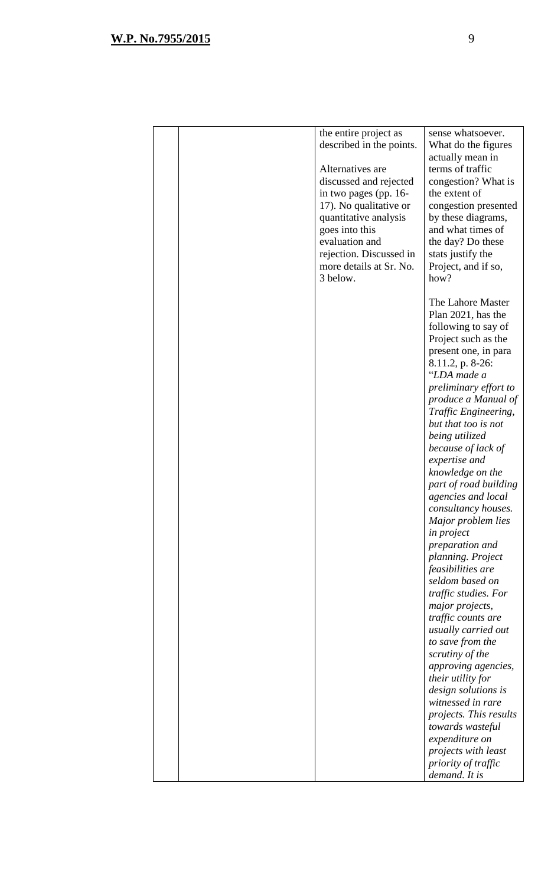|  | the entire project as            | sense whatsoever.                         |
|--|----------------------------------|-------------------------------------------|
|  | described in the points.         | What do the figures                       |
|  |                                  | actually mean in                          |
|  | Alternatives are                 | terms of traffic                          |
|  | discussed and rejected           | congestion? What is                       |
|  | in two pages (pp. 16-            | the extent of                             |
|  | 17). No qualitative or           | congestion presented                      |
|  | quantitative analysis            | by these diagrams,                        |
|  | goes into this<br>evaluation and | and what times of                         |
|  | rejection. Discussed in          | the day? Do these<br>stats justify the    |
|  | more details at Sr. No.          | Project, and if so,                       |
|  | 3 below.                         | how?                                      |
|  |                                  |                                           |
|  |                                  | The Lahore Master                         |
|  |                                  | Plan 2021, has the                        |
|  |                                  | following to say of                       |
|  |                                  | Project such as the                       |
|  |                                  | present one, in para                      |
|  |                                  | 8.11.2, p. 8-26:                          |
|  |                                  | "LDA made a                               |
|  |                                  | preliminary effort to                     |
|  |                                  | produce a Manual of                       |
|  |                                  | Traffic Engineering,                      |
|  |                                  | but that too is not                       |
|  |                                  | being utilized                            |
|  |                                  | because of lack of<br>expertise and       |
|  |                                  | knowledge on the                          |
|  |                                  | part of road building                     |
|  |                                  | agencies and local                        |
|  |                                  | consultancy houses.                       |
|  |                                  | Major problem lies                        |
|  |                                  | in project                                |
|  |                                  | preparation and                           |
|  |                                  | planning. Project                         |
|  |                                  | feasibilities are                         |
|  |                                  | seldom based on                           |
|  |                                  | traffic studies. For                      |
|  |                                  | major projects,                           |
|  |                                  | traffic counts are<br>usually carried out |
|  |                                  | to save from the                          |
|  |                                  | scrutiny of the                           |
|  |                                  | approving agencies,                       |
|  |                                  | their utility for                         |
|  |                                  | design solutions is                       |
|  |                                  | witnessed in rare                         |
|  |                                  | projects. This results                    |
|  |                                  | towards wasteful                          |
|  |                                  | expenditure on                            |
|  |                                  | projects with least                       |
|  |                                  | priority of traffic                       |
|  |                                  | demand. It is                             |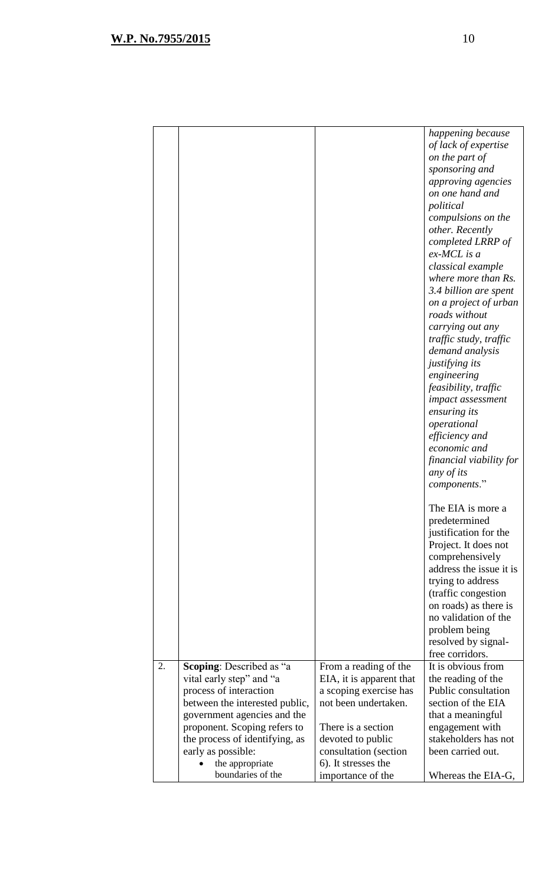|    |                                 |                          | happening because       |
|----|---------------------------------|--------------------------|-------------------------|
|    |                                 |                          | of lack of expertise    |
|    |                                 |                          | on the part of          |
|    |                                 |                          | sponsoring and          |
|    |                                 |                          | approving agencies      |
|    |                                 |                          | on one hand and         |
|    |                                 |                          | political               |
|    |                                 |                          | compulsions on the      |
|    |                                 |                          | other. Recently         |
|    |                                 |                          | completed LRRP of       |
|    |                                 |                          | $ex-MCL$ is a           |
|    |                                 |                          | classical example       |
|    |                                 |                          | where more than Rs.     |
|    |                                 |                          | 3.4 billion are spent   |
|    |                                 |                          | on a project of urban   |
|    |                                 |                          | roads without           |
|    |                                 |                          | carrying out any        |
|    |                                 |                          | traffic study, traffic  |
|    |                                 |                          | demand analysis         |
|    |                                 |                          | justifying its          |
|    |                                 |                          | engineering             |
|    |                                 |                          | feasibility, traffic    |
|    |                                 |                          | impact assessment       |
|    |                                 |                          | ensuring its            |
|    |                                 |                          | operational             |
|    |                                 |                          | efficiency and          |
|    |                                 |                          | economic and            |
|    |                                 |                          |                         |
|    |                                 |                          | financial viability for |
|    |                                 |                          | any of its              |
|    |                                 |                          | components."            |
|    |                                 |                          |                         |
|    |                                 |                          | The EIA is more a       |
|    |                                 |                          | predetermined           |
|    |                                 |                          | justification for the   |
|    |                                 |                          | Project. It does not    |
|    |                                 |                          | comprehensively         |
|    |                                 |                          | address the issue it is |
|    |                                 |                          | trying to address       |
|    |                                 |                          | (traffic congestion     |
|    |                                 |                          | on roads) as there is   |
|    |                                 |                          | no validation of the    |
|    |                                 |                          | problem being           |
|    |                                 |                          | resolved by signal-     |
|    |                                 |                          | free corridors.         |
| 2. | <b>Scoping:</b> Described as "a | From a reading of the    | It is obvious from      |
|    | vital early step" and "a        | EIA, it is apparent that | the reading of the      |
|    | process of interaction          | a scoping exercise has   | Public consultation     |
|    | between the interested public,  | not been undertaken.     | section of the EIA      |
|    | government agencies and the     |                          | that a meaningful       |
|    | proponent. Scoping refers to    | There is a section       | engagement with         |
|    | the process of identifying, as  | devoted to public        | stakeholders has not    |
|    | early as possible:              | consultation (section    | been carried out.       |
|    | the appropriate                 | 6). It stresses the      |                         |
|    | boundaries of the               | importance of the        | Whereas the EIA-G,      |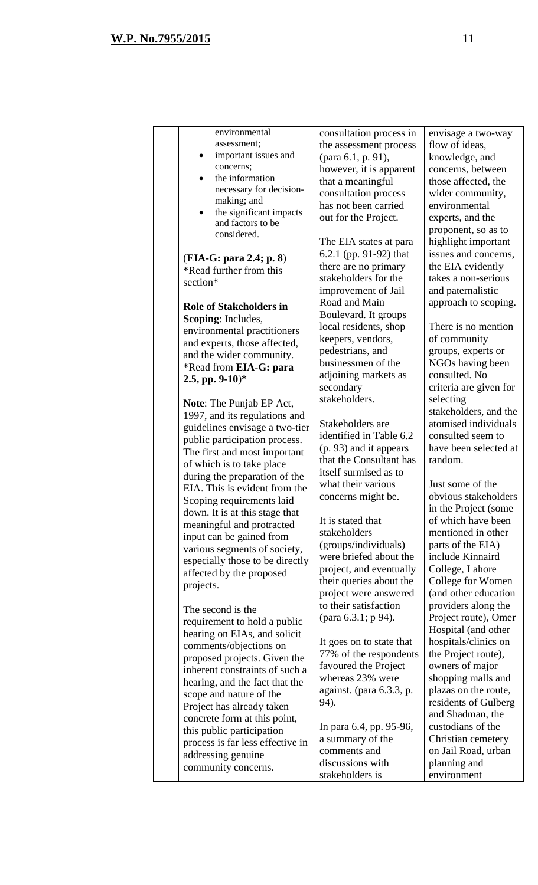| environmental                                                  | consultation process in  | envisage a two-way     |
|----------------------------------------------------------------|--------------------------|------------------------|
| assessment;                                                    | the assessment process   | flow of ideas,         |
| important issues and<br>٠                                      | (para 6.1, p. 91),       | knowledge, and         |
| concerns;                                                      | however, it is apparent  | concerns, between      |
| the information<br>$\bullet$                                   | that a meaningful        | those affected, the    |
| necessary for decision-                                        | consultation process     | wider community,       |
| making; and                                                    | has not been carried     | environmental          |
| the significant impacts<br>$\bullet$                           | out for the Project.     | experts, and the       |
| and factors to be                                              |                          | proponent, so as to    |
| considered.                                                    | The EIA states at para   | highlight important    |
|                                                                | 6.2.1 (pp. 91-92) that   | issues and concerns,   |
| (EIA-G: para 2.4; p. 8)                                        | there are no primary     | the EIA evidently      |
| *Read further from this                                        | stakeholders for the     | takes a non-serious    |
| section*                                                       | improvement of Jail      | and paternalistic      |
|                                                                | Road and Main            | approach to scoping.   |
| <b>Role of Stakeholders in</b>                                 | Boulevard. It groups     |                        |
| <b>Scoping:</b> Includes,                                      | local residents, shop    | There is no mention    |
| environmental practitioners                                    | keepers, vendors,        | of community           |
| and experts, those affected,                                   | pedestrians, and         | groups, experts or     |
| and the wider community.                                       | businessmen of the       | NGOs having been       |
| *Read from EIA-G: para                                         | adjoining markets as     | consulted. No          |
| 2.5, pp. $9-10$ <sup>*</sup>                                   | secondary                | criteria are given for |
|                                                                | stakeholders.            | selecting              |
| <b>Note:</b> The Punjab EP Act,                                |                          | stakeholders, and the  |
| 1997, and its regulations and                                  | Stakeholders are         | atomised individuals   |
| guidelines envisage a two-tier                                 | identified in Table 6.2  | consulted seem to      |
| public participation process.                                  | (p. 93) and it appears   | have been selected at  |
| The first and most important                                   | that the Consultant has  | random.                |
| of which is to take place                                      | itself surmised as to    |                        |
| during the preparation of the<br>EIA. This is evident from the | what their various       | Just some of the       |
| Scoping requirements laid                                      | concerns might be.       | obvious stakeholders   |
| down. It is at this stage that                                 |                          | in the Project (some   |
| meaningful and protracted                                      | It is stated that        | of which have been     |
| input can be gained from                                       | stakeholders             | mentioned in other     |
| various segments of society,                                   | (groups/individuals)     | parts of the EIA)      |
| especially those to be directly                                | were briefed about the   | include Kinnaird       |
| affected by the proposed                                       | project, and eventually  | College, Lahore        |
| projects.                                                      | their queries about the  | College for Women      |
|                                                                | project were answered    | (and other education   |
| The second is the                                              | to their satisfaction    | providers along the    |
| requirement to hold a public                                   | (para 6.3.1; p 94).      | Project route), Omer   |
| hearing on EIAs, and solicit                                   |                          | Hospital (and other    |
| comments/objections on                                         | It goes on to state that | hospitals/clinics on   |
| proposed projects. Given the                                   | 77% of the respondents   | the Project route),    |
| inherent constraints of such a                                 | favoured the Project     | owners of major        |
| hearing, and the fact that the                                 | whereas 23% were         | shopping malls and     |
| scope and nature of the                                        | against. (para 6.3.3, p. | plazas on the route,   |
| Project has already taken                                      | 94).                     | residents of Gulberg   |
| concrete form at this point,                                   |                          | and Shadman, the       |
| this public participation                                      | In para 6.4, pp. 95-96,  | custodians of the      |
| process is far less effective in                               | a summary of the         | Christian cemetery     |
| addressing genuine                                             | comments and             | on Jail Road, urban    |
| community concerns.                                            | discussions with         | planning and           |
|                                                                | stakeholders is          | environment            |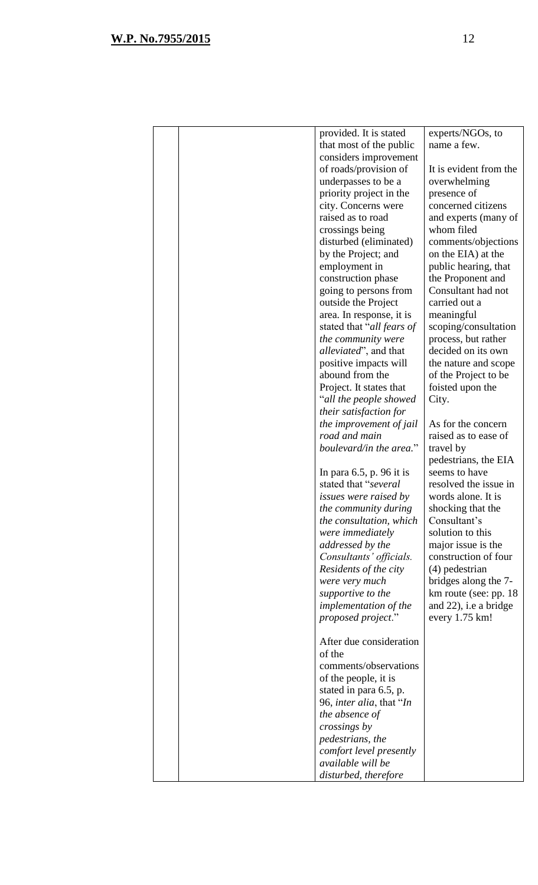|  | provided. It is stated           | experts/NGOs, to       |
|--|----------------------------------|------------------------|
|  | that most of the public          | name a few.            |
|  | considers improvement            |                        |
|  | of roads/provision of            | It is evident from the |
|  | underpasses to be a              | overwhelming           |
|  | priority project in the          | presence of            |
|  | city. Concerns were              | concerned citizens     |
|  | raised as to road                | and experts (many of   |
|  | crossings being                  | whom filed             |
|  | disturbed (eliminated)           | comments/objections    |
|  | by the Project; and              | on the EIA) at the     |
|  | employment in                    | public hearing, that   |
|  | construction phase               | the Proponent and      |
|  | going to persons from            | Consultant had not     |
|  | outside the Project              | carried out a          |
|  | area. In response, it is         | meaningful             |
|  | stated that "all fears of        | scoping/consultation   |
|  | the community were               | process, but rather    |
|  | <i>alleviated</i> ", and that    | decided on its own     |
|  | positive impacts will            | the nature and scope   |
|  | abound from the                  | of the Project to be   |
|  | Project. It states that          | foisted upon the       |
|  | "all the people showed           | City.                  |
|  | their satisfaction for           |                        |
|  | the improvement of jail          | As for the concern     |
|  | road and main                    | raised as to ease of   |
|  | boulevard/in the area."          | travel by              |
|  |                                  | pedestrians, the EIA   |
|  | In para $6.5$ , p. 96 it is      | seems to have          |
|  | stated that "several             | resolved the issue in  |
|  | <i>issues were raised by</i>     | words alone. It is     |
|  | the community during             | shocking that the      |
|  | the consultation, which          | Consultant's           |
|  | were immediately                 | solution to this       |
|  | addressed by the                 | major issue is the     |
|  | Consultants' officials.          | construction of four   |
|  | Residents of the city            | $(4)$ pedestrian       |
|  | were very much                   | bridges along the 7-   |
|  | supportive to the                | km route (see: pp. 18) |
|  | <i>implementation of the</i>     | and 22), i.e a bridge  |
|  | proposed project."               | every 1.75 km!         |
|  |                                  |                        |
|  | After due consideration          |                        |
|  | of the                           |                        |
|  | comments/observations            |                        |
|  | of the people, it is             |                        |
|  | stated in para 6.5, p.           |                        |
|  | 96, <i>inter alia</i> , that "In |                        |
|  | the absence of                   |                        |
|  | crossings by                     |                        |
|  | pedestrians, the                 |                        |
|  | comfort level presently          |                        |
|  | available will be                |                        |
|  | disturbed, therefore             |                        |
|  |                                  |                        |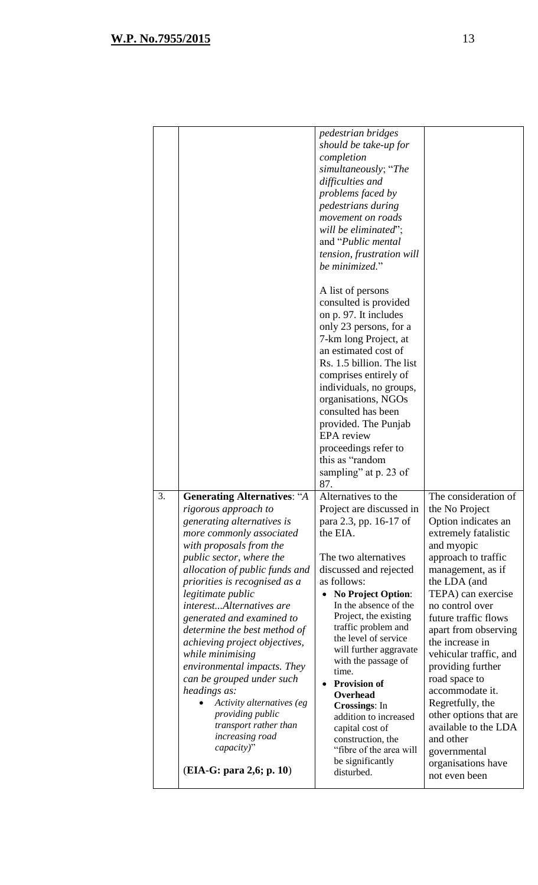|    |                                                                                                                                                                                                                                                                                                                                                                                                                                                                                                                                                                                                          | pedestrian bridges<br>should be take-up for<br>completion<br>simultaneously; "The<br>difficulties and<br>problems faced by<br>pedestrians during<br>movement on roads<br>will be eliminated";<br>and " <i>Public mental</i><br>tension, frustration will<br>be minimized."<br>A list of persons                                                                                                                                                                                                                                                     |                                                                                                                                                                                                                                                                                                                                                                                                                                                                                         |
|----|----------------------------------------------------------------------------------------------------------------------------------------------------------------------------------------------------------------------------------------------------------------------------------------------------------------------------------------------------------------------------------------------------------------------------------------------------------------------------------------------------------------------------------------------------------------------------------------------------------|-----------------------------------------------------------------------------------------------------------------------------------------------------------------------------------------------------------------------------------------------------------------------------------------------------------------------------------------------------------------------------------------------------------------------------------------------------------------------------------------------------------------------------------------------------|-----------------------------------------------------------------------------------------------------------------------------------------------------------------------------------------------------------------------------------------------------------------------------------------------------------------------------------------------------------------------------------------------------------------------------------------------------------------------------------------|
|    |                                                                                                                                                                                                                                                                                                                                                                                                                                                                                                                                                                                                          | consulted is provided<br>on p. 97. It includes<br>only 23 persons, for a<br>7-km long Project, at<br>an estimated cost of<br>Rs. 1.5 billion. The list<br>comprises entirely of<br>individuals, no groups,<br>organisations, NGOs<br>consulted has been<br>provided. The Punjab<br><b>EPA</b> review                                                                                                                                                                                                                                                |                                                                                                                                                                                                                                                                                                                                                                                                                                                                                         |
|    |                                                                                                                                                                                                                                                                                                                                                                                                                                                                                                                                                                                                          | proceedings refer to<br>this as "random<br>sampling" at p. 23 of<br>87.                                                                                                                                                                                                                                                                                                                                                                                                                                                                             |                                                                                                                                                                                                                                                                                                                                                                                                                                                                                         |
| 3. | <b>Generating Alternatives: "A</b><br>rigorous approach to<br>generating alternatives is<br>more commonly associated<br>with proposals from the<br>public sector, where the<br>allocation of public funds and<br>priorities is recognised as a<br>legitimate public<br>interestAlternatives are<br>generated and examined to<br>determine the best method of<br>achieving project objectives,<br>while minimising<br>environmental impacts. They<br>can be grouped under such<br>headings as:<br>Activity alternatives (eg<br>providing public<br>transport rather than<br>increasing road<br>capacity)" | Alternatives to the<br>Project are discussed in<br>para 2.3, pp. 16-17 of<br>the EIA.<br>The two alternatives<br>discussed and rejected<br>as follows:<br><b>No Project Option:</b><br>$\bullet$<br>In the absence of the<br>Project, the existing<br>traffic problem and<br>the level of service<br>will further aggravate<br>with the passage of<br>time.<br><b>Provision of</b><br>$\bullet$<br>Overhead<br><b>Crossings:</b> In<br>addition to increased<br>capital cost of<br>construction, the<br>"fibre of the area will<br>be significantly | The consideration of<br>the No Project<br>Option indicates an<br>extremely fatalistic<br>and myopic<br>approach to traffic<br>management, as if<br>the LDA (and<br>TEPA) can exercise<br>no control over<br>future traffic flows<br>apart from observing<br>the increase in<br>vehicular traffic, and<br>providing further<br>road space to<br>accommodate it.<br>Regretfully, the<br>other options that are<br>available to the LDA<br>and other<br>governmental<br>organisations have |
|    | (EIA-G: para 2,6; p. 10)                                                                                                                                                                                                                                                                                                                                                                                                                                                                                                                                                                                 | disturbed.                                                                                                                                                                                                                                                                                                                                                                                                                                                                                                                                          | not even been                                                                                                                                                                                                                                                                                                                                                                                                                                                                           |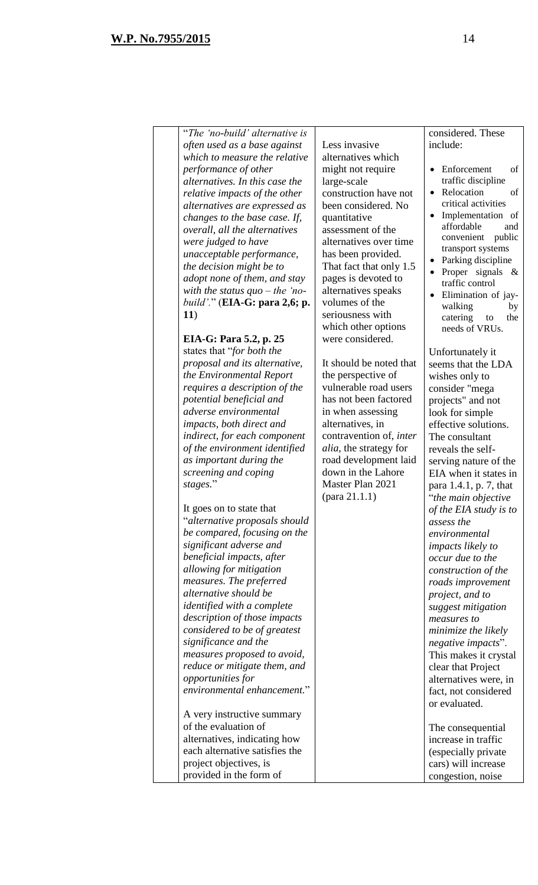"*The 'no-build' alternative is often used as a base against which to measure the relative performance of other alternatives. In this case the relative impacts of the other alternatives are expressed as changes to the base case. If, overall, all the alternatives were judged to have unacceptable performance, the decision might be to adopt none of them, and stay with the status quo – the 'nobuild'.*" (**EIA-G: para 2,6; p. 11**) **EIA-G: Para 5.2, p. 25** states that "*for both the proposal and its alternative, the Environmental Report requires a description of the potential beneficial and adverse environmental impacts, both direct and indirect, for each component of the environment identified as important during the screening and coping stages.*" It goes on to state that "*alternative proposals should be compared, focusing on the significant adverse and beneficial impacts, after allowing for mitigation measures. The preferred alternative should be identified with a complete description of those impacts considered to be of greatest significance and the measures proposed to avoid, reduce or mitigate them, and opportunities for environmental enhancement.*" A very instructive summary of the evaluation of alternatives, indicating how each alternative satisfies the project objectives, is provided in the form of Less invasive alternatives which might not require large-scale construction have not been considered. No quantitative assessment of the alternatives over time has been provided. That fact that only 1.5 pages is devoted to alternatives speaks volumes of the seriousness with which other options were considered. It should be noted that the perspective of vulnerable road users has not been factored in when assessing alternatives, in contravention of, *inter alia,* the strategy for road development laid down in the Lahore Master Plan 2021 (para 21.1.1) considered. These include: Enforcement of traffic discipline Relocation of critical activities Implementation of affordable and convenient public transport systems Parking discipline Proper signals & traffic control Elimination of jaywalking by catering to the needs of VRUs. Unfortunately it seems that the LDA wishes only to consider "mega projects" and not look for simple effective solutions. The consultant reveals the selfserving nature of the EIA when it states in para 1.4.1, p. 7, that "*the main objective of the EIA study is to assess the environmental impacts likely to occur due to the construction of the roads improvement project, and to suggest mitigation measures to minimize the likely negative impacts*". This makes it crystal clear that Project alternatives were, in fact, not considered or evaluated. The consequential increase in traffic (especially private cars) will increase congestion, noise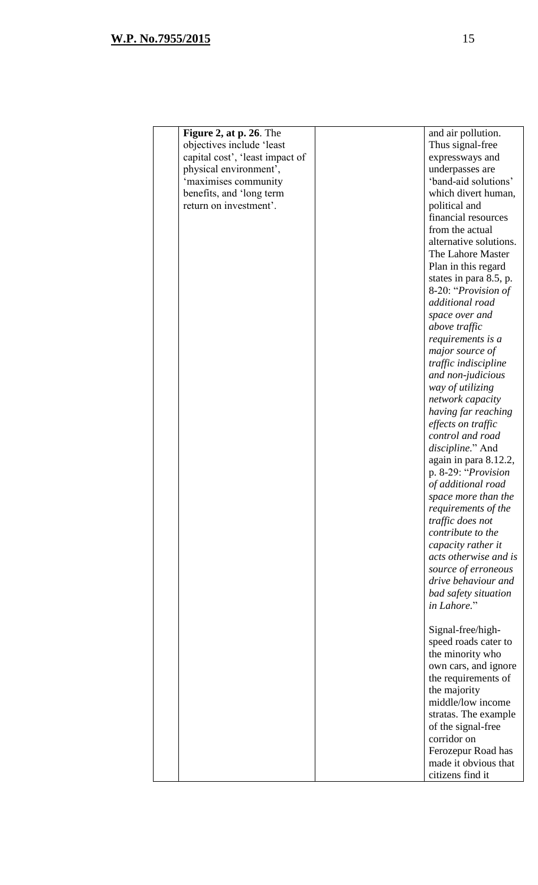| Figure 2, at p. 26. The         | and air pollution.                         |
|---------------------------------|--------------------------------------------|
| objectives include 'least       | Thus signal-free                           |
| capital cost', 'least impact of | expressways and                            |
| physical environment',          | underpasses are                            |
| 'maximises community            | 'band-aid solutions'                       |
| benefits, and 'long term        | which divert human,                        |
| return on investment'.          | political and                              |
|                                 | financial resources                        |
|                                 | from the actual                            |
|                                 | alternative solutions.                     |
|                                 | The Lahore Master                          |
|                                 | Plan in this regard                        |
|                                 | states in para 8.5, p.                     |
|                                 | 8-20: "Provision of                        |
|                                 | additional road                            |
|                                 | space over and                             |
|                                 | above traffic                              |
|                                 | requirements is a                          |
|                                 | major source of                            |
|                                 | traffic indiscipline                       |
|                                 | and non-judicious                          |
|                                 | way of utilizing                           |
|                                 | network capacity                           |
|                                 | having far reaching                        |
|                                 | effects on traffic                         |
|                                 | control and road                           |
|                                 | discipline." And                           |
|                                 | again in para 8.12.2,                      |
|                                 | p. 8-29: "Provision                        |
|                                 | of additional road                         |
|                                 | space more than the                        |
|                                 | requirements of the                        |
|                                 | traffic does not                           |
|                                 | contribute to the                          |
|                                 | capacity rather it                         |
|                                 | acts otherwise and is                      |
|                                 |                                            |
|                                 | source of erroneous<br>drive behaviour and |
|                                 |                                            |
|                                 | bad safety situation                       |
|                                 | in Lahore."                                |
|                                 |                                            |
|                                 | Signal-free/high-                          |
|                                 | speed roads cater to                       |
|                                 | the minority who                           |
|                                 | own cars, and ignore                       |
|                                 | the requirements of                        |
|                                 | the majority                               |
|                                 | middle/low income                          |
|                                 | stratas. The example                       |
|                                 | of the signal-free                         |
|                                 | corridor on                                |
|                                 | Ferozepur Road has                         |
|                                 | made it obvious that                       |
|                                 | citizens find it                           |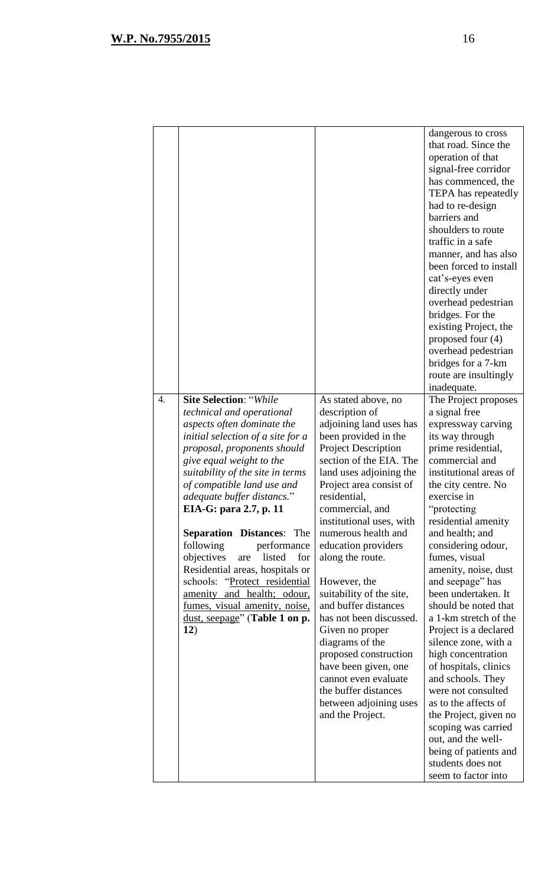| $\overline{4}$ . | <b>Site Selection: "While</b>                                         | As stated above, no                                | dangerous to cross<br>that road. Since the<br>operation of that<br>signal-free corridor<br>has commenced, the<br>TEPA has repeatedly<br>had to re-design<br>barriers and<br>shoulders to route<br>traffic in a safe<br>manner, and has also<br>been forced to install<br>cat's-eyes even<br>directly under<br>overhead pedestrian<br>bridges. For the<br>existing Project, the<br>proposed four (4)<br>overhead pedestrian<br>bridges for a 7-km<br>route are insultingly<br>inadequate.<br>The Project proposes |
|------------------|-----------------------------------------------------------------------|----------------------------------------------------|------------------------------------------------------------------------------------------------------------------------------------------------------------------------------------------------------------------------------------------------------------------------------------------------------------------------------------------------------------------------------------------------------------------------------------------------------------------------------------------------------------------|
|                  | technical and operational                                             | description of                                     | a signal free                                                                                                                                                                                                                                                                                                                                                                                                                                                                                                    |
|                  | aspects often dominate the                                            | adjoining land uses has                            | expressway carving                                                                                                                                                                                                                                                                                                                                                                                                                                                                                               |
|                  | initial selection of a site for a                                     | been provided in the                               | its way through                                                                                                                                                                                                                                                                                                                                                                                                                                                                                                  |
|                  | proposal, proponents should                                           | <b>Project Description</b>                         | prime residential,                                                                                                                                                                                                                                                                                                                                                                                                                                                                                               |
|                  | give equal weight to the                                              | section of the EIA. The                            | commercial and                                                                                                                                                                                                                                                                                                                                                                                                                                                                                                   |
|                  | suitability of the site in terms<br>of compatible land use and        | land uses adjoining the<br>Project area consist of | institutional areas of<br>the city centre. No                                                                                                                                                                                                                                                                                                                                                                                                                                                                    |
|                  | adequate buffer distancs."                                            | residential,                                       | exercise in                                                                                                                                                                                                                                                                                                                                                                                                                                                                                                      |
|                  | EIA-G: para 2.7, p. 11                                                | commercial, and                                    | "protecting"                                                                                                                                                                                                                                                                                                                                                                                                                                                                                                     |
|                  |                                                                       | institutional uses, with                           | residential amenity                                                                                                                                                                                                                                                                                                                                                                                                                                                                                              |
|                  | <b>Separation Distances:</b> The                                      | numerous health and                                | and health; and                                                                                                                                                                                                                                                                                                                                                                                                                                                                                                  |
|                  | following<br>performance                                              | education providers                                | considering odour,                                                                                                                                                                                                                                                                                                                                                                                                                                                                                               |
|                  | objectives<br>listed<br>are<br>for<br>Residential areas, hospitals or | along the route.                                   | fumes, visual<br>amenity, noise, dust                                                                                                                                                                                                                                                                                                                                                                                                                                                                            |
|                  | schools: "Protect residential                                         | However, the                                       | and seepage" has                                                                                                                                                                                                                                                                                                                                                                                                                                                                                                 |
|                  | amenity and health; odour,                                            | suitability of the site,                           | been undertaken. It                                                                                                                                                                                                                                                                                                                                                                                                                                                                                              |
|                  | fumes, visual amenity, noise,                                         | and buffer distances                               | should be noted that                                                                                                                                                                                                                                                                                                                                                                                                                                                                                             |
|                  | dust, seepage" (Table 1 on p.                                         | has not been discussed.                            | a 1-km stretch of the                                                                                                                                                                                                                                                                                                                                                                                                                                                                                            |
|                  | 12)                                                                   | Given no proper<br>diagrams of the                 | Project is a declared<br>silence zone, with a                                                                                                                                                                                                                                                                                                                                                                                                                                                                    |
|                  |                                                                       | proposed construction                              | high concentration                                                                                                                                                                                                                                                                                                                                                                                                                                                                                               |
|                  |                                                                       | have been given, one                               | of hospitals, clinics                                                                                                                                                                                                                                                                                                                                                                                                                                                                                            |
|                  |                                                                       | cannot even evaluate                               | and schools. They                                                                                                                                                                                                                                                                                                                                                                                                                                                                                                |
|                  |                                                                       | the buffer distances                               | were not consulted                                                                                                                                                                                                                                                                                                                                                                                                                                                                                               |
|                  |                                                                       | between adjoining uses<br>and the Project.         | as to the affects of<br>the Project, given no                                                                                                                                                                                                                                                                                                                                                                                                                                                                    |
|                  |                                                                       |                                                    | scoping was carried                                                                                                                                                                                                                                                                                                                                                                                                                                                                                              |
|                  |                                                                       |                                                    | out, and the well-                                                                                                                                                                                                                                                                                                                                                                                                                                                                                               |
|                  |                                                                       |                                                    | being of patients and                                                                                                                                                                                                                                                                                                                                                                                                                                                                                            |
|                  |                                                                       |                                                    | students does not                                                                                                                                                                                                                                                                                                                                                                                                                                                                                                |
|                  |                                                                       |                                                    | seem to factor into                                                                                                                                                                                                                                                                                                                                                                                                                                                                                              |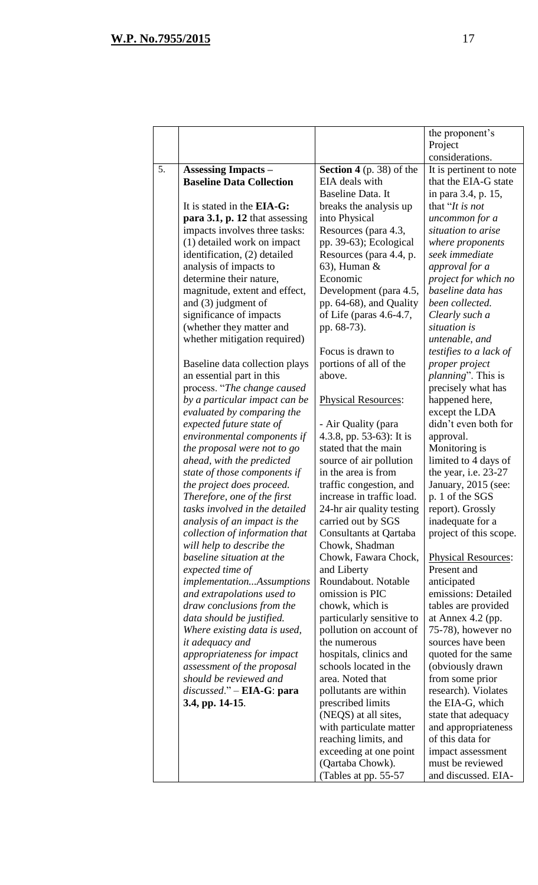| Project<br>considerations.<br>5.<br><b>Assessing Impacts –</b><br><b>Section 4</b> (p. 38) of the<br>It is pertinent to note<br><b>Baseline Data Collection</b><br>EIA deals with<br>that the EIA-G state<br>Baseline Data. It<br>in para 3.4, p. 15,<br>that "It is not<br>It is stated in the <b>EIA-G</b> :<br>breaks the analysis up<br>para 3.1, p. 12 that assessing<br>into Physical<br>uncommon for a<br>impacts involves three tasks:<br>Resources (para 4.3,<br>situation to arise<br>(1) detailed work on impact<br>pp. 39-63); Ecological<br>where proponents<br>identification, (2) detailed<br>Resources (para 4.4, p.<br>seek immediate<br>analysis of impacts to<br>$63$ ), Human &<br>approval for a<br>Economic<br>determine their nature,<br>project for which no<br>baseline data has<br>magnitude, extent and effect,<br>Development (para 4.5,<br>been collected.<br>and $(3)$ judgment of<br>pp. 64-68), and Quality<br>significance of impacts<br>of Life (paras $4.6-4.7$ ,<br>Clearly such a<br>(whether they matter and<br>pp. 68-73).<br>situation is<br>whether mitigation required)<br>untenable, and<br>Focus is drawn to<br>testifies to a lack of<br>portions of all of the<br>Baseline data collection plays<br>proper project<br>above.<br><i>planning</i> ". This is<br>an essential part in this<br>process. "The change caused<br>precisely what has<br>by a particular impact can be<br>happened here,<br><b>Physical Resources:</b><br>evaluated by comparing the<br>except the LDA<br>didn't even both for<br>expected future state of<br>- Air Quality (para<br>4.3.8, pp. 53-63): It is<br>environmental components if<br>approval.<br>the proposal were not to go<br>stated that the main<br>Monitoring is<br>limited to 4 days of<br>ahead, with the predicted<br>source of air pollution<br>in the area is from<br>the year, i.e. 23-27<br>state of those components if<br>the project does proceed.<br>traffic congestion, and<br>January, 2015 (see:<br>increase in traffic load.<br>Therefore, one of the first<br>p. 1 of the SGS<br>tasks involved in the detailed<br>24-hr air quality testing<br>report). Grossly<br>carried out by SGS<br>inadequate for a<br>analysis of an impact is the<br>collection of information that<br>Consultants at Qartaba<br>project of this scope.<br>will help to describe the<br>Chowk, Shadman<br>baseline situation at the<br>Chowk, Fawara Chock,<br><b>Physical Resources:</b><br>expected time of<br>Present and<br>and Liberty<br>Roundabout. Notable<br><i>implementationAssumptions</i><br>anticipated<br>omission is PIC<br>emissions: Detailed<br>and extrapolations used to<br>chowk, which is<br>draw conclusions from the<br>tables are provided<br>data should be justified.<br>particularly sensitive to<br>at Annex $4.2$ (pp.<br>Where existing data is used,<br>pollution on account of<br>75-78), however no<br>sources have been<br><i>it adequacy and</i><br>the numerous<br>appropriateness for impact<br>hospitals, clinics and<br>quoted for the same<br>schools located in the<br>(obviously drawn<br>assessment of the proposal<br>should be reviewed and<br>area. Noted that<br>from some prior<br>$discussed. " - EIA-G: para$<br>pollutants are within<br>research). Violates<br>3.4, pp. 14-15.<br>prescribed limits<br>the EIA-G, which<br>(NEQS) at all sites,<br>state that adequacy<br>with particulate matter<br>and appropriateness<br>of this data for<br>reaching limits, and<br>exceeding at one point<br>impact assessment<br>must be reviewed<br>(Qartaba Chowk). |  |                       | the proponent's     |
|--------------------------------------------------------------------------------------------------------------------------------------------------------------------------------------------------------------------------------------------------------------------------------------------------------------------------------------------------------------------------------------------------------------------------------------------------------------------------------------------------------------------------------------------------------------------------------------------------------------------------------------------------------------------------------------------------------------------------------------------------------------------------------------------------------------------------------------------------------------------------------------------------------------------------------------------------------------------------------------------------------------------------------------------------------------------------------------------------------------------------------------------------------------------------------------------------------------------------------------------------------------------------------------------------------------------------------------------------------------------------------------------------------------------------------------------------------------------------------------------------------------------------------------------------------------------------------------------------------------------------------------------------------------------------------------------------------------------------------------------------------------------------------------------------------------------------------------------------------------------------------------------------------------------------------------------------------------------------------------------------------------------------------------------------------------------------------------------------------------------------------------------------------------------------------------------------------------------------------------------------------------------------------------------------------------------------------------------------------------------------------------------------------------------------------------------------------------------------------------------------------------------------------------------------------------------------------------------------------------------------------------------------------------------------------------------------------------------------------------------------------------------------------------------------------------------------------------------------------------------------------------------------------------------------------------------------------------------------------------------------------------------------------------------------------------------------------------------------------------------------------------------------------------------------------------------------------------------------------------------------------------------------------------------------------------------------------------------------------------------------------------------------------------------------------------------------------------------------------------------------------------------------------------------------------------------------------------------------|--|-----------------------|---------------------|
|                                                                                                                                                                                                                                                                                                                                                                                                                                                                                                                                                                                                                                                                                                                                                                                                                                                                                                                                                                                                                                                                                                                                                                                                                                                                                                                                                                                                                                                                                                                                                                                                                                                                                                                                                                                                                                                                                                                                                                                                                                                                                                                                                                                                                                                                                                                                                                                                                                                                                                                                                                                                                                                                                                                                                                                                                                                                                                                                                                                                                                                                                                                                                                                                                                                                                                                                                                                                                                                                                                                                                                                                  |  |                       |                     |
|                                                                                                                                                                                                                                                                                                                                                                                                                                                                                                                                                                                                                                                                                                                                                                                                                                                                                                                                                                                                                                                                                                                                                                                                                                                                                                                                                                                                                                                                                                                                                                                                                                                                                                                                                                                                                                                                                                                                                                                                                                                                                                                                                                                                                                                                                                                                                                                                                                                                                                                                                                                                                                                                                                                                                                                                                                                                                                                                                                                                                                                                                                                                                                                                                                                                                                                                                                                                                                                                                                                                                                                                  |  |                       |                     |
|                                                                                                                                                                                                                                                                                                                                                                                                                                                                                                                                                                                                                                                                                                                                                                                                                                                                                                                                                                                                                                                                                                                                                                                                                                                                                                                                                                                                                                                                                                                                                                                                                                                                                                                                                                                                                                                                                                                                                                                                                                                                                                                                                                                                                                                                                                                                                                                                                                                                                                                                                                                                                                                                                                                                                                                                                                                                                                                                                                                                                                                                                                                                                                                                                                                                                                                                                                                                                                                                                                                                                                                                  |  |                       |                     |
|                                                                                                                                                                                                                                                                                                                                                                                                                                                                                                                                                                                                                                                                                                                                                                                                                                                                                                                                                                                                                                                                                                                                                                                                                                                                                                                                                                                                                                                                                                                                                                                                                                                                                                                                                                                                                                                                                                                                                                                                                                                                                                                                                                                                                                                                                                                                                                                                                                                                                                                                                                                                                                                                                                                                                                                                                                                                                                                                                                                                                                                                                                                                                                                                                                                                                                                                                                                                                                                                                                                                                                                                  |  |                       |                     |
|                                                                                                                                                                                                                                                                                                                                                                                                                                                                                                                                                                                                                                                                                                                                                                                                                                                                                                                                                                                                                                                                                                                                                                                                                                                                                                                                                                                                                                                                                                                                                                                                                                                                                                                                                                                                                                                                                                                                                                                                                                                                                                                                                                                                                                                                                                                                                                                                                                                                                                                                                                                                                                                                                                                                                                                                                                                                                                                                                                                                                                                                                                                                                                                                                                                                                                                                                                                                                                                                                                                                                                                                  |  |                       |                     |
|                                                                                                                                                                                                                                                                                                                                                                                                                                                                                                                                                                                                                                                                                                                                                                                                                                                                                                                                                                                                                                                                                                                                                                                                                                                                                                                                                                                                                                                                                                                                                                                                                                                                                                                                                                                                                                                                                                                                                                                                                                                                                                                                                                                                                                                                                                                                                                                                                                                                                                                                                                                                                                                                                                                                                                                                                                                                                                                                                                                                                                                                                                                                                                                                                                                                                                                                                                                                                                                                                                                                                                                                  |  |                       |                     |
|                                                                                                                                                                                                                                                                                                                                                                                                                                                                                                                                                                                                                                                                                                                                                                                                                                                                                                                                                                                                                                                                                                                                                                                                                                                                                                                                                                                                                                                                                                                                                                                                                                                                                                                                                                                                                                                                                                                                                                                                                                                                                                                                                                                                                                                                                                                                                                                                                                                                                                                                                                                                                                                                                                                                                                                                                                                                                                                                                                                                                                                                                                                                                                                                                                                                                                                                                                                                                                                                                                                                                                                                  |  |                       |                     |
|                                                                                                                                                                                                                                                                                                                                                                                                                                                                                                                                                                                                                                                                                                                                                                                                                                                                                                                                                                                                                                                                                                                                                                                                                                                                                                                                                                                                                                                                                                                                                                                                                                                                                                                                                                                                                                                                                                                                                                                                                                                                                                                                                                                                                                                                                                                                                                                                                                                                                                                                                                                                                                                                                                                                                                                                                                                                                                                                                                                                                                                                                                                                                                                                                                                                                                                                                                                                                                                                                                                                                                                                  |  |                       |                     |
|                                                                                                                                                                                                                                                                                                                                                                                                                                                                                                                                                                                                                                                                                                                                                                                                                                                                                                                                                                                                                                                                                                                                                                                                                                                                                                                                                                                                                                                                                                                                                                                                                                                                                                                                                                                                                                                                                                                                                                                                                                                                                                                                                                                                                                                                                                                                                                                                                                                                                                                                                                                                                                                                                                                                                                                                                                                                                                                                                                                                                                                                                                                                                                                                                                                                                                                                                                                                                                                                                                                                                                                                  |  |                       |                     |
|                                                                                                                                                                                                                                                                                                                                                                                                                                                                                                                                                                                                                                                                                                                                                                                                                                                                                                                                                                                                                                                                                                                                                                                                                                                                                                                                                                                                                                                                                                                                                                                                                                                                                                                                                                                                                                                                                                                                                                                                                                                                                                                                                                                                                                                                                                                                                                                                                                                                                                                                                                                                                                                                                                                                                                                                                                                                                                                                                                                                                                                                                                                                                                                                                                                                                                                                                                                                                                                                                                                                                                                                  |  |                       |                     |
|                                                                                                                                                                                                                                                                                                                                                                                                                                                                                                                                                                                                                                                                                                                                                                                                                                                                                                                                                                                                                                                                                                                                                                                                                                                                                                                                                                                                                                                                                                                                                                                                                                                                                                                                                                                                                                                                                                                                                                                                                                                                                                                                                                                                                                                                                                                                                                                                                                                                                                                                                                                                                                                                                                                                                                                                                                                                                                                                                                                                                                                                                                                                                                                                                                                                                                                                                                                                                                                                                                                                                                                                  |  |                       |                     |
|                                                                                                                                                                                                                                                                                                                                                                                                                                                                                                                                                                                                                                                                                                                                                                                                                                                                                                                                                                                                                                                                                                                                                                                                                                                                                                                                                                                                                                                                                                                                                                                                                                                                                                                                                                                                                                                                                                                                                                                                                                                                                                                                                                                                                                                                                                                                                                                                                                                                                                                                                                                                                                                                                                                                                                                                                                                                                                                                                                                                                                                                                                                                                                                                                                                                                                                                                                                                                                                                                                                                                                                                  |  |                       |                     |
|                                                                                                                                                                                                                                                                                                                                                                                                                                                                                                                                                                                                                                                                                                                                                                                                                                                                                                                                                                                                                                                                                                                                                                                                                                                                                                                                                                                                                                                                                                                                                                                                                                                                                                                                                                                                                                                                                                                                                                                                                                                                                                                                                                                                                                                                                                                                                                                                                                                                                                                                                                                                                                                                                                                                                                                                                                                                                                                                                                                                                                                                                                                                                                                                                                                                                                                                                                                                                                                                                                                                                                                                  |  |                       |                     |
|                                                                                                                                                                                                                                                                                                                                                                                                                                                                                                                                                                                                                                                                                                                                                                                                                                                                                                                                                                                                                                                                                                                                                                                                                                                                                                                                                                                                                                                                                                                                                                                                                                                                                                                                                                                                                                                                                                                                                                                                                                                                                                                                                                                                                                                                                                                                                                                                                                                                                                                                                                                                                                                                                                                                                                                                                                                                                                                                                                                                                                                                                                                                                                                                                                                                                                                                                                                                                                                                                                                                                                                                  |  |                       |                     |
|                                                                                                                                                                                                                                                                                                                                                                                                                                                                                                                                                                                                                                                                                                                                                                                                                                                                                                                                                                                                                                                                                                                                                                                                                                                                                                                                                                                                                                                                                                                                                                                                                                                                                                                                                                                                                                                                                                                                                                                                                                                                                                                                                                                                                                                                                                                                                                                                                                                                                                                                                                                                                                                                                                                                                                                                                                                                                                                                                                                                                                                                                                                                                                                                                                                                                                                                                                                                                                                                                                                                                                                                  |  |                       |                     |
|                                                                                                                                                                                                                                                                                                                                                                                                                                                                                                                                                                                                                                                                                                                                                                                                                                                                                                                                                                                                                                                                                                                                                                                                                                                                                                                                                                                                                                                                                                                                                                                                                                                                                                                                                                                                                                                                                                                                                                                                                                                                                                                                                                                                                                                                                                                                                                                                                                                                                                                                                                                                                                                                                                                                                                                                                                                                                                                                                                                                                                                                                                                                                                                                                                                                                                                                                                                                                                                                                                                                                                                                  |  |                       |                     |
|                                                                                                                                                                                                                                                                                                                                                                                                                                                                                                                                                                                                                                                                                                                                                                                                                                                                                                                                                                                                                                                                                                                                                                                                                                                                                                                                                                                                                                                                                                                                                                                                                                                                                                                                                                                                                                                                                                                                                                                                                                                                                                                                                                                                                                                                                                                                                                                                                                                                                                                                                                                                                                                                                                                                                                                                                                                                                                                                                                                                                                                                                                                                                                                                                                                                                                                                                                                                                                                                                                                                                                                                  |  |                       |                     |
|                                                                                                                                                                                                                                                                                                                                                                                                                                                                                                                                                                                                                                                                                                                                                                                                                                                                                                                                                                                                                                                                                                                                                                                                                                                                                                                                                                                                                                                                                                                                                                                                                                                                                                                                                                                                                                                                                                                                                                                                                                                                                                                                                                                                                                                                                                                                                                                                                                                                                                                                                                                                                                                                                                                                                                                                                                                                                                                                                                                                                                                                                                                                                                                                                                                                                                                                                                                                                                                                                                                                                                                                  |  |                       |                     |
|                                                                                                                                                                                                                                                                                                                                                                                                                                                                                                                                                                                                                                                                                                                                                                                                                                                                                                                                                                                                                                                                                                                                                                                                                                                                                                                                                                                                                                                                                                                                                                                                                                                                                                                                                                                                                                                                                                                                                                                                                                                                                                                                                                                                                                                                                                                                                                                                                                                                                                                                                                                                                                                                                                                                                                                                                                                                                                                                                                                                                                                                                                                                                                                                                                                                                                                                                                                                                                                                                                                                                                                                  |  |                       |                     |
|                                                                                                                                                                                                                                                                                                                                                                                                                                                                                                                                                                                                                                                                                                                                                                                                                                                                                                                                                                                                                                                                                                                                                                                                                                                                                                                                                                                                                                                                                                                                                                                                                                                                                                                                                                                                                                                                                                                                                                                                                                                                                                                                                                                                                                                                                                                                                                                                                                                                                                                                                                                                                                                                                                                                                                                                                                                                                                                                                                                                                                                                                                                                                                                                                                                                                                                                                                                                                                                                                                                                                                                                  |  |                       |                     |
|                                                                                                                                                                                                                                                                                                                                                                                                                                                                                                                                                                                                                                                                                                                                                                                                                                                                                                                                                                                                                                                                                                                                                                                                                                                                                                                                                                                                                                                                                                                                                                                                                                                                                                                                                                                                                                                                                                                                                                                                                                                                                                                                                                                                                                                                                                                                                                                                                                                                                                                                                                                                                                                                                                                                                                                                                                                                                                                                                                                                                                                                                                                                                                                                                                                                                                                                                                                                                                                                                                                                                                                                  |  |                       |                     |
|                                                                                                                                                                                                                                                                                                                                                                                                                                                                                                                                                                                                                                                                                                                                                                                                                                                                                                                                                                                                                                                                                                                                                                                                                                                                                                                                                                                                                                                                                                                                                                                                                                                                                                                                                                                                                                                                                                                                                                                                                                                                                                                                                                                                                                                                                                                                                                                                                                                                                                                                                                                                                                                                                                                                                                                                                                                                                                                                                                                                                                                                                                                                                                                                                                                                                                                                                                                                                                                                                                                                                                                                  |  |                       |                     |
|                                                                                                                                                                                                                                                                                                                                                                                                                                                                                                                                                                                                                                                                                                                                                                                                                                                                                                                                                                                                                                                                                                                                                                                                                                                                                                                                                                                                                                                                                                                                                                                                                                                                                                                                                                                                                                                                                                                                                                                                                                                                                                                                                                                                                                                                                                                                                                                                                                                                                                                                                                                                                                                                                                                                                                                                                                                                                                                                                                                                                                                                                                                                                                                                                                                                                                                                                                                                                                                                                                                                                                                                  |  |                       |                     |
|                                                                                                                                                                                                                                                                                                                                                                                                                                                                                                                                                                                                                                                                                                                                                                                                                                                                                                                                                                                                                                                                                                                                                                                                                                                                                                                                                                                                                                                                                                                                                                                                                                                                                                                                                                                                                                                                                                                                                                                                                                                                                                                                                                                                                                                                                                                                                                                                                                                                                                                                                                                                                                                                                                                                                                                                                                                                                                                                                                                                                                                                                                                                                                                                                                                                                                                                                                                                                                                                                                                                                                                                  |  |                       |                     |
|                                                                                                                                                                                                                                                                                                                                                                                                                                                                                                                                                                                                                                                                                                                                                                                                                                                                                                                                                                                                                                                                                                                                                                                                                                                                                                                                                                                                                                                                                                                                                                                                                                                                                                                                                                                                                                                                                                                                                                                                                                                                                                                                                                                                                                                                                                                                                                                                                                                                                                                                                                                                                                                                                                                                                                                                                                                                                                                                                                                                                                                                                                                                                                                                                                                                                                                                                                                                                                                                                                                                                                                                  |  |                       |                     |
|                                                                                                                                                                                                                                                                                                                                                                                                                                                                                                                                                                                                                                                                                                                                                                                                                                                                                                                                                                                                                                                                                                                                                                                                                                                                                                                                                                                                                                                                                                                                                                                                                                                                                                                                                                                                                                                                                                                                                                                                                                                                                                                                                                                                                                                                                                                                                                                                                                                                                                                                                                                                                                                                                                                                                                                                                                                                                                                                                                                                                                                                                                                                                                                                                                                                                                                                                                                                                                                                                                                                                                                                  |  |                       |                     |
|                                                                                                                                                                                                                                                                                                                                                                                                                                                                                                                                                                                                                                                                                                                                                                                                                                                                                                                                                                                                                                                                                                                                                                                                                                                                                                                                                                                                                                                                                                                                                                                                                                                                                                                                                                                                                                                                                                                                                                                                                                                                                                                                                                                                                                                                                                                                                                                                                                                                                                                                                                                                                                                                                                                                                                                                                                                                                                                                                                                                                                                                                                                                                                                                                                                                                                                                                                                                                                                                                                                                                                                                  |  |                       |                     |
|                                                                                                                                                                                                                                                                                                                                                                                                                                                                                                                                                                                                                                                                                                                                                                                                                                                                                                                                                                                                                                                                                                                                                                                                                                                                                                                                                                                                                                                                                                                                                                                                                                                                                                                                                                                                                                                                                                                                                                                                                                                                                                                                                                                                                                                                                                                                                                                                                                                                                                                                                                                                                                                                                                                                                                                                                                                                                                                                                                                                                                                                                                                                                                                                                                                                                                                                                                                                                                                                                                                                                                                                  |  |                       |                     |
|                                                                                                                                                                                                                                                                                                                                                                                                                                                                                                                                                                                                                                                                                                                                                                                                                                                                                                                                                                                                                                                                                                                                                                                                                                                                                                                                                                                                                                                                                                                                                                                                                                                                                                                                                                                                                                                                                                                                                                                                                                                                                                                                                                                                                                                                                                                                                                                                                                                                                                                                                                                                                                                                                                                                                                                                                                                                                                                                                                                                                                                                                                                                                                                                                                                                                                                                                                                                                                                                                                                                                                                                  |  |                       |                     |
|                                                                                                                                                                                                                                                                                                                                                                                                                                                                                                                                                                                                                                                                                                                                                                                                                                                                                                                                                                                                                                                                                                                                                                                                                                                                                                                                                                                                                                                                                                                                                                                                                                                                                                                                                                                                                                                                                                                                                                                                                                                                                                                                                                                                                                                                                                                                                                                                                                                                                                                                                                                                                                                                                                                                                                                                                                                                                                                                                                                                                                                                                                                                                                                                                                                                                                                                                                                                                                                                                                                                                                                                  |  |                       |                     |
|                                                                                                                                                                                                                                                                                                                                                                                                                                                                                                                                                                                                                                                                                                                                                                                                                                                                                                                                                                                                                                                                                                                                                                                                                                                                                                                                                                                                                                                                                                                                                                                                                                                                                                                                                                                                                                                                                                                                                                                                                                                                                                                                                                                                                                                                                                                                                                                                                                                                                                                                                                                                                                                                                                                                                                                                                                                                                                                                                                                                                                                                                                                                                                                                                                                                                                                                                                                                                                                                                                                                                                                                  |  |                       |                     |
|                                                                                                                                                                                                                                                                                                                                                                                                                                                                                                                                                                                                                                                                                                                                                                                                                                                                                                                                                                                                                                                                                                                                                                                                                                                                                                                                                                                                                                                                                                                                                                                                                                                                                                                                                                                                                                                                                                                                                                                                                                                                                                                                                                                                                                                                                                                                                                                                                                                                                                                                                                                                                                                                                                                                                                                                                                                                                                                                                                                                                                                                                                                                                                                                                                                                                                                                                                                                                                                                                                                                                                                                  |  |                       |                     |
|                                                                                                                                                                                                                                                                                                                                                                                                                                                                                                                                                                                                                                                                                                                                                                                                                                                                                                                                                                                                                                                                                                                                                                                                                                                                                                                                                                                                                                                                                                                                                                                                                                                                                                                                                                                                                                                                                                                                                                                                                                                                                                                                                                                                                                                                                                                                                                                                                                                                                                                                                                                                                                                                                                                                                                                                                                                                                                                                                                                                                                                                                                                                                                                                                                                                                                                                                                                                                                                                                                                                                                                                  |  |                       |                     |
|                                                                                                                                                                                                                                                                                                                                                                                                                                                                                                                                                                                                                                                                                                                                                                                                                                                                                                                                                                                                                                                                                                                                                                                                                                                                                                                                                                                                                                                                                                                                                                                                                                                                                                                                                                                                                                                                                                                                                                                                                                                                                                                                                                                                                                                                                                                                                                                                                                                                                                                                                                                                                                                                                                                                                                                                                                                                                                                                                                                                                                                                                                                                                                                                                                                                                                                                                                                                                                                                                                                                                                                                  |  |                       |                     |
|                                                                                                                                                                                                                                                                                                                                                                                                                                                                                                                                                                                                                                                                                                                                                                                                                                                                                                                                                                                                                                                                                                                                                                                                                                                                                                                                                                                                                                                                                                                                                                                                                                                                                                                                                                                                                                                                                                                                                                                                                                                                                                                                                                                                                                                                                                                                                                                                                                                                                                                                                                                                                                                                                                                                                                                                                                                                                                                                                                                                                                                                                                                                                                                                                                                                                                                                                                                                                                                                                                                                                                                                  |  |                       |                     |
|                                                                                                                                                                                                                                                                                                                                                                                                                                                                                                                                                                                                                                                                                                                                                                                                                                                                                                                                                                                                                                                                                                                                                                                                                                                                                                                                                                                                                                                                                                                                                                                                                                                                                                                                                                                                                                                                                                                                                                                                                                                                                                                                                                                                                                                                                                                                                                                                                                                                                                                                                                                                                                                                                                                                                                                                                                                                                                                                                                                                                                                                                                                                                                                                                                                                                                                                                                                                                                                                                                                                                                                                  |  |                       |                     |
|                                                                                                                                                                                                                                                                                                                                                                                                                                                                                                                                                                                                                                                                                                                                                                                                                                                                                                                                                                                                                                                                                                                                                                                                                                                                                                                                                                                                                                                                                                                                                                                                                                                                                                                                                                                                                                                                                                                                                                                                                                                                                                                                                                                                                                                                                                                                                                                                                                                                                                                                                                                                                                                                                                                                                                                                                                                                                                                                                                                                                                                                                                                                                                                                                                                                                                                                                                                                                                                                                                                                                                                                  |  |                       |                     |
|                                                                                                                                                                                                                                                                                                                                                                                                                                                                                                                                                                                                                                                                                                                                                                                                                                                                                                                                                                                                                                                                                                                                                                                                                                                                                                                                                                                                                                                                                                                                                                                                                                                                                                                                                                                                                                                                                                                                                                                                                                                                                                                                                                                                                                                                                                                                                                                                                                                                                                                                                                                                                                                                                                                                                                                                                                                                                                                                                                                                                                                                                                                                                                                                                                                                                                                                                                                                                                                                                                                                                                                                  |  |                       |                     |
|                                                                                                                                                                                                                                                                                                                                                                                                                                                                                                                                                                                                                                                                                                                                                                                                                                                                                                                                                                                                                                                                                                                                                                                                                                                                                                                                                                                                                                                                                                                                                                                                                                                                                                                                                                                                                                                                                                                                                                                                                                                                                                                                                                                                                                                                                                                                                                                                                                                                                                                                                                                                                                                                                                                                                                                                                                                                                                                                                                                                                                                                                                                                                                                                                                                                                                                                                                                                                                                                                                                                                                                                  |  |                       |                     |
|                                                                                                                                                                                                                                                                                                                                                                                                                                                                                                                                                                                                                                                                                                                                                                                                                                                                                                                                                                                                                                                                                                                                                                                                                                                                                                                                                                                                                                                                                                                                                                                                                                                                                                                                                                                                                                                                                                                                                                                                                                                                                                                                                                                                                                                                                                                                                                                                                                                                                                                                                                                                                                                                                                                                                                                                                                                                                                                                                                                                                                                                                                                                                                                                                                                                                                                                                                                                                                                                                                                                                                                                  |  |                       |                     |
|                                                                                                                                                                                                                                                                                                                                                                                                                                                                                                                                                                                                                                                                                                                                                                                                                                                                                                                                                                                                                                                                                                                                                                                                                                                                                                                                                                                                                                                                                                                                                                                                                                                                                                                                                                                                                                                                                                                                                                                                                                                                                                                                                                                                                                                                                                                                                                                                                                                                                                                                                                                                                                                                                                                                                                                                                                                                                                                                                                                                                                                                                                                                                                                                                                                                                                                                                                                                                                                                                                                                                                                                  |  |                       |                     |
|                                                                                                                                                                                                                                                                                                                                                                                                                                                                                                                                                                                                                                                                                                                                                                                                                                                                                                                                                                                                                                                                                                                                                                                                                                                                                                                                                                                                                                                                                                                                                                                                                                                                                                                                                                                                                                                                                                                                                                                                                                                                                                                                                                                                                                                                                                                                                                                                                                                                                                                                                                                                                                                                                                                                                                                                                                                                                                                                                                                                                                                                                                                                                                                                                                                                                                                                                                                                                                                                                                                                                                                                  |  |                       |                     |
|                                                                                                                                                                                                                                                                                                                                                                                                                                                                                                                                                                                                                                                                                                                                                                                                                                                                                                                                                                                                                                                                                                                                                                                                                                                                                                                                                                                                                                                                                                                                                                                                                                                                                                                                                                                                                                                                                                                                                                                                                                                                                                                                                                                                                                                                                                                                                                                                                                                                                                                                                                                                                                                                                                                                                                                                                                                                                                                                                                                                                                                                                                                                                                                                                                                                                                                                                                                                                                                                                                                                                                                                  |  |                       |                     |
|                                                                                                                                                                                                                                                                                                                                                                                                                                                                                                                                                                                                                                                                                                                                                                                                                                                                                                                                                                                                                                                                                                                                                                                                                                                                                                                                                                                                                                                                                                                                                                                                                                                                                                                                                                                                                                                                                                                                                                                                                                                                                                                                                                                                                                                                                                                                                                                                                                                                                                                                                                                                                                                                                                                                                                                                                                                                                                                                                                                                                                                                                                                                                                                                                                                                                                                                                                                                                                                                                                                                                                                                  |  |                       |                     |
|                                                                                                                                                                                                                                                                                                                                                                                                                                                                                                                                                                                                                                                                                                                                                                                                                                                                                                                                                                                                                                                                                                                                                                                                                                                                                                                                                                                                                                                                                                                                                                                                                                                                                                                                                                                                                                                                                                                                                                                                                                                                                                                                                                                                                                                                                                                                                                                                                                                                                                                                                                                                                                                                                                                                                                                                                                                                                                                                                                                                                                                                                                                                                                                                                                                                                                                                                                                                                                                                                                                                                                                                  |  |                       |                     |
|                                                                                                                                                                                                                                                                                                                                                                                                                                                                                                                                                                                                                                                                                                                                                                                                                                                                                                                                                                                                                                                                                                                                                                                                                                                                                                                                                                                                                                                                                                                                                                                                                                                                                                                                                                                                                                                                                                                                                                                                                                                                                                                                                                                                                                                                                                                                                                                                                                                                                                                                                                                                                                                                                                                                                                                                                                                                                                                                                                                                                                                                                                                                                                                                                                                                                                                                                                                                                                                                                                                                                                                                  |  |                       |                     |
|                                                                                                                                                                                                                                                                                                                                                                                                                                                                                                                                                                                                                                                                                                                                                                                                                                                                                                                                                                                                                                                                                                                                                                                                                                                                                                                                                                                                                                                                                                                                                                                                                                                                                                                                                                                                                                                                                                                                                                                                                                                                                                                                                                                                                                                                                                                                                                                                                                                                                                                                                                                                                                                                                                                                                                                                                                                                                                                                                                                                                                                                                                                                                                                                                                                                                                                                                                                                                                                                                                                                                                                                  |  |                       |                     |
|                                                                                                                                                                                                                                                                                                                                                                                                                                                                                                                                                                                                                                                                                                                                                                                                                                                                                                                                                                                                                                                                                                                                                                                                                                                                                                                                                                                                                                                                                                                                                                                                                                                                                                                                                                                                                                                                                                                                                                                                                                                                                                                                                                                                                                                                                                                                                                                                                                                                                                                                                                                                                                                                                                                                                                                                                                                                                                                                                                                                                                                                                                                                                                                                                                                                                                                                                                                                                                                                                                                                                                                                  |  |                       |                     |
|                                                                                                                                                                                                                                                                                                                                                                                                                                                                                                                                                                                                                                                                                                                                                                                                                                                                                                                                                                                                                                                                                                                                                                                                                                                                                                                                                                                                                                                                                                                                                                                                                                                                                                                                                                                                                                                                                                                                                                                                                                                                                                                                                                                                                                                                                                                                                                                                                                                                                                                                                                                                                                                                                                                                                                                                                                                                                                                                                                                                                                                                                                                                                                                                                                                                                                                                                                                                                                                                                                                                                                                                  |  |                       |                     |
|                                                                                                                                                                                                                                                                                                                                                                                                                                                                                                                                                                                                                                                                                                                                                                                                                                                                                                                                                                                                                                                                                                                                                                                                                                                                                                                                                                                                                                                                                                                                                                                                                                                                                                                                                                                                                                                                                                                                                                                                                                                                                                                                                                                                                                                                                                                                                                                                                                                                                                                                                                                                                                                                                                                                                                                                                                                                                                                                                                                                                                                                                                                                                                                                                                                                                                                                                                                                                                                                                                                                                                                                  |  |                       |                     |
|                                                                                                                                                                                                                                                                                                                                                                                                                                                                                                                                                                                                                                                                                                                                                                                                                                                                                                                                                                                                                                                                                                                                                                                                                                                                                                                                                                                                                                                                                                                                                                                                                                                                                                                                                                                                                                                                                                                                                                                                                                                                                                                                                                                                                                                                                                                                                                                                                                                                                                                                                                                                                                                                                                                                                                                                                                                                                                                                                                                                                                                                                                                                                                                                                                                                                                                                                                                                                                                                                                                                                                                                  |  |                       |                     |
|                                                                                                                                                                                                                                                                                                                                                                                                                                                                                                                                                                                                                                                                                                                                                                                                                                                                                                                                                                                                                                                                                                                                                                                                                                                                                                                                                                                                                                                                                                                                                                                                                                                                                                                                                                                                                                                                                                                                                                                                                                                                                                                                                                                                                                                                                                                                                                                                                                                                                                                                                                                                                                                                                                                                                                                                                                                                                                                                                                                                                                                                                                                                                                                                                                                                                                                                                                                                                                                                                                                                                                                                  |  |                       |                     |
|                                                                                                                                                                                                                                                                                                                                                                                                                                                                                                                                                                                                                                                                                                                                                                                                                                                                                                                                                                                                                                                                                                                                                                                                                                                                                                                                                                                                                                                                                                                                                                                                                                                                                                                                                                                                                                                                                                                                                                                                                                                                                                                                                                                                                                                                                                                                                                                                                                                                                                                                                                                                                                                                                                                                                                                                                                                                                                                                                                                                                                                                                                                                                                                                                                                                                                                                                                                                                                                                                                                                                                                                  |  | (Tables at pp. 55-57) | and discussed. EIA- |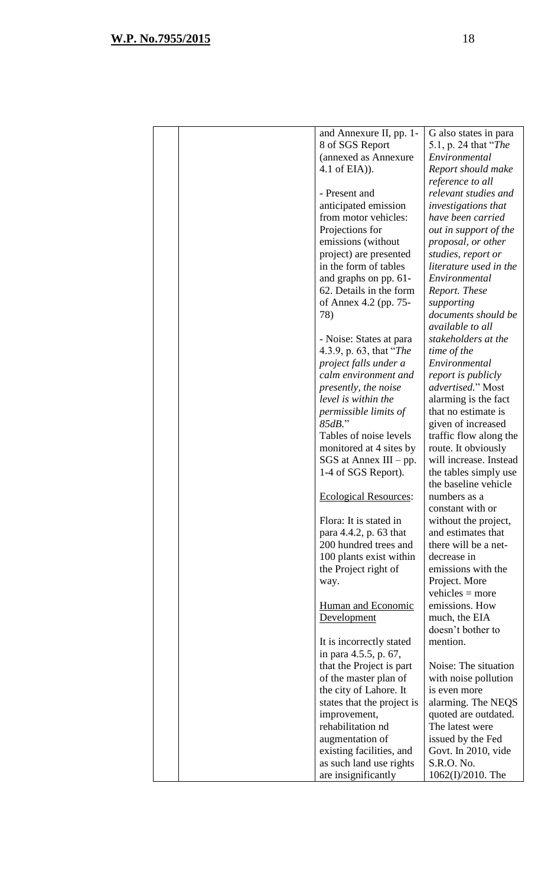|  | and Annexure II, pp. 1-      | G also states in para      |
|--|------------------------------|----------------------------|
|  | 8 of SGS Report              | 5.1, p. 24 that "The       |
|  | (annexed as Annexure         | Environmental              |
|  | 4.1 of $E(A)$ ).             | Report should make         |
|  |                              | reference to all           |
|  | - Present and                | relevant studies and       |
|  | anticipated emission         | <i>investigations that</i> |
|  | from motor vehicles:         | have been carried          |
|  | Projections for              | out in support of the      |
|  | emissions (without           | proposal, or other         |
|  | project) are presented       | studies, report or         |
|  | in the form of tables        | literature used in the     |
|  | and graphs on pp. 61-        | Environmental              |
|  | 62. Details in the form      | Report. These              |
|  | of Annex 4.2 (pp. 75-        | supporting                 |
|  | 78)                          | documents should be        |
|  |                              | available to all           |
|  | - Noise: States at para      | stakeholders at the        |
|  | 4.3.9, p. 63, that "The      | time of the                |
|  | project falls under a        | Environmental              |
|  | calm environment and         | report is publicly         |
|  | presently, the noise         | advertised." Most          |
|  | level is within the          | alarming is the fact       |
|  | permissible limits of        | that no estimate is        |
|  | $85dB$ ."                    | given of increased         |
|  | Tables of noise levels       | traffic flow along the     |
|  | monitored at 4 sites by      | route. It obviously        |
|  | $SGS$ at Annex III – pp.     | will increase. Instead     |
|  | 1-4 of SGS Report).          | the tables simply use      |
|  |                              | the baseline vehicle       |
|  | <b>Ecological Resources:</b> | numbers as a               |
|  |                              | constant with or           |
|  | Flora: It is stated in       | without the project,       |
|  | para 4.4.2, p. 63 that       | and estimates that         |
|  | 200 hundred trees and        | there will be a net-       |
|  | 100 plants exist within      | decrease in                |
|  | the Project right of         | emissions with the         |
|  | way.                         | Project. More              |
|  |                              | vehicles $=$ more          |
|  | <b>Human and Economic</b>    | emissions. How             |
|  | Development                  | much, the EIA              |
|  |                              | doesn't bother to          |
|  | It is incorrectly stated     | mention.                   |
|  | in para 4.5.5, p. 67,        |                            |
|  | that the Project is part     | Noise: The situation       |
|  | of the master plan of        | with noise pollution       |
|  | the city of Lahore. It       | is even more               |
|  | states that the project is   | alarming. The NEQS         |
|  | improvement,                 | quoted are outdated.       |
|  | rehabilitation nd            | The latest were            |
|  | augmentation of              | issued by the Fed          |
|  | existing facilities, and     | Govt. In 2010, vide        |
|  | as such land use rights      | S.R.O. No.                 |
|  | are insignificantly          | 1062(I)/2010. The          |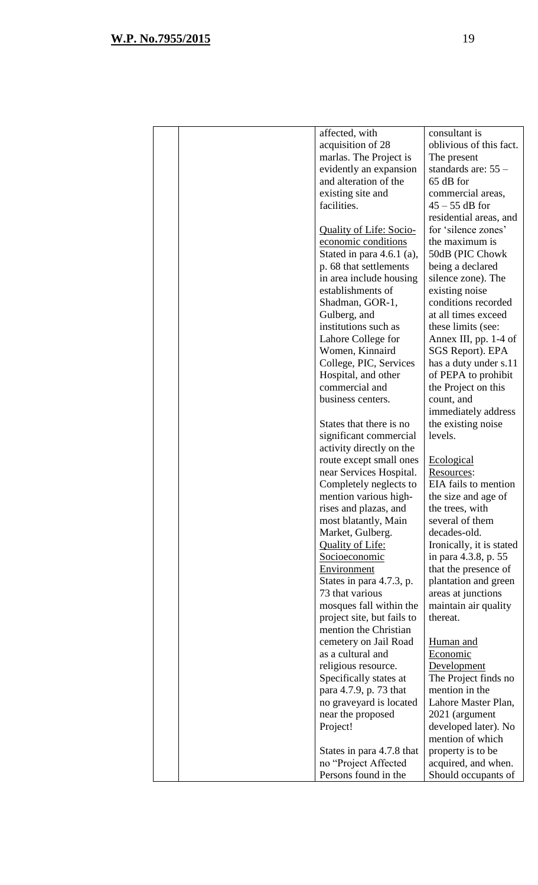| affected, with                               | consultant is                              |
|----------------------------------------------|--------------------------------------------|
| acquisition of 28                            | oblivious of this fact.                    |
| marlas. The Project is                       | The present                                |
| evidently an expansion                       | standards are: $55-$                       |
| and alteration of the                        | 65 dB for                                  |
| existing site and                            | commercial areas,                          |
| facilities.                                  | $45 - 55$ dB for                           |
|                                              | residential areas, and                     |
| <b>Quality of Life: Socio-</b>               | for 'silence zones'                        |
| economic conditions                          | the maximum is                             |
| Stated in para $4.6.1$ (a),                  | 50dB (PIC Chowk                            |
| p. 68 that settlements                       | being a declared                           |
| in area include housing                      | silence zone). The                         |
| establishments of                            | existing noise                             |
| Shadman, GOR-1,                              | conditions recorded                        |
| Gulberg, and                                 | at all times exceed                        |
| institutions such as                         | these limits (see:                         |
| Lahore College for                           | Annex III, pp. 1-4 of                      |
| Women, Kinnaird                              | SGS Report). EPA                           |
| College, PIC, Services                       | has a duty under s.11                      |
| Hospital, and other                          | of PEPA to prohibit                        |
| commercial and                               | the Project on this                        |
| business centers.                            | count, and                                 |
|                                              | immediately address                        |
| States that there is no                      | the existing noise                         |
| significant commercial                       | levels.                                    |
| activity directly on the                     |                                            |
| route except small ones                      | Ecological                                 |
| near Services Hospital.                      | Resources:                                 |
| Completely neglects to                       | EIA fails to mention                       |
| mention various high-                        | the size and age of                        |
| rises and plazas, and                        | the trees, with                            |
| most blatantly, Main                         | several of them                            |
| Market, Gulberg.                             |                                            |
|                                              | decades-old.                               |
| <b>Quality of Life:</b>                      | Ironically, it is stated                   |
| Socioeconomic                                | in para 4.3.8, p. 55                       |
| Environment                                  | that the presence of                       |
| States in para 4.7.3, p.                     | plantation and green                       |
| 73 that various                              | areas at junctions                         |
| mosques fall within the                      | maintain air quality                       |
| project site, but fails to                   | thereat.                                   |
| mention the Christian                        |                                            |
| cemetery on Jail Road                        | Human and                                  |
| as a cultural and                            | Economic                                   |
| religious resource.                          | Development                                |
| Specifically states at                       | The Project finds no                       |
| para 4.7.9, p. 73 that                       | mention in the                             |
| no graveyard is located                      | Lahore Master Plan,                        |
| near the proposed                            | 2021 (argument                             |
| Project!                                     | developed later). No                       |
|                                              | mention of which                           |
| States in para 4.7.8 that                    | property is to be                          |
| no "Project Affected<br>Persons found in the | acquired, and when.<br>Should occupants of |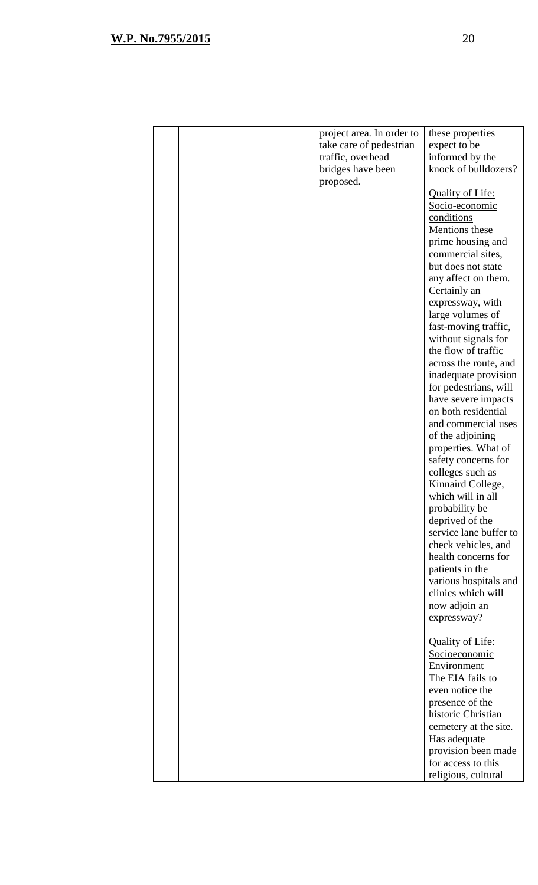|  | project area. In order to | these properties        |
|--|---------------------------|-------------------------|
|  | take care of pedestrian   | expect to be            |
|  | traffic, overhead         | informed by the         |
|  | bridges have been         | knock of bulldozers?    |
|  | proposed.                 |                         |
|  |                           | <b>Quality of Life:</b> |
|  |                           | Socio-economic          |
|  |                           | conditions              |
|  |                           | Mentions these          |
|  |                           |                         |
|  |                           | prime housing and       |
|  |                           | commercial sites,       |
|  |                           | but does not state      |
|  |                           | any affect on them.     |
|  |                           | Certainly an            |
|  |                           | expressway, with        |
|  |                           | large volumes of        |
|  |                           | fast-moving traffic,    |
|  |                           | without signals for     |
|  |                           | the flow of traffic     |
|  |                           | across the route, and   |
|  |                           | inadequate provision    |
|  |                           | for pedestrians, will   |
|  |                           | have severe impacts     |
|  |                           | on both residential     |
|  |                           | and commercial uses     |
|  |                           | of the adjoining        |
|  |                           |                         |
|  |                           | properties. What of     |
|  |                           | safety concerns for     |
|  |                           | colleges such as        |
|  |                           | Kinnaird College,       |
|  |                           | which will in all       |
|  |                           | probability be          |
|  |                           | deprived of the         |
|  |                           | service lane buffer to  |
|  |                           | check vehicles, and     |
|  |                           | health concerns for     |
|  |                           | patients in the         |
|  |                           | various hospitals and   |
|  |                           | clinics which will      |
|  |                           | now adjoin an           |
|  |                           | expressway?             |
|  |                           |                         |
|  |                           | <b>Quality of Life:</b> |
|  |                           |                         |
|  |                           | Socioeconomic           |
|  |                           | Environment             |
|  |                           | The EIA fails to        |
|  |                           | even notice the         |
|  |                           | presence of the         |
|  |                           | historic Christian      |
|  |                           | cemetery at the site.   |
|  |                           | Has adequate            |
|  |                           | provision been made     |
|  |                           | for access to this      |
|  |                           | religious, cultural     |
|  |                           |                         |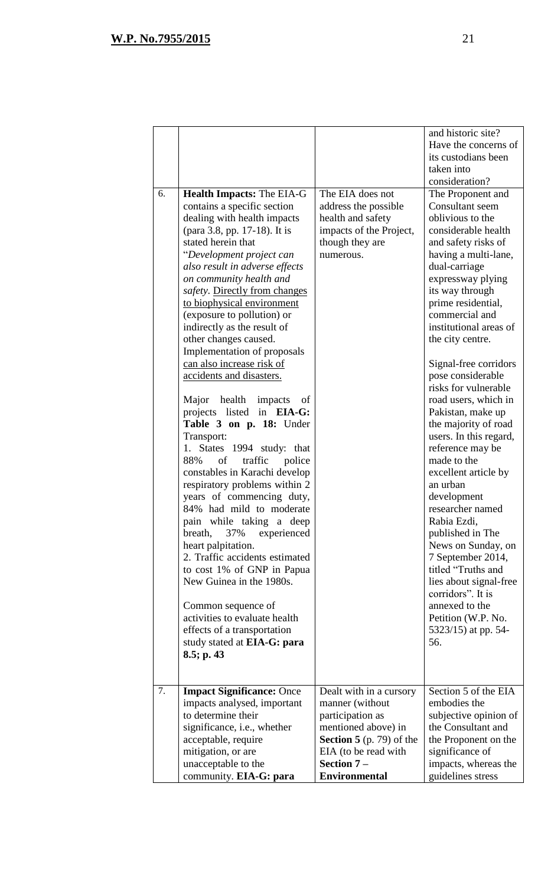|    |                                                                                                                                                                                                                                                                                                                                                                                                                                                                                                                                                                                                                                                                                                                                                                                                                                                                                                                                                                                                                                                                                                             |                                                                                                                                                                | and historic site?<br>Have the concerns of<br>its custodians been<br>taken into<br>consideration?                                                                                                                                                                                                                                                                                                                                                                                                                                                                                                                                                                                                                                                                                     |
|----|-------------------------------------------------------------------------------------------------------------------------------------------------------------------------------------------------------------------------------------------------------------------------------------------------------------------------------------------------------------------------------------------------------------------------------------------------------------------------------------------------------------------------------------------------------------------------------------------------------------------------------------------------------------------------------------------------------------------------------------------------------------------------------------------------------------------------------------------------------------------------------------------------------------------------------------------------------------------------------------------------------------------------------------------------------------------------------------------------------------|----------------------------------------------------------------------------------------------------------------------------------------------------------------|---------------------------------------------------------------------------------------------------------------------------------------------------------------------------------------------------------------------------------------------------------------------------------------------------------------------------------------------------------------------------------------------------------------------------------------------------------------------------------------------------------------------------------------------------------------------------------------------------------------------------------------------------------------------------------------------------------------------------------------------------------------------------------------|
| 6. | <b>Health Impacts: The EIA-G</b><br>contains a specific section<br>dealing with health impacts<br>(para 3.8, pp. 17-18). It is<br>stated herein that<br>"Development project can<br>also result in adverse effects<br>on community health and<br>safety. Directly from changes<br>to biophysical environment<br>(exposure to pollution) or<br>indirectly as the result of<br>other changes caused.<br>Implementation of proposals<br>can also increase risk of<br>accidents and disasters.<br>Major health impacts<br>οf<br>projects listed in EIA-G:<br>Table 3 on p. 18: Under<br>Transport:<br>1. States 1994 study: that<br>88%<br>of<br>traffic<br>police<br>constables in Karachi develop<br>respiratory problems within 2<br>years of commencing duty,<br>84% had mild to moderate<br>pain while taking a deep<br>breath,<br>37%<br>experienced<br>heart palpitation.<br>2. Traffic accidents estimated<br>to cost 1% of GNP in Papua<br>New Guinea in the 1980s.<br>Common sequence of<br>activities to evaluate health<br>effects of a transportation<br>study stated at EIA-G: para<br>8.5; p. 43 | The EIA does not<br>address the possible<br>health and safety<br>impacts of the Project,<br>though they are<br>numerous.                                       | The Proponent and<br>Consultant seem<br>oblivious to the<br>considerable health<br>and safety risks of<br>having a multi-lane,<br>dual-carriage<br>expressway plying<br>its way through<br>prime residential,<br>commercial and<br>institutional areas of<br>the city centre.<br>Signal-free corridors<br>pose considerable<br>risks for vulnerable<br>road users, which in<br>Pakistan, make up<br>the majority of road<br>users. In this regard,<br>reference may be<br>made to the<br>excellent article by<br>an urban<br>development<br>researcher named<br>Rabia Ezdi,<br>published in The<br>News on Sunday, on<br>7 September 2014,<br>titled "Truths and<br>lies about signal-free<br>corridors". It is<br>annexed to the<br>Petition (W.P. No.<br>5323/15) at pp. 54-<br>56. |
| 7. | <b>Impact Significance: Once</b><br>impacts analysed, important<br>to determine their<br>significance, i.e., whether<br>acceptable, require<br>mitigation, or are<br>unacceptable to the                                                                                                                                                                                                                                                                                                                                                                                                                                                                                                                                                                                                                                                                                                                                                                                                                                                                                                                    | Dealt with in a cursory<br>manner (without<br>participation as<br>mentioned above) in<br><b>Section 5</b> (p. 79) of the<br>EIA (to be read with<br>Section 7- | Section 5 of the EIA<br>embodies the<br>subjective opinion of<br>the Consultant and<br>the Proponent on the<br>significance of<br>impacts, whereas the                                                                                                                                                                                                                                                                                                                                                                                                                                                                                                                                                                                                                                |
|    | community. EIA-G: para                                                                                                                                                                                                                                                                                                                                                                                                                                                                                                                                                                                                                                                                                                                                                                                                                                                                                                                                                                                                                                                                                      | <b>Environmental</b>                                                                                                                                           | guidelines stress                                                                                                                                                                                                                                                                                                                                                                                                                                                                                                                                                                                                                                                                                                                                                                     |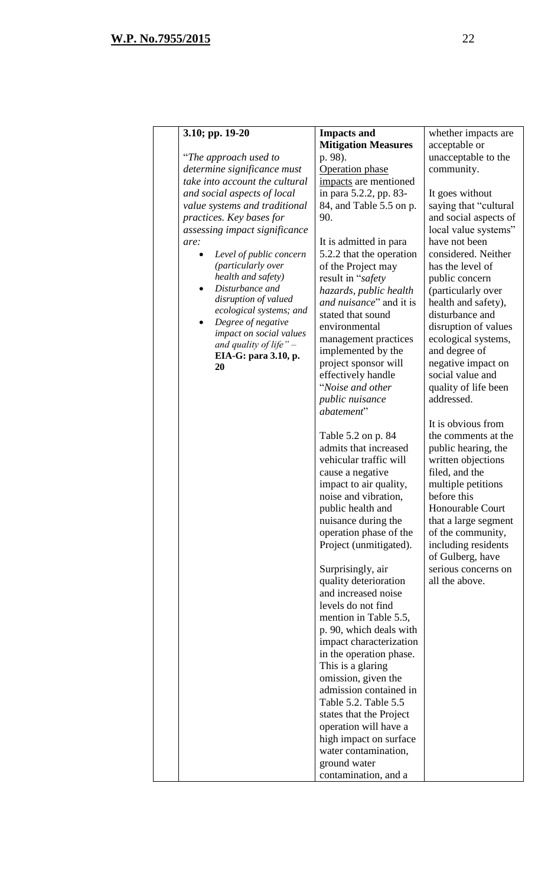| 3.10; pp. 19-20                          | <b>Impacts and</b>                                | whether impacts are                    |
|------------------------------------------|---------------------------------------------------|----------------------------------------|
|                                          | <b>Mitigation Measures</b>                        | acceptable or                          |
| "The approach used to                    | p. 98).                                           | unacceptable to the                    |
| determine significance must              | Operation phase                                   | community.                             |
| take into account the cultural           | impacts are mentioned                             |                                        |
| and social aspects of local              | in para 5.2.2, pp. 83-                            | It goes without                        |
| value systems and traditional            | 84, and Table 5.5 on p.                           | saying that "cultural"                 |
| practices. Key bases for                 | 90.                                               | and social aspects of                  |
| assessing impact significance            |                                                   | local value systems"                   |
| are:                                     | It is admitted in para                            | have not been                          |
| Level of public concern                  | 5.2.2 that the operation                          | considered. Neither                    |
| (particularly over<br>health and safety) | of the Project may                                | has the level of                       |
| Disturbance and                          | result in "safety                                 | public concern                         |
| disruption of valued                     | hazards, public health<br>and nuisance" and it is | (particularly over                     |
| ecological systems; and                  | stated that sound                                 | health and safety),<br>disturbance and |
| Degree of negative<br>٠                  |                                                   |                                        |
| impact on social values                  | environmental                                     | disruption of values                   |
| and quality of life" $-$                 | management practices                              | ecological systems,<br>and degree of   |
| EIA-G: para 3.10, p.                     | implemented by the<br>project sponsor will        | negative impact on                     |
| 20                                       | effectively handle                                | social value and                       |
|                                          | "Noise and other                                  | quality of life been                   |
|                                          | public nuisance                                   | addressed.                             |
|                                          | abatement"                                        |                                        |
|                                          |                                                   | It is obvious from                     |
|                                          | Table 5.2 on p. 84                                | the comments at the                    |
|                                          | admits that increased                             | public hearing, the                    |
|                                          | vehicular traffic will                            | written objections                     |
|                                          | cause a negative                                  | filed, and the                         |
|                                          | impact to air quality,                            | multiple petitions                     |
|                                          | noise and vibration,                              | before this                            |
|                                          | public health and                                 | <b>Honourable Court</b>                |
|                                          | nuisance during the                               | that a large segment                   |
|                                          | operation phase of the                            | of the community,                      |
|                                          | Project (unmitigated).                            | including residents                    |
|                                          |                                                   | of Gulberg, have                       |
|                                          | Surprisingly, air                                 | serious concerns on                    |
|                                          | quality deterioration                             | all the above.                         |
|                                          | and increased noise                               |                                        |
|                                          | levels do not find                                |                                        |
|                                          | mention in Table 5.5,                             |                                        |
|                                          | p. 90, which deals with                           |                                        |
|                                          | impact characterization                           |                                        |
|                                          | in the operation phase.                           |                                        |
|                                          | This is a glaring                                 |                                        |
|                                          | omission, given the                               |                                        |
|                                          | admission contained in<br>Table 5.2. Table 5.5    |                                        |
|                                          |                                                   |                                        |
|                                          | states that the Project<br>operation will have a  |                                        |
|                                          | high impact on surface                            |                                        |
|                                          | water contamination,                              |                                        |
|                                          | ground water                                      |                                        |
|                                          | contamination, and a                              |                                        |
|                                          |                                                   |                                        |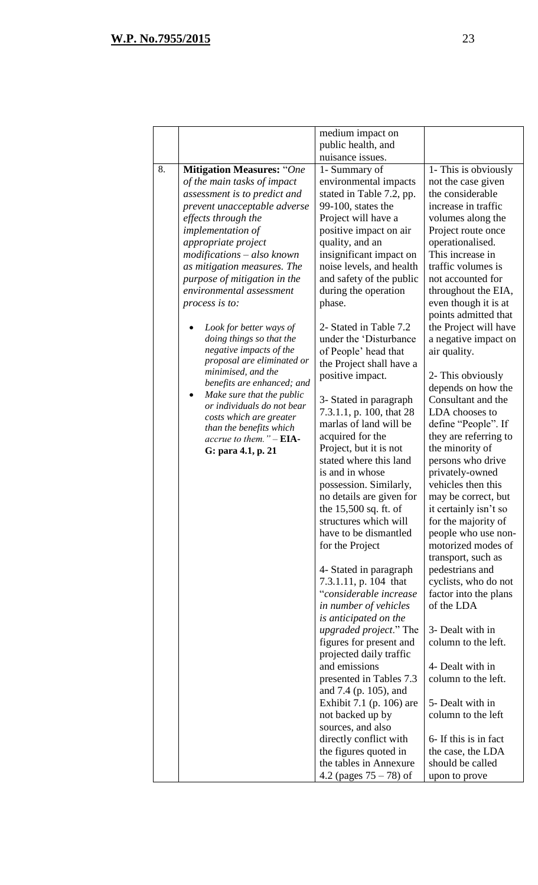|    |                                                  | medium impact on               |                       |
|----|--------------------------------------------------|--------------------------------|-----------------------|
|    |                                                  | public health, and             |                       |
|    |                                                  | nuisance issues.               |                       |
| 8. | <b>Mitigation Measures:</b> "One                 | 1- Summary of                  | 1- This is obviously  |
|    | of the main tasks of impact                      | environmental impacts          | not the case given    |
|    | assessment is to predict and                     | stated in Table 7.2, pp.       | the considerable      |
|    | prevent unacceptable adverse                     | 99-100, states the             | increase in traffic   |
|    | effects through the                              | Project will have a            | volumes along the     |
|    | <i>implementation of</i>                         | positive impact on air         | Project route once    |
|    | appropriate project                              | quality, and an                | operationalised.      |
|    | $modifications - also known$                     | insignificant impact on        | This increase in      |
|    | as mitigation measures. The                      | noise levels, and health       | traffic volumes is    |
|    | purpose of mitigation in the                     | and safety of the public       | not accounted for     |
|    | environmental assessment                         | during the operation           | throughout the EIA,   |
|    | process is to:                                   | phase.                         | even though it is at  |
|    |                                                  |                                | points admitted that  |
|    | Look for better ways of                          | 2- Stated in Table 7.2         | the Project will have |
|    | doing things so that the                         | under the 'Disturbance         | a negative impact on  |
|    | negative impacts of the                          | of People' head that           | air quality.          |
|    | proposal are eliminated or                       | the Project shall have a       |                       |
|    | minimised, and the<br>benefits are enhanced; and | positive impact.               | 2- This obviously     |
|    | Make sure that the public<br>$\bullet$           |                                | depends on how the    |
|    | or individuals do not bear                       | 3- Stated in paragraph         | Consultant and the    |
|    | costs which are greater                          | 7.3.1.1, p. 100, that 28       | LDA chooses to        |
|    | than the benefits which                          | marlas of land will be         | define "People". If   |
|    | accrue to them." - EIA-                          | acquired for the               | they are referring to |
|    | G: para 4.1, p. 21                               | Project, but it is not         | the minority of       |
|    |                                                  | stated where this land         | persons who drive     |
|    |                                                  | is and in whose                | privately-owned       |
|    |                                                  | possession. Similarly,         | vehicles then this    |
|    |                                                  | no details are given for       | may be correct, but   |
|    |                                                  | the 15,500 sq. ft. of          | it certainly isn't so |
|    |                                                  | structures which will          | for the majority of   |
|    |                                                  | have to be dismantled          | people who use non-   |
|    |                                                  | for the Project                | motorized modes of    |
|    |                                                  |                                | transport, such as    |
|    |                                                  | 4- Stated in paragraph         | pedestrians and       |
|    |                                                  | 7.3.1.11, p. 104 that          | cyclists, who do not  |
|    |                                                  | "considerable increase         | factor into the plans |
|    |                                                  | in number of vehicles          | of the LDA            |
|    |                                                  | is anticipated on the          |                       |
|    |                                                  | <i>upgraded project.</i> " The | 3- Dealt with in      |
|    |                                                  | figures for present and        | column to the left.   |
|    |                                                  | projected daily traffic        |                       |
|    |                                                  | and emissions                  | 4- Dealt with in      |
|    |                                                  | presented in Tables 7.3        | column to the left.   |
|    |                                                  | and 7.4 (p. 105), and          |                       |
|    |                                                  | Exhibit 7.1 (p. 106) are       | 5- Dealt with in      |
|    |                                                  | not backed up by               | column to the left    |
|    |                                                  | sources, and also              |                       |
|    |                                                  | directly conflict with         | 6- If this is in fact |
|    |                                                  | the figures quoted in          | the case, the LDA     |
|    |                                                  | the tables in Annexure         | should be called      |
|    |                                                  | 4.2 (pages $75 - 78$ ) of      | upon to prove         |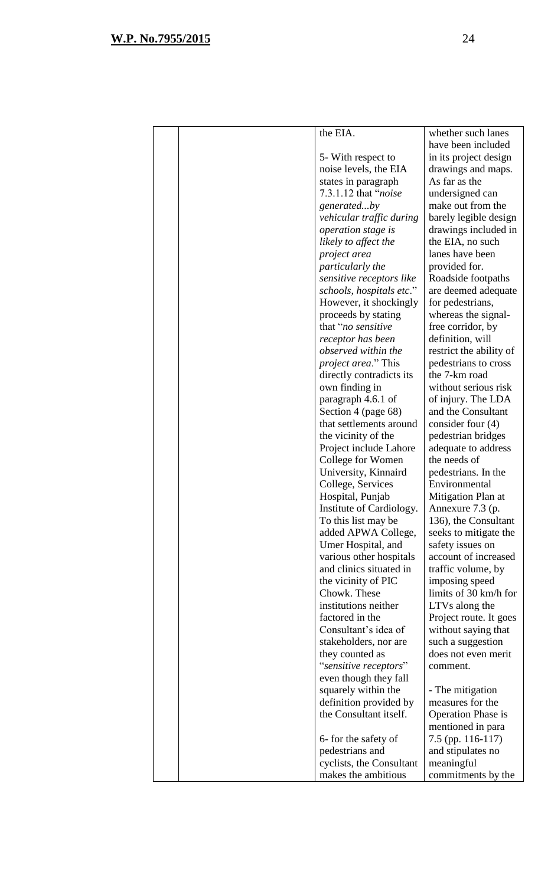| the EIA.<br>whether such lanes<br>have been included<br>5- With respect to<br>in its project design<br>noise levels, the EIA<br>drawings and maps.<br>As far as the<br>states in paragraph<br>7.3.1.12 that "noise"<br>undersigned can<br>make out from the<br>generatedby<br>vehicular traffic during<br>barely legible design<br>operation stage is<br>drawings included in<br>the EIA, no such<br>likely to affect the<br>lanes have been<br>project area<br>particularly the<br>provided for.<br>sensitive receptors like<br>Roadside footpaths<br>schools, hospitals etc."<br>are deemed adequate<br>However, it shockingly<br>for pedestrians,<br>proceeds by stating<br>whereas the signal-<br>that "no sensitive"<br>free corridor, by<br>definition, will<br>receptor has been<br>observed within the<br>restrict the ability of<br><i>project area.</i> " This<br>pedestrians to cross<br>the 7-km road<br>directly contradicts its<br>own finding in<br>without serious risk<br>paragraph 4.6.1 of<br>of injury. The LDA<br>Section 4 (page 68)<br>and the Consultant<br>that settlements around<br>consider four $(4)$<br>the vicinity of the<br>pedestrian bridges<br>Project include Lahore<br>adequate to address<br>College for Women<br>the needs of<br>University, Kinnaird<br>pedestrians. In the<br>College, Services<br>Environmental<br>Hospital, Punjab<br>Mitigation Plan at<br>Institute of Cardiology.<br>Annexure 7.3 (p.<br>To this list may be<br>136), the Consultant<br>added APWA College,<br>seeks to mitigate the<br>Umer Hospital, and<br>safety issues on<br>various other hospitals<br>account of increased<br>and clinics situated in<br>traffic volume, by<br>the vicinity of PIC<br>imposing speed<br>Chowk. These<br>limits of 30 km/h for<br>institutions neither<br>LTVs along the<br>factored in the<br>Project route. It goes<br>Consultant's idea of<br>without saying that<br>stakeholders, nor are<br>such a suggestion<br>they counted as<br>does not even merit<br>"sensitive receptors"<br>comment.<br>even though they fall<br>squarely within the<br>- The mitigation<br>definition provided by<br>measures for the<br>the Consultant itself.<br><b>Operation Phase is</b><br>mentioned in para |                      |                   |
|------------------------------------------------------------------------------------------------------------------------------------------------------------------------------------------------------------------------------------------------------------------------------------------------------------------------------------------------------------------------------------------------------------------------------------------------------------------------------------------------------------------------------------------------------------------------------------------------------------------------------------------------------------------------------------------------------------------------------------------------------------------------------------------------------------------------------------------------------------------------------------------------------------------------------------------------------------------------------------------------------------------------------------------------------------------------------------------------------------------------------------------------------------------------------------------------------------------------------------------------------------------------------------------------------------------------------------------------------------------------------------------------------------------------------------------------------------------------------------------------------------------------------------------------------------------------------------------------------------------------------------------------------------------------------------------------------------------------------------------------------------------------------------------------------------------------------------------------------------------------------------------------------------------------------------------------------------------------------------------------------------------------------------------------------------------------------------------------------------------------------------------------------------------------------------------------------------------------------------------------------|----------------------|-------------------|
|                                                                                                                                                                                                                                                                                                                                                                                                                                                                                                                                                                                                                                                                                                                                                                                                                                                                                                                                                                                                                                                                                                                                                                                                                                                                                                                                                                                                                                                                                                                                                                                                                                                                                                                                                                                                                                                                                                                                                                                                                                                                                                                                                                                                                                                      |                      |                   |
|                                                                                                                                                                                                                                                                                                                                                                                                                                                                                                                                                                                                                                                                                                                                                                                                                                                                                                                                                                                                                                                                                                                                                                                                                                                                                                                                                                                                                                                                                                                                                                                                                                                                                                                                                                                                                                                                                                                                                                                                                                                                                                                                                                                                                                                      |                      |                   |
|                                                                                                                                                                                                                                                                                                                                                                                                                                                                                                                                                                                                                                                                                                                                                                                                                                                                                                                                                                                                                                                                                                                                                                                                                                                                                                                                                                                                                                                                                                                                                                                                                                                                                                                                                                                                                                                                                                                                                                                                                                                                                                                                                                                                                                                      |                      |                   |
|                                                                                                                                                                                                                                                                                                                                                                                                                                                                                                                                                                                                                                                                                                                                                                                                                                                                                                                                                                                                                                                                                                                                                                                                                                                                                                                                                                                                                                                                                                                                                                                                                                                                                                                                                                                                                                                                                                                                                                                                                                                                                                                                                                                                                                                      |                      |                   |
|                                                                                                                                                                                                                                                                                                                                                                                                                                                                                                                                                                                                                                                                                                                                                                                                                                                                                                                                                                                                                                                                                                                                                                                                                                                                                                                                                                                                                                                                                                                                                                                                                                                                                                                                                                                                                                                                                                                                                                                                                                                                                                                                                                                                                                                      |                      |                   |
|                                                                                                                                                                                                                                                                                                                                                                                                                                                                                                                                                                                                                                                                                                                                                                                                                                                                                                                                                                                                                                                                                                                                                                                                                                                                                                                                                                                                                                                                                                                                                                                                                                                                                                                                                                                                                                                                                                                                                                                                                                                                                                                                                                                                                                                      |                      |                   |
|                                                                                                                                                                                                                                                                                                                                                                                                                                                                                                                                                                                                                                                                                                                                                                                                                                                                                                                                                                                                                                                                                                                                                                                                                                                                                                                                                                                                                                                                                                                                                                                                                                                                                                                                                                                                                                                                                                                                                                                                                                                                                                                                                                                                                                                      |                      |                   |
|                                                                                                                                                                                                                                                                                                                                                                                                                                                                                                                                                                                                                                                                                                                                                                                                                                                                                                                                                                                                                                                                                                                                                                                                                                                                                                                                                                                                                                                                                                                                                                                                                                                                                                                                                                                                                                                                                                                                                                                                                                                                                                                                                                                                                                                      |                      |                   |
|                                                                                                                                                                                                                                                                                                                                                                                                                                                                                                                                                                                                                                                                                                                                                                                                                                                                                                                                                                                                                                                                                                                                                                                                                                                                                                                                                                                                                                                                                                                                                                                                                                                                                                                                                                                                                                                                                                                                                                                                                                                                                                                                                                                                                                                      |                      |                   |
|                                                                                                                                                                                                                                                                                                                                                                                                                                                                                                                                                                                                                                                                                                                                                                                                                                                                                                                                                                                                                                                                                                                                                                                                                                                                                                                                                                                                                                                                                                                                                                                                                                                                                                                                                                                                                                                                                                                                                                                                                                                                                                                                                                                                                                                      |                      |                   |
|                                                                                                                                                                                                                                                                                                                                                                                                                                                                                                                                                                                                                                                                                                                                                                                                                                                                                                                                                                                                                                                                                                                                                                                                                                                                                                                                                                                                                                                                                                                                                                                                                                                                                                                                                                                                                                                                                                                                                                                                                                                                                                                                                                                                                                                      |                      |                   |
|                                                                                                                                                                                                                                                                                                                                                                                                                                                                                                                                                                                                                                                                                                                                                                                                                                                                                                                                                                                                                                                                                                                                                                                                                                                                                                                                                                                                                                                                                                                                                                                                                                                                                                                                                                                                                                                                                                                                                                                                                                                                                                                                                                                                                                                      |                      |                   |
|                                                                                                                                                                                                                                                                                                                                                                                                                                                                                                                                                                                                                                                                                                                                                                                                                                                                                                                                                                                                                                                                                                                                                                                                                                                                                                                                                                                                                                                                                                                                                                                                                                                                                                                                                                                                                                                                                                                                                                                                                                                                                                                                                                                                                                                      |                      |                   |
|                                                                                                                                                                                                                                                                                                                                                                                                                                                                                                                                                                                                                                                                                                                                                                                                                                                                                                                                                                                                                                                                                                                                                                                                                                                                                                                                                                                                                                                                                                                                                                                                                                                                                                                                                                                                                                                                                                                                                                                                                                                                                                                                                                                                                                                      |                      |                   |
|                                                                                                                                                                                                                                                                                                                                                                                                                                                                                                                                                                                                                                                                                                                                                                                                                                                                                                                                                                                                                                                                                                                                                                                                                                                                                                                                                                                                                                                                                                                                                                                                                                                                                                                                                                                                                                                                                                                                                                                                                                                                                                                                                                                                                                                      |                      |                   |
|                                                                                                                                                                                                                                                                                                                                                                                                                                                                                                                                                                                                                                                                                                                                                                                                                                                                                                                                                                                                                                                                                                                                                                                                                                                                                                                                                                                                                                                                                                                                                                                                                                                                                                                                                                                                                                                                                                                                                                                                                                                                                                                                                                                                                                                      |                      |                   |
|                                                                                                                                                                                                                                                                                                                                                                                                                                                                                                                                                                                                                                                                                                                                                                                                                                                                                                                                                                                                                                                                                                                                                                                                                                                                                                                                                                                                                                                                                                                                                                                                                                                                                                                                                                                                                                                                                                                                                                                                                                                                                                                                                                                                                                                      |                      |                   |
|                                                                                                                                                                                                                                                                                                                                                                                                                                                                                                                                                                                                                                                                                                                                                                                                                                                                                                                                                                                                                                                                                                                                                                                                                                                                                                                                                                                                                                                                                                                                                                                                                                                                                                                                                                                                                                                                                                                                                                                                                                                                                                                                                                                                                                                      |                      |                   |
|                                                                                                                                                                                                                                                                                                                                                                                                                                                                                                                                                                                                                                                                                                                                                                                                                                                                                                                                                                                                                                                                                                                                                                                                                                                                                                                                                                                                                                                                                                                                                                                                                                                                                                                                                                                                                                                                                                                                                                                                                                                                                                                                                                                                                                                      |                      |                   |
|                                                                                                                                                                                                                                                                                                                                                                                                                                                                                                                                                                                                                                                                                                                                                                                                                                                                                                                                                                                                                                                                                                                                                                                                                                                                                                                                                                                                                                                                                                                                                                                                                                                                                                                                                                                                                                                                                                                                                                                                                                                                                                                                                                                                                                                      |                      |                   |
|                                                                                                                                                                                                                                                                                                                                                                                                                                                                                                                                                                                                                                                                                                                                                                                                                                                                                                                                                                                                                                                                                                                                                                                                                                                                                                                                                                                                                                                                                                                                                                                                                                                                                                                                                                                                                                                                                                                                                                                                                                                                                                                                                                                                                                                      |                      |                   |
|                                                                                                                                                                                                                                                                                                                                                                                                                                                                                                                                                                                                                                                                                                                                                                                                                                                                                                                                                                                                                                                                                                                                                                                                                                                                                                                                                                                                                                                                                                                                                                                                                                                                                                                                                                                                                                                                                                                                                                                                                                                                                                                                                                                                                                                      |                      |                   |
|                                                                                                                                                                                                                                                                                                                                                                                                                                                                                                                                                                                                                                                                                                                                                                                                                                                                                                                                                                                                                                                                                                                                                                                                                                                                                                                                                                                                                                                                                                                                                                                                                                                                                                                                                                                                                                                                                                                                                                                                                                                                                                                                                                                                                                                      |                      |                   |
|                                                                                                                                                                                                                                                                                                                                                                                                                                                                                                                                                                                                                                                                                                                                                                                                                                                                                                                                                                                                                                                                                                                                                                                                                                                                                                                                                                                                                                                                                                                                                                                                                                                                                                                                                                                                                                                                                                                                                                                                                                                                                                                                                                                                                                                      |                      |                   |
|                                                                                                                                                                                                                                                                                                                                                                                                                                                                                                                                                                                                                                                                                                                                                                                                                                                                                                                                                                                                                                                                                                                                                                                                                                                                                                                                                                                                                                                                                                                                                                                                                                                                                                                                                                                                                                                                                                                                                                                                                                                                                                                                                                                                                                                      |                      |                   |
|                                                                                                                                                                                                                                                                                                                                                                                                                                                                                                                                                                                                                                                                                                                                                                                                                                                                                                                                                                                                                                                                                                                                                                                                                                                                                                                                                                                                                                                                                                                                                                                                                                                                                                                                                                                                                                                                                                                                                                                                                                                                                                                                                                                                                                                      |                      |                   |
|                                                                                                                                                                                                                                                                                                                                                                                                                                                                                                                                                                                                                                                                                                                                                                                                                                                                                                                                                                                                                                                                                                                                                                                                                                                                                                                                                                                                                                                                                                                                                                                                                                                                                                                                                                                                                                                                                                                                                                                                                                                                                                                                                                                                                                                      |                      |                   |
|                                                                                                                                                                                                                                                                                                                                                                                                                                                                                                                                                                                                                                                                                                                                                                                                                                                                                                                                                                                                                                                                                                                                                                                                                                                                                                                                                                                                                                                                                                                                                                                                                                                                                                                                                                                                                                                                                                                                                                                                                                                                                                                                                                                                                                                      |                      |                   |
|                                                                                                                                                                                                                                                                                                                                                                                                                                                                                                                                                                                                                                                                                                                                                                                                                                                                                                                                                                                                                                                                                                                                                                                                                                                                                                                                                                                                                                                                                                                                                                                                                                                                                                                                                                                                                                                                                                                                                                                                                                                                                                                                                                                                                                                      |                      |                   |
|                                                                                                                                                                                                                                                                                                                                                                                                                                                                                                                                                                                                                                                                                                                                                                                                                                                                                                                                                                                                                                                                                                                                                                                                                                                                                                                                                                                                                                                                                                                                                                                                                                                                                                                                                                                                                                                                                                                                                                                                                                                                                                                                                                                                                                                      |                      |                   |
|                                                                                                                                                                                                                                                                                                                                                                                                                                                                                                                                                                                                                                                                                                                                                                                                                                                                                                                                                                                                                                                                                                                                                                                                                                                                                                                                                                                                                                                                                                                                                                                                                                                                                                                                                                                                                                                                                                                                                                                                                                                                                                                                                                                                                                                      |                      |                   |
|                                                                                                                                                                                                                                                                                                                                                                                                                                                                                                                                                                                                                                                                                                                                                                                                                                                                                                                                                                                                                                                                                                                                                                                                                                                                                                                                                                                                                                                                                                                                                                                                                                                                                                                                                                                                                                                                                                                                                                                                                                                                                                                                                                                                                                                      |                      |                   |
|                                                                                                                                                                                                                                                                                                                                                                                                                                                                                                                                                                                                                                                                                                                                                                                                                                                                                                                                                                                                                                                                                                                                                                                                                                                                                                                                                                                                                                                                                                                                                                                                                                                                                                                                                                                                                                                                                                                                                                                                                                                                                                                                                                                                                                                      |                      |                   |
|                                                                                                                                                                                                                                                                                                                                                                                                                                                                                                                                                                                                                                                                                                                                                                                                                                                                                                                                                                                                                                                                                                                                                                                                                                                                                                                                                                                                                                                                                                                                                                                                                                                                                                                                                                                                                                                                                                                                                                                                                                                                                                                                                                                                                                                      |                      |                   |
|                                                                                                                                                                                                                                                                                                                                                                                                                                                                                                                                                                                                                                                                                                                                                                                                                                                                                                                                                                                                                                                                                                                                                                                                                                                                                                                                                                                                                                                                                                                                                                                                                                                                                                                                                                                                                                                                                                                                                                                                                                                                                                                                                                                                                                                      |                      |                   |
|                                                                                                                                                                                                                                                                                                                                                                                                                                                                                                                                                                                                                                                                                                                                                                                                                                                                                                                                                                                                                                                                                                                                                                                                                                                                                                                                                                                                                                                                                                                                                                                                                                                                                                                                                                                                                                                                                                                                                                                                                                                                                                                                                                                                                                                      |                      |                   |
|                                                                                                                                                                                                                                                                                                                                                                                                                                                                                                                                                                                                                                                                                                                                                                                                                                                                                                                                                                                                                                                                                                                                                                                                                                                                                                                                                                                                                                                                                                                                                                                                                                                                                                                                                                                                                                                                                                                                                                                                                                                                                                                                                                                                                                                      |                      |                   |
|                                                                                                                                                                                                                                                                                                                                                                                                                                                                                                                                                                                                                                                                                                                                                                                                                                                                                                                                                                                                                                                                                                                                                                                                                                                                                                                                                                                                                                                                                                                                                                                                                                                                                                                                                                                                                                                                                                                                                                                                                                                                                                                                                                                                                                                      |                      |                   |
|                                                                                                                                                                                                                                                                                                                                                                                                                                                                                                                                                                                                                                                                                                                                                                                                                                                                                                                                                                                                                                                                                                                                                                                                                                                                                                                                                                                                                                                                                                                                                                                                                                                                                                                                                                                                                                                                                                                                                                                                                                                                                                                                                                                                                                                      |                      |                   |
|                                                                                                                                                                                                                                                                                                                                                                                                                                                                                                                                                                                                                                                                                                                                                                                                                                                                                                                                                                                                                                                                                                                                                                                                                                                                                                                                                                                                                                                                                                                                                                                                                                                                                                                                                                                                                                                                                                                                                                                                                                                                                                                                                                                                                                                      |                      |                   |
|                                                                                                                                                                                                                                                                                                                                                                                                                                                                                                                                                                                                                                                                                                                                                                                                                                                                                                                                                                                                                                                                                                                                                                                                                                                                                                                                                                                                                                                                                                                                                                                                                                                                                                                                                                                                                                                                                                                                                                                                                                                                                                                                                                                                                                                      |                      |                   |
|                                                                                                                                                                                                                                                                                                                                                                                                                                                                                                                                                                                                                                                                                                                                                                                                                                                                                                                                                                                                                                                                                                                                                                                                                                                                                                                                                                                                                                                                                                                                                                                                                                                                                                                                                                                                                                                                                                                                                                                                                                                                                                                                                                                                                                                      |                      |                   |
|                                                                                                                                                                                                                                                                                                                                                                                                                                                                                                                                                                                                                                                                                                                                                                                                                                                                                                                                                                                                                                                                                                                                                                                                                                                                                                                                                                                                                                                                                                                                                                                                                                                                                                                                                                                                                                                                                                                                                                                                                                                                                                                                                                                                                                                      |                      |                   |
|                                                                                                                                                                                                                                                                                                                                                                                                                                                                                                                                                                                                                                                                                                                                                                                                                                                                                                                                                                                                                                                                                                                                                                                                                                                                                                                                                                                                                                                                                                                                                                                                                                                                                                                                                                                                                                                                                                                                                                                                                                                                                                                                                                                                                                                      |                      |                   |
|                                                                                                                                                                                                                                                                                                                                                                                                                                                                                                                                                                                                                                                                                                                                                                                                                                                                                                                                                                                                                                                                                                                                                                                                                                                                                                                                                                                                                                                                                                                                                                                                                                                                                                                                                                                                                                                                                                                                                                                                                                                                                                                                                                                                                                                      |                      |                   |
|                                                                                                                                                                                                                                                                                                                                                                                                                                                                                                                                                                                                                                                                                                                                                                                                                                                                                                                                                                                                                                                                                                                                                                                                                                                                                                                                                                                                                                                                                                                                                                                                                                                                                                                                                                                                                                                                                                                                                                                                                                                                                                                                                                                                                                                      |                      |                   |
|                                                                                                                                                                                                                                                                                                                                                                                                                                                                                                                                                                                                                                                                                                                                                                                                                                                                                                                                                                                                                                                                                                                                                                                                                                                                                                                                                                                                                                                                                                                                                                                                                                                                                                                                                                                                                                                                                                                                                                                                                                                                                                                                                                                                                                                      |                      |                   |
|                                                                                                                                                                                                                                                                                                                                                                                                                                                                                                                                                                                                                                                                                                                                                                                                                                                                                                                                                                                                                                                                                                                                                                                                                                                                                                                                                                                                                                                                                                                                                                                                                                                                                                                                                                                                                                                                                                                                                                                                                                                                                                                                                                                                                                                      |                      |                   |
|                                                                                                                                                                                                                                                                                                                                                                                                                                                                                                                                                                                                                                                                                                                                                                                                                                                                                                                                                                                                                                                                                                                                                                                                                                                                                                                                                                                                                                                                                                                                                                                                                                                                                                                                                                                                                                                                                                                                                                                                                                                                                                                                                                                                                                                      |                      |                   |
|                                                                                                                                                                                                                                                                                                                                                                                                                                                                                                                                                                                                                                                                                                                                                                                                                                                                                                                                                                                                                                                                                                                                                                                                                                                                                                                                                                                                                                                                                                                                                                                                                                                                                                                                                                                                                                                                                                                                                                                                                                                                                                                                                                                                                                                      |                      |                   |
|                                                                                                                                                                                                                                                                                                                                                                                                                                                                                                                                                                                                                                                                                                                                                                                                                                                                                                                                                                                                                                                                                                                                                                                                                                                                                                                                                                                                                                                                                                                                                                                                                                                                                                                                                                                                                                                                                                                                                                                                                                                                                                                                                                                                                                                      | 6- for the safety of | 7.5 (pp. 116-117) |
| pedestrians and<br>and stipulates no                                                                                                                                                                                                                                                                                                                                                                                                                                                                                                                                                                                                                                                                                                                                                                                                                                                                                                                                                                                                                                                                                                                                                                                                                                                                                                                                                                                                                                                                                                                                                                                                                                                                                                                                                                                                                                                                                                                                                                                                                                                                                                                                                                                                                 |                      |                   |
| cyclists, the Consultant<br>meaningful                                                                                                                                                                                                                                                                                                                                                                                                                                                                                                                                                                                                                                                                                                                                                                                                                                                                                                                                                                                                                                                                                                                                                                                                                                                                                                                                                                                                                                                                                                                                                                                                                                                                                                                                                                                                                                                                                                                                                                                                                                                                                                                                                                                                               |                      |                   |
| makes the ambitious<br>commitments by the                                                                                                                                                                                                                                                                                                                                                                                                                                                                                                                                                                                                                                                                                                                                                                                                                                                                                                                                                                                                                                                                                                                                                                                                                                                                                                                                                                                                                                                                                                                                                                                                                                                                                                                                                                                                                                                                                                                                                                                                                                                                                                                                                                                                            |                      |                   |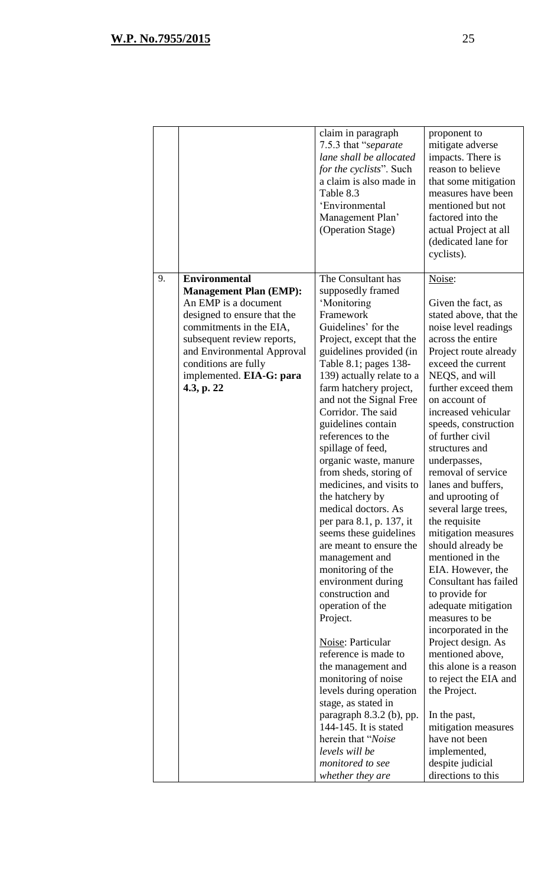|    |                                                                                                                                                                                                                                                                       | claim in paragraph<br>7.5.3 that "separate<br>lane shall be allocated<br><i>for the cyclists</i> ". Such<br>a claim is also made in<br>Table 8.3<br>'Environmental<br>Management Plan'<br>(Operation Stage)                                                                                                                                                                                                                                                                                                                                                                                                                                                                                                                                                                                                                                                                                                                                                    | proponent to<br>mitigate adverse<br>impacts. There is<br>reason to believe<br>that some mitigation<br>measures have been<br>mentioned but not<br>factored into the<br>actual Project at all<br>(dedicated lane for<br>cyclists).                                                                                                                                                                                                                                                                                                                                                                                                                                                                                                                                                                                                                          |
|----|-----------------------------------------------------------------------------------------------------------------------------------------------------------------------------------------------------------------------------------------------------------------------|----------------------------------------------------------------------------------------------------------------------------------------------------------------------------------------------------------------------------------------------------------------------------------------------------------------------------------------------------------------------------------------------------------------------------------------------------------------------------------------------------------------------------------------------------------------------------------------------------------------------------------------------------------------------------------------------------------------------------------------------------------------------------------------------------------------------------------------------------------------------------------------------------------------------------------------------------------------|-----------------------------------------------------------------------------------------------------------------------------------------------------------------------------------------------------------------------------------------------------------------------------------------------------------------------------------------------------------------------------------------------------------------------------------------------------------------------------------------------------------------------------------------------------------------------------------------------------------------------------------------------------------------------------------------------------------------------------------------------------------------------------------------------------------------------------------------------------------|
| 9. | <b>Environmental</b><br><b>Management Plan (EMP):</b><br>An EMP is a document<br>designed to ensure that the<br>commitments in the EIA,<br>subsequent review reports,<br>and Environmental Approval<br>conditions are fully<br>implemented. EIA-G: para<br>4.3, p. 22 | The Consultant has<br>supposedly framed<br>'Monitoring<br>Framework<br>Guidelines' for the<br>Project, except that the<br>guidelines provided (in<br>Table 8.1; pages 138-<br>139) actually relate to a<br>farm hatchery project,<br>and not the Signal Free<br>Corridor. The said<br>guidelines contain<br>references to the<br>spillage of feed,<br>organic waste, manure<br>from sheds, storing of<br>medicines, and visits to<br>the hatchery by<br>medical doctors. As<br>per para 8.1, p. 137, it<br>seems these guidelines<br>are meant to ensure the<br>management and<br>monitoring of the<br>environment during<br>construction and<br>operation of the<br>Project.<br>Noise: Particular<br>reference is made to<br>the management and<br>monitoring of noise<br>levels during operation<br>stage, as stated in<br>paragraph 8.3.2 (b), pp.<br>144-145. It is stated<br>herein that "Noise<br>levels will be<br>monitored to see<br>whether they are | Noise:<br>Given the fact, as<br>stated above, that the<br>noise level readings<br>across the entire<br>Project route already<br>exceed the current<br>NEQS, and will<br>further exceed them<br>on account of<br>increased vehicular<br>speeds, construction<br>of further civil<br>structures and<br>underpasses,<br>removal of service<br>lanes and buffers,<br>and uprooting of<br>several large trees,<br>the requisite<br>mitigation measures<br>should already be<br>mentioned in the<br>EIA. However, the<br>Consultant has failed<br>to provide for<br>adequate mitigation<br>measures to be<br>incorporated in the<br>Project design. As<br>mentioned above,<br>this alone is a reason<br>to reject the EIA and<br>the Project.<br>In the past,<br>mitigation measures<br>have not been<br>implemented,<br>despite judicial<br>directions to this |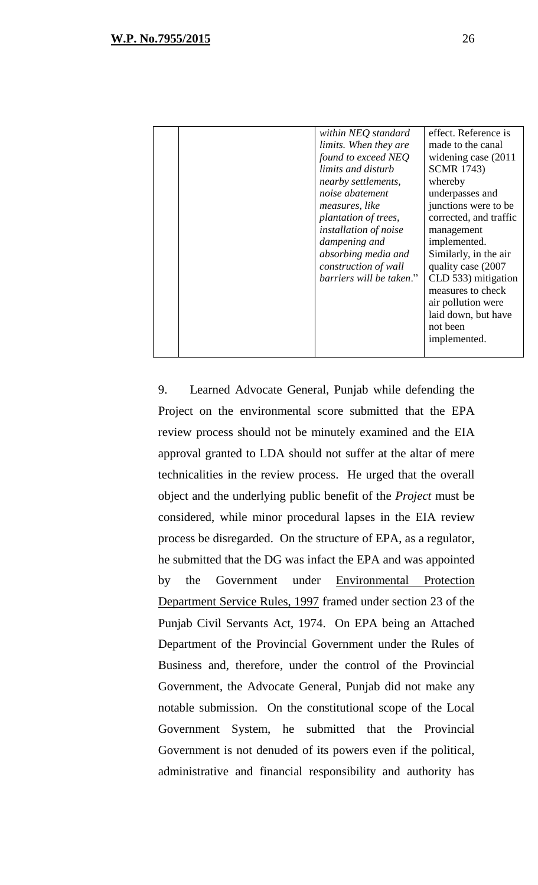|  | within NEQ standard          | effect. Reference is   |
|--|------------------------------|------------------------|
|  | <i>limits.</i> When they are | made to the canal      |
|  | found to exceed NEO          | widening case (2011)   |
|  | limits and disturb           | <b>SCMR</b> 1743)      |
|  | <i>nearby settlements,</i>   | whereby                |
|  | noise abatement              | underpasses and        |
|  | <i>measures, like</i>        | junctions were to be   |
|  | plantation of trees,         | corrected, and traffic |
|  | installation of noise        | management             |
|  | dampening and                | implemented.           |
|  | absorbing media and          | Similarly, in the air  |
|  | construction of wall         | quality case (2007)    |
|  | barriers will be taken."     | CLD 533) mitigation    |
|  |                              | measures to check      |
|  |                              | air pollution were     |
|  |                              | laid down, but have    |
|  |                              | not been               |
|  |                              | implemented.           |
|  |                              |                        |
|  |                              |                        |

9. Learned Advocate General, Punjab while defending the Project on the environmental score submitted that the EPA review process should not be minutely examined and the EIA approval granted to LDA should not suffer at the altar of mere technicalities in the review process. He urged that the overall object and the underlying public benefit of the *Project* must be considered, while minor procedural lapses in the EIA review process be disregarded. On the structure of EPA, as a regulator, he submitted that the DG was infact the EPA and was appointed by the Government under Environmental Protection Department Service Rules, 1997 framed under section 23 of the Punjab Civil Servants Act, 1974. On EPA being an Attached Department of the Provincial Government under the Rules of Business and, therefore, under the control of the Provincial Government, the Advocate General, Punjab did not make any notable submission. On the constitutional scope of the Local Government System, he submitted that the Provincial Government is not denuded of its powers even if the political, administrative and financial responsibility and authority has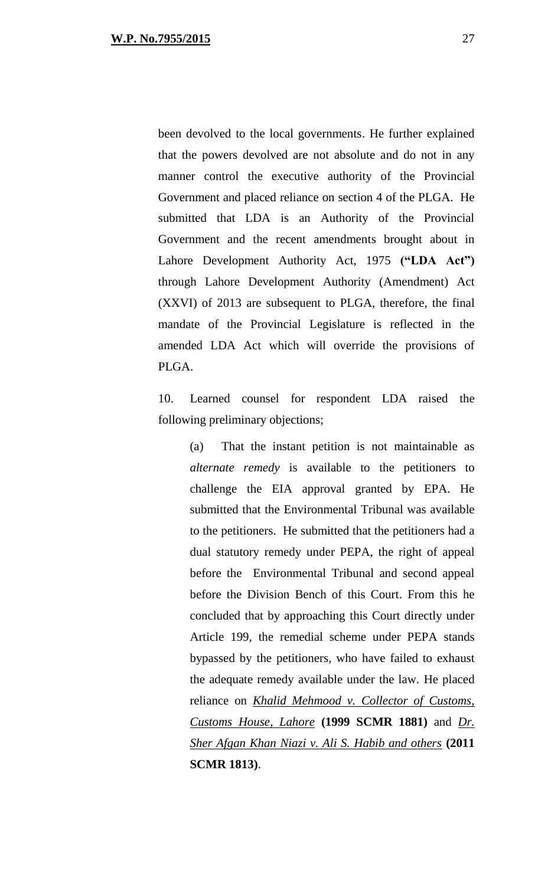been devolved to the local governments. He further explained that the powers devolved are not absolute and do not in any manner control the executive authority of the Provincial Government and placed reliance on section 4 of the PLGA. He submitted that LDA is an Authority of the Provincial Government and the recent amendments brought about in Lahore Development Authority Act, 1975 **("LDA Act")** through Lahore Development Authority (Amendment) Act (XXVI) of 2013 are subsequent to PLGA, therefore, the final mandate of the Provincial Legislature is reflected in the amended LDA Act which will override the provisions of PLGA.

10. Learned counsel for respondent LDA raised the following preliminary objections;

(a) That the instant petition is not maintainable as *alternate remedy* is available to the petitioners to challenge the EIA approval granted by EPA. He submitted that the Environmental Tribunal was available to the petitioners. He submitted that the petitioners had a dual statutory remedy under PEPA, the right of appeal before the Environmental Tribunal and second appeal before the Division Bench of this Court. From this he concluded that by approaching this Court directly under Article 199, the remedial scheme under PEPA stands bypassed by the petitioners, who have failed to exhaust the adequate remedy available under the law. He placed reliance on *Khalid Mehmood v. Collector of Customs, Customs House, Lahore* **(1999 SCMR 1881)** and *Dr. Sher Afgan Khan Niazi v. Ali S. Habib and others* **(2011 SCMR 1813)**.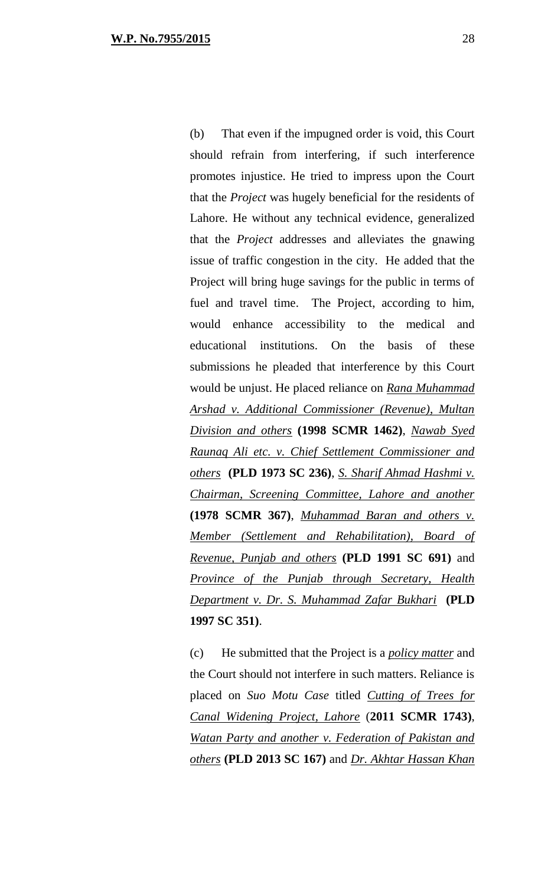(b) That even if the impugned order is void, this Court should refrain from interfering, if such interference promotes injustice. He tried to impress upon the Court that the *Project* was hugely beneficial for the residents of Lahore. He without any technical evidence, generalized that the *Project* addresses and alleviates the gnawing issue of traffic congestion in the city. He added that the Project will bring huge savings for the public in terms of fuel and travel time. The Project, according to him, would enhance accessibility to the medical and educational institutions. On the basis of these submissions he pleaded that interference by this Court would be unjust. He placed reliance on *Rana Muhammad Arshad v. Additional Commissioner (Revenue), Multan Division and others* **(1998 SCMR 1462)**, *Nawab Syed Raunaq Ali etc. v. Chief Settlement Commissioner and others* **(PLD 1973 SC 236)**, *S. Sharif Ahmad Hashmi v. Chairman, Screening Committee, Lahore and another* **(1978 SCMR 367)**, *Muhammad Baran and others v. Member (Settlement and Rehabilitation), Board of Revenue, Punjab and others* **(PLD 1991 SC 691)** and *Province of the Punjab through Secretary, Health Department v. Dr. S. Muhammad Zafar Bukhari* **(PLD 1997 SC 351)**.

(c) He submitted that the Project is a *policy matter* and the Court should not interfere in such matters. Reliance is placed on *Suo Motu Case* titled *Cutting of Trees for Canal Widening Project, Lahore* (**2011 SCMR 1743)**, *Watan Party and another v. Federation of Pakistan and others* **(PLD 2013 SC 167)** and *Dr. Akhtar Hassan Khan*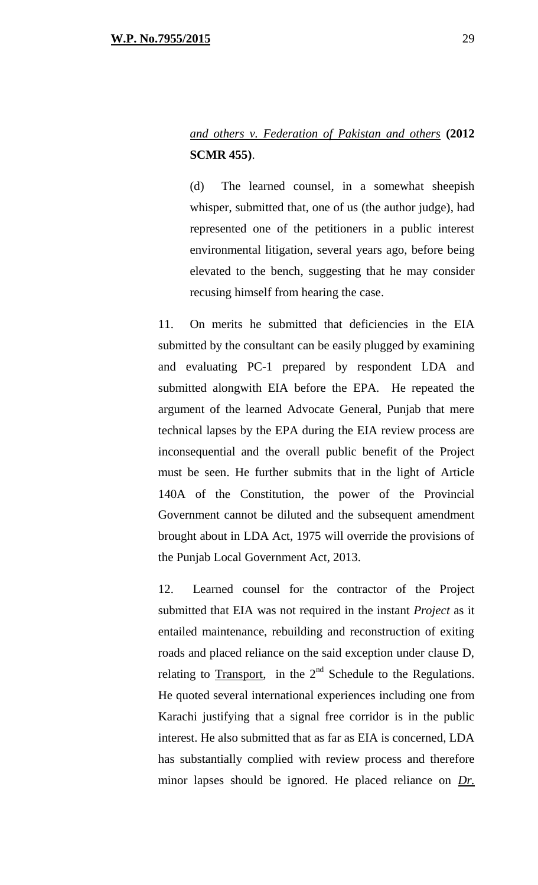## *and others v. Federation of Pakistan and others* **(2012 SCMR 455)**.

(d) The learned counsel, in a somewhat sheepish whisper, submitted that, one of us (the author judge), had represented one of the petitioners in a public interest environmental litigation, several years ago, before being elevated to the bench, suggesting that he may consider recusing himself from hearing the case.

11. On merits he submitted that deficiencies in the EIA submitted by the consultant can be easily plugged by examining and evaluating PC-1 prepared by respondent LDA and submitted alongwith EIA before the EPA. He repeated the argument of the learned Advocate General, Punjab that mere technical lapses by the EPA during the EIA review process are inconsequential and the overall public benefit of the Project must be seen. He further submits that in the light of Article 140A of the Constitution, the power of the Provincial Government cannot be diluted and the subsequent amendment brought about in LDA Act, 1975 will override the provisions of the Punjab Local Government Act, 2013.

12. Learned counsel for the contractor of the Project submitted that EIA was not required in the instant *Project* as it entailed maintenance, rebuilding and reconstruction of exiting roads and placed reliance on the said exception under clause D, relating to Transport, in the  $2<sup>nd</sup>$  Schedule to the Regulations. He quoted several international experiences including one from Karachi justifying that a signal free corridor is in the public interest. He also submitted that as far as EIA is concerned, LDA has substantially complied with review process and therefore minor lapses should be ignored. He placed reliance on *Dr.*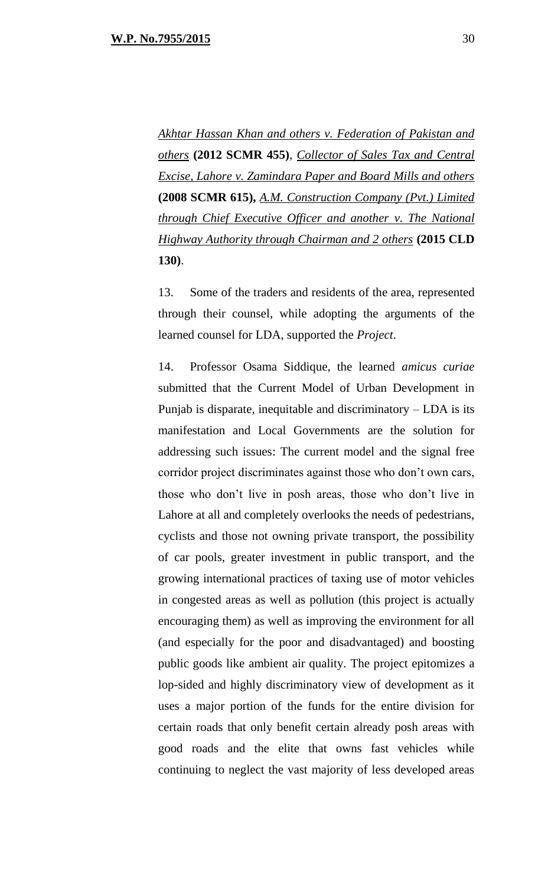*Akhtar Hassan Khan and others v. Federation of Pakistan and others* **(2012 SCMR 455)**, *Collector of Sales Tax and Central Excise, Lahore v. Zamindara Paper and Board Mills and others* **(2008 SCMR 615),** *A.M. Construction Company (Pvt.) Limited through Chief Executive Officer and another v. The National Highway Authority through Chairman and 2 others* **(2015 CLD 130)**.

13. Some of the traders and residents of the area, represented through their counsel, while adopting the arguments of the learned counsel for LDA, supported the *Project*.

14. Professor Osama Siddique, the learned *amicus curiae* submitted that the Current Model of Urban Development in Punjab is disparate, inequitable and discriminatory – LDA is its manifestation and Local Governments are the solution for addressing such issues: The current model and the signal free corridor project discriminates against those who don't own cars, those who don't live in posh areas, those who don't live in Lahore at all and completely overlooks the needs of pedestrians, cyclists and those not owning private transport, the possibility of car pools, greater investment in public transport, and the growing international practices of taxing use of motor vehicles in congested areas as well as pollution (this project is actually encouraging them) as well as improving the environment for all (and especially for the poor and disadvantaged) and boosting public goods like ambient air quality. The project epitomizes a lop-sided and highly discriminatory view of development as it uses a major portion of the funds for the entire division for certain roads that only benefit certain already posh areas with good roads and the elite that owns fast vehicles while continuing to neglect the vast majority of less developed areas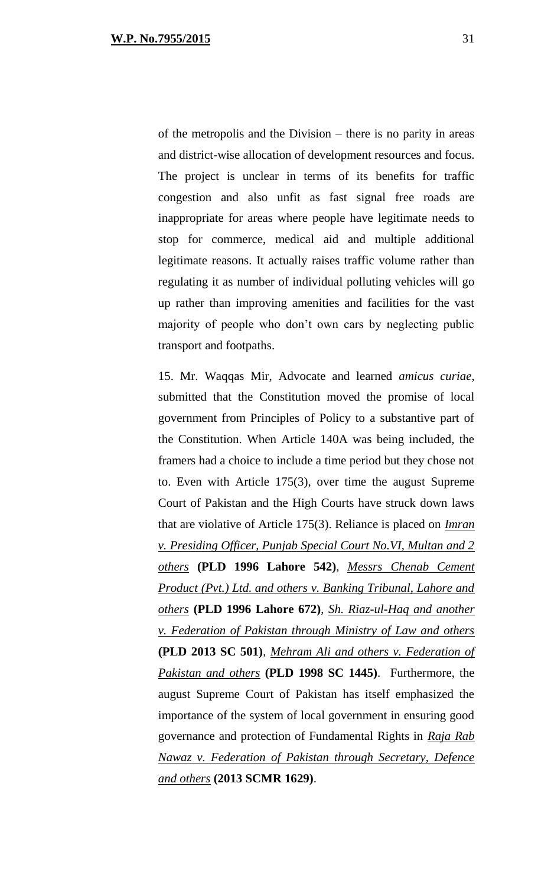of the metropolis and the Division – there is no parity in areas and district-wise allocation of development resources and focus. The project is unclear in terms of its benefits for traffic congestion and also unfit as fast signal free roads are inappropriate for areas where people have legitimate needs to stop for commerce, medical aid and multiple additional legitimate reasons. It actually raises traffic volume rather than regulating it as number of individual polluting vehicles will go up rather than improving amenities and facilities for the vast majority of people who don't own cars by neglecting public transport and footpaths.

15. Mr. Waqqas Mir, Advocate and learned *amicus curiae*, submitted that the Constitution moved the promise of local government from Principles of Policy to a substantive part of the Constitution. When Article 140A was being included, the framers had a choice to include a time period but they chose not to. Even with Article 175(3), over time the august Supreme Court of Pakistan and the High Courts have struck down laws that are violative of Article 175(3). Reliance is placed on *Imran v. Presiding Officer, Punjab Special Court No.VI, Multan and 2 others* **(PLD 1996 Lahore 542)**, *Messrs Chenab Cement Product (Pvt.) Ltd. and others v. Banking Tribunal, Lahore and others* **(PLD 1996 Lahore 672)**, *Sh. Riaz-ul-Haq and another v. Federation of Pakistan through Ministry of Law and others* **(PLD 2013 SC 501)**, *Mehram Ali and others v. Federation of Pakistan and others* **(PLD 1998 SC 1445)**. Furthermore, the august Supreme Court of Pakistan has itself emphasized the importance of the system of local government in ensuring good governance and protection of Fundamental Rights in *Raja Rab Nawaz v. Federation of Pakistan through Secretary, Defence and others* **(2013 SCMR 1629)**.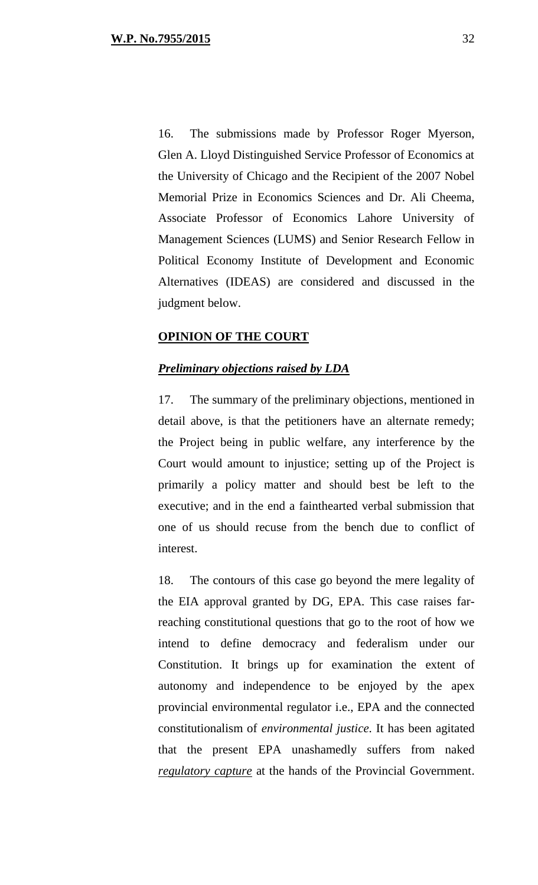16. The submissions made by Professor Roger Myerson, Glen A. Lloyd Distinguished Service Professor of Economics at the University of Chicago and the Recipient of the 2007 Nobel Memorial Prize in Economics Sciences and Dr. Ali Cheema, Associate Professor of Economics Lahore University of Management Sciences (LUMS) and Senior Research Fellow in Political Economy Institute of Development and Economic Alternatives (IDEAS) are considered and discussed in the judgment below.

#### **OPINION OF THE COURT**

#### *Preliminary objections raised by LDA*

17. The summary of the preliminary objections, mentioned in detail above, is that the petitioners have an alternate remedy; the Project being in public welfare, any interference by the Court would amount to injustice; setting up of the Project is primarily a policy matter and should best be left to the executive; and in the end a fainthearted verbal submission that one of us should recuse from the bench due to conflict of interest.

18. The contours of this case go beyond the mere legality of the EIA approval granted by DG, EPA. This case raises farreaching constitutional questions that go to the root of how we intend to define democracy and federalism under our Constitution. It brings up for examination the extent of autonomy and independence to be enjoyed by the apex provincial environmental regulator i.e., EPA and the connected constitutionalism of *environmental justice*. It has been agitated that the present EPA unashamedly suffers from naked *regulatory capture* at the hands of the Provincial Government.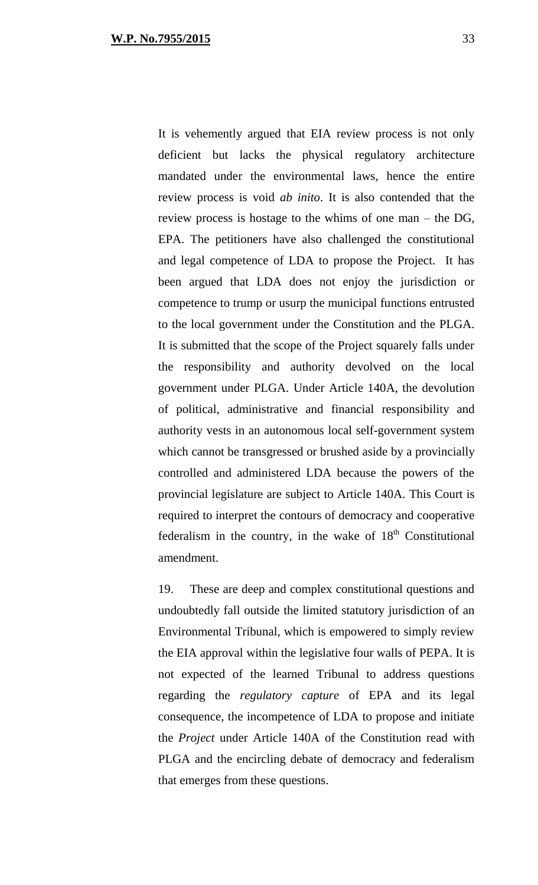It is vehemently argued that EIA review process is not only deficient but lacks the physical regulatory architecture mandated under the environmental laws, hence the entire review process is void *ab inito*. It is also contended that the review process is hostage to the whims of one man – the DG, EPA. The petitioners have also challenged the constitutional and legal competence of LDA to propose the Project. It has been argued that LDA does not enjoy the jurisdiction or competence to trump or usurp the municipal functions entrusted to the local government under the Constitution and the PLGA. It is submitted that the scope of the Project squarely falls under the responsibility and authority devolved on the local government under PLGA. Under Article 140A, the devolution of political, administrative and financial responsibility and authority vests in an autonomous local self-government system which cannot be transgressed or brushed aside by a provincially controlled and administered LDA because the powers of the

provincial legislature are subject to Article 140A. This Court is required to interpret the contours of democracy and cooperative federalism in the country, in the wake of  $18<sup>th</sup>$  Constitutional amendment.

19. These are deep and complex constitutional questions and undoubtedly fall outside the limited statutory jurisdiction of an Environmental Tribunal, which is empowered to simply review the EIA approval within the legislative four walls of PEPA. It is not expected of the learned Tribunal to address questions regarding the *regulatory capture* of EPA and its legal consequence, the incompetence of LDA to propose and initiate the *Project* under Article 140A of the Constitution read with PLGA and the encircling debate of democracy and federalism that emerges from these questions.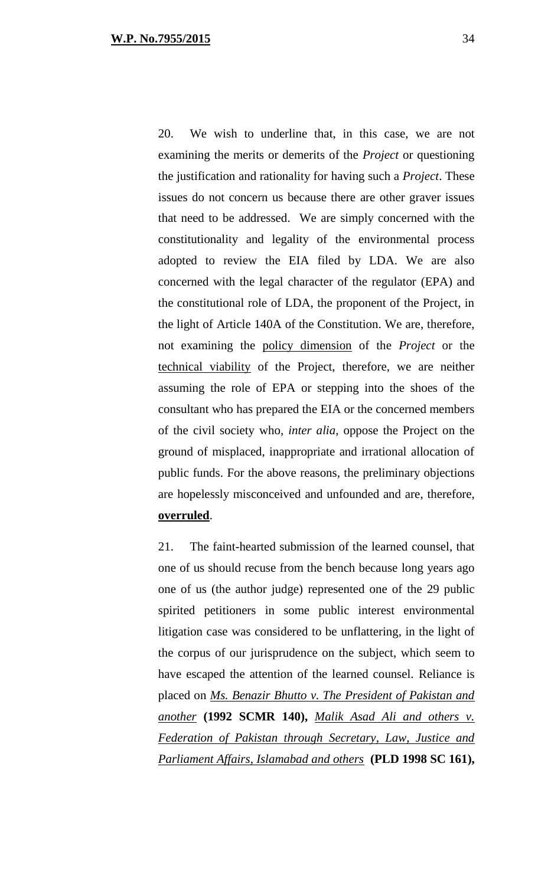20. We wish to underline that, in this case, we are not examining the merits or demerits of the *Project* or questioning the justification and rationality for having such a *Project*. These issues do not concern us because there are other graver issues that need to be addressed. We are simply concerned with the constitutionality and legality of the environmental process adopted to review the EIA filed by LDA. We are also concerned with the legal character of the regulator (EPA) and the constitutional role of LDA, the proponent of the Project, in the light of Article 140A of the Constitution. We are, therefore, not examining the policy dimension of the *Project* or the technical viability of the Project, therefore, we are neither assuming the role of EPA or stepping into the shoes of the consultant who has prepared the EIA or the concerned members of the civil society who, *inter alia*, oppose the Project on the ground of misplaced, inappropriate and irrational allocation of public funds. For the above reasons, the preliminary objections are hopelessly misconceived and unfounded and are, therefore, **overruled**.

21. The faint-hearted submission of the learned counsel, that one of us should recuse from the bench because long years ago one of us (the author judge) represented one of the 29 public spirited petitioners in some public interest environmental litigation case was considered to be unflattering, in the light of the corpus of our jurisprudence on the subject, which seem to have escaped the attention of the learned counsel. Reliance is placed on *Ms. Benazir Bhutto v. The President of Pakistan and another* **(1992 SCMR 140),** *Malik Asad Ali and others v. Federation of Pakistan through Secretary, Law, Justice and Parliament Affairs, Islamabad and others* **(PLD 1998 SC 161),**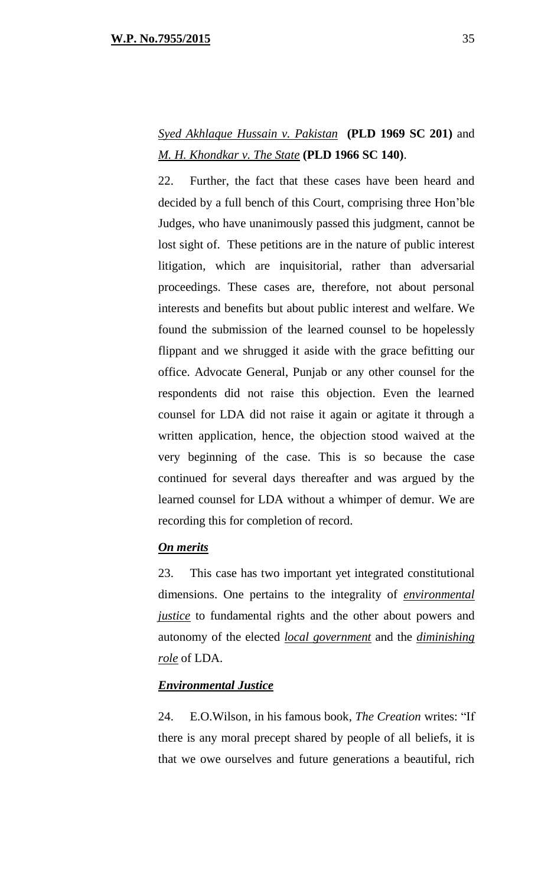# *Syed Akhlaque Hussain v. Pakistan* **(PLD 1969 SC 201)** and *M. H. Khondkar v. The State* **(PLD 1966 SC 140)**.

22. Further, the fact that these cases have been heard and decided by a full bench of this Court, comprising three Hon'ble Judges, who have unanimously passed this judgment, cannot be lost sight of. These petitions are in the nature of public interest litigation, which are inquisitorial, rather than adversarial proceedings. These cases are, therefore, not about personal interests and benefits but about public interest and welfare. We found the submission of the learned counsel to be hopelessly flippant and we shrugged it aside with the grace befitting our office. Advocate General, Punjab or any other counsel for the respondents did not raise this objection. Even the learned counsel for LDA did not raise it again or agitate it through a written application, hence, the objection stood waived at the very beginning of the case. This is so because the case continued for several days thereafter and was argued by the learned counsel for LDA without a whimper of demur. We are recording this for completion of record.

### *On merits*

23. This case has two important yet integrated constitutional dimensions. One pertains to the integrality of *environmental justice* to fundamental rights and the other about powers and autonomy of the elected *local government* and the *diminishing role* of LDA.

### *Environmental Justice*

24. E.O.Wilson, in his famous book, *The Creation* writes: "If there is any moral precept shared by people of all beliefs, it is that we owe ourselves and future generations a beautiful, rich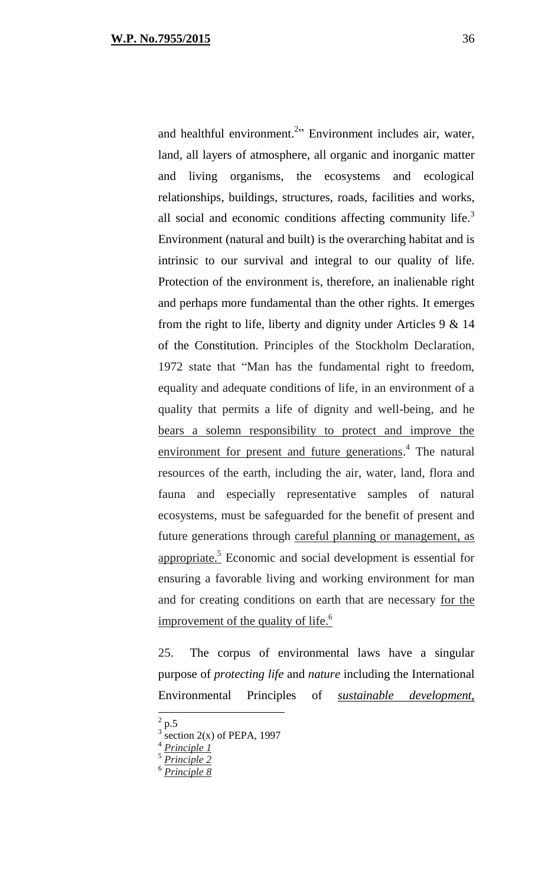and healthful environment.<sup>2</sup><sup>2</sup> Environment includes air, water, land, all layers of atmosphere, all organic and inorganic matter and living organisms, the ecosystems and ecological relationships, buildings, structures, roads, facilities and works, all social and economic conditions affecting community life. $3$ Environment (natural and built) is the overarching habitat and is intrinsic to our survival and integral to our quality of life. Protection of the environment is, therefore, an inalienable right and perhaps more fundamental than the other rights. It emerges from the right to life, liberty and dignity under Articles 9 & 14 of the Constitution. Principles of the Stockholm Declaration, 1972 state that "Man has the fundamental right to freedom, equality and adequate conditions of life, in an environment of a quality that permits a life of dignity and well-being, and he bears a solemn responsibility to protect and improve the environment for present and future generations.<sup>4</sup> The natural resources of the earth, including the air, water, land, flora and fauna and especially representative samples of natural ecosystems, must be safeguarded for the benefit of present and future generations through careful planning or management, as appropriate.<sup>5</sup> Economic and social development is essential for ensuring a favorable living and working environment for man and for creating conditions on earth that are necessary for the improvement of the quality of life.<sup>6</sup>

25. The corpus of environmental laws have a singular purpose of *protecting life* and *nature* including the International Environmental Principles of *sustainable development,* 

 $\overline{a}$ 

 $^{2}$  p.5

<sup>3</sup> section  $2(x)$  of PEPA, 1997

<sup>4</sup> *Principle 1*

<sup>5</sup> *Principle 2* 

<sup>6</sup> *Principle 8*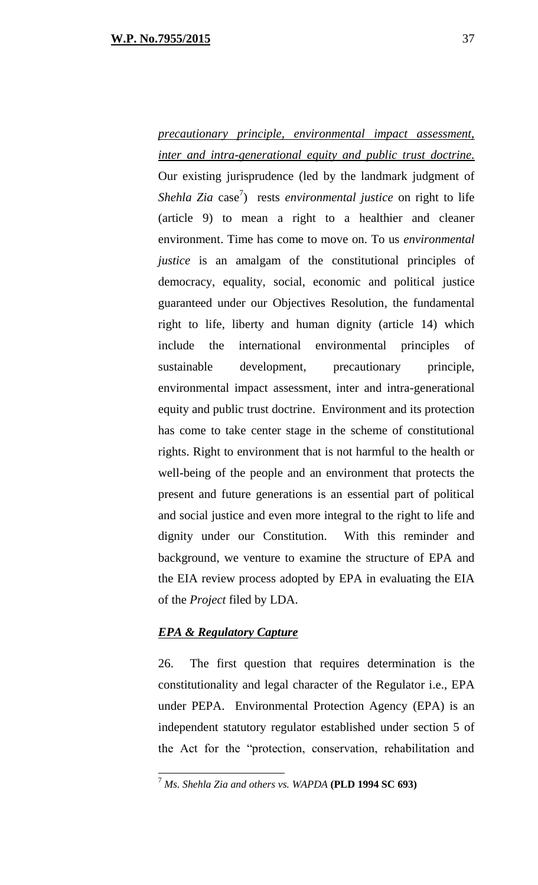*precautionary principle, environmental impact assessment, inter and intra-generational equity and public trust doctrine.* Our existing jurisprudence (led by the landmark judgment of *Shehla Zia* case<sup>7</sup>) rests *environmental justice* on right to life (article 9) to mean a right to a healthier and cleaner environment. Time has come to move on. To us *environmental justice* is an amalgam of the constitutional principles of democracy, equality, social, economic and political justice guaranteed under our Objectives Resolution, the fundamental right to life, liberty and human dignity (article 14) which include the international environmental principles of sustainable development, precautionary principle, environmental impact assessment, inter and intra-generational equity and public trust doctrine. Environment and its protection has come to take center stage in the scheme of constitutional rights. Right to environment that is not harmful to the health or well-being of the people and an environment that protects the present and future generations is an essential part of political and social justice and even more integral to the right to life and dignity under our Constitution. With this reminder and background, we venture to examine the structure of EPA and the EIA review process adopted by EPA in evaluating the EIA of the *Project* filed by LDA.

## *EPA & Regulatory Capture*

 $\overline{a}$ 

26. The first question that requires determination is the constitutionality and legal character of the Regulator i.e., EPA under PEPA. Environmental Protection Agency (EPA) is an independent statutory regulator established under section 5 of the Act for the "protection, conservation, rehabilitation and

<sup>7</sup> *Ms. Shehla Zia and others vs. WAPDA* **(PLD 1994 SC 693)**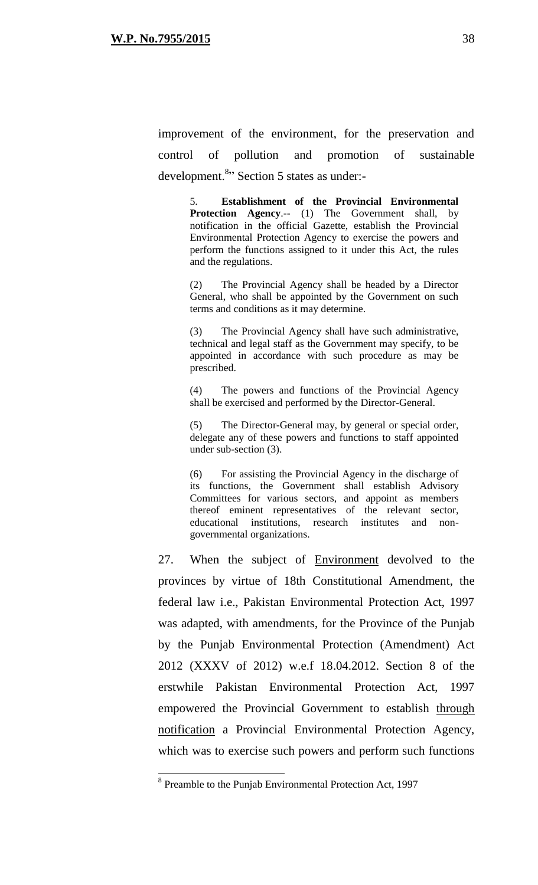improvement of the environment, for the preservation and control of pollution and promotion of sustainable development.<sup>8</sup>" Section 5 states as under:-

> 5. **Establishment of the Provincial Environmental Protection Agency**.-- (1) The Government shall, by notification in the official Gazette, establish the Provincial Environmental Protection Agency to exercise the powers and perform the functions assigned to it under this Act, the rules and the regulations.

> (2) The Provincial Agency shall be headed by a Director General, who shall be appointed by the Government on such terms and conditions as it may determine.

> (3) The Provincial Agency shall have such administrative, technical and legal staff as the Government may specify, to be appointed in accordance with such procedure as may be prescribed.

> (4) The powers and functions of the Provincial Agency shall be exercised and performed by the Director-General.

> (5) The Director-General may, by general or special order, delegate any of these powers and functions to staff appointed under sub-section (3).

> (6) For assisting the Provincial Agency in the discharge of its functions, the Government shall establish Advisory Committees for various sectors, and appoint as members thereof eminent representatives of the relevant sector, educational institutions, research institutes and nongovernmental organizations.

27. When the subject of Environment devolved to the provinces by virtue of 18th Constitutional Amendment, the federal law i.e., Pakistan Environmental Protection Act, 1997 was adapted, with amendments, for the Province of the Punjab by the Punjab Environmental Protection (Amendment) Act 2012 (XXXV of 2012) w.e.f 18.04.2012. Section 8 of the erstwhile Pakistan Environmental Protection Act, 1997 empowered the Provincial Government to establish through notification a Provincial Environmental Protection Agency, which was to exercise such powers and perform such functions

<sup>&</sup>lt;sup>8</sup> Preamble to the Punjab Environmental Protection Act, 1997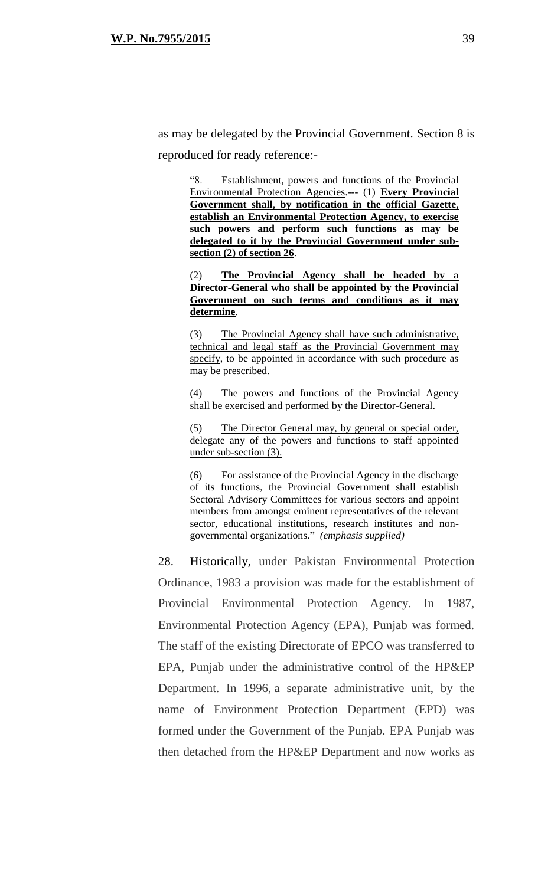as may be delegated by the Provincial Government. Section 8 is reproduced for ready reference:-

> "8. Establishment, powers and functions of the Provincial Environmental Protection Agencies.--- (1) **Every Provincial Government shall, by notification in the official Gazette, establish an Environmental Protection Agency, to exercise such powers and perform such functions as may be delegated to it by the Provincial Government under subsection (2) of section 26**.

> (2) **The Provincial Agency shall be headed by a Director-General who shall be appointed by the Provincial Government on such terms and conditions as it may determine**.

> (3) The Provincial Agency shall have such administrative, technical and legal staff as the Provincial Government may specify, to be appointed in accordance with such procedure as may be prescribed.

> (4) The powers and functions of the Provincial Agency shall be exercised and performed by the Director-General.

> (5) The Director General may, by general or special order, delegate any of the powers and functions to staff appointed under sub-section (3).

> (6) For assistance of the Provincial Agency in the discharge of its functions, the Provincial Government shall establish Sectoral Advisory Committees for various sectors and appoint members from amongst eminent representatives of the relevant sector, educational institutions, research institutes and nongovernmental organizations." *(emphasis supplied)*

28. Historically, under Pakistan Environmental Protection Ordinance, 1983 a provision was made for the establishment of Provincial Environmental Protection Agency. In 1987, Environmental Protection Agency (EPA), Punjab was formed. The staff of the existing Directorate of EPCO was transferred to EPA, Punjab under the administrative control of the HP&EP Department. In 1996, a separate administrative unit, by the name of Environment Protection Department (EPD) was formed under the Government of the Punjab. EPA Punjab was then detached from the HP&EP Department and now works as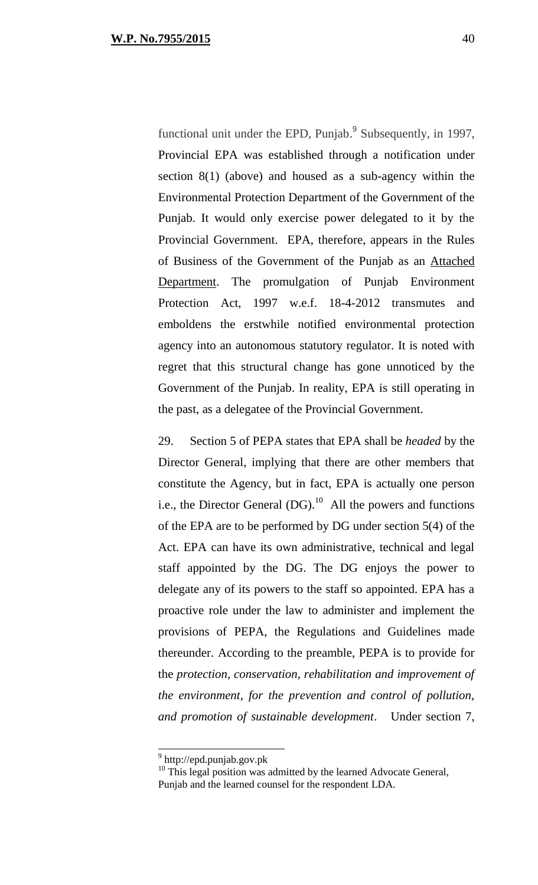functional unit under the EPD, Punjab.<sup>9</sup> Subsequently, in 1997, Provincial EPA was established through a notification under section 8(1) (above) and housed as a sub-agency within the Environmental Protection Department of the Government of the Punjab. It would only exercise power delegated to it by the Provincial Government. EPA, therefore, appears in the Rules of Business of the Government of the Punjab as an Attached Department. The promulgation of Punjab Environment Protection Act, 1997 w.e.f. 18-4-2012 transmutes and emboldens the erstwhile notified environmental protection agency into an autonomous statutory regulator. It is noted with regret that this structural change has gone unnoticed by the Government of the Punjab. In reality, EPA is still operating in the past, as a delegatee of the Provincial Government.

29. Section 5 of PEPA states that EPA shall be *headed* by the Director General, implying that there are other members that constitute the Agency, but in fact, EPA is actually one person i.e., the Director General  $(DG)$ .<sup>10</sup> All the powers and functions of the EPA are to be performed by DG under section 5(4) of the Act. EPA can have its own administrative, technical and legal staff appointed by the DG. The DG enjoys the power to delegate any of its powers to the staff so appointed. EPA has a proactive role under the law to administer and implement the provisions of PEPA, the Regulations and Guidelines made thereunder. According to the preamble, PEPA is to provide for the *protection, conservation, rehabilitation and improvement of the environment, for the prevention and control of pollution, and promotion of sustainable development*. Under section 7,

<sup>&</sup>lt;sup>9</sup> http://epd.punjab.gov.pk

<sup>&</sup>lt;sup>10</sup> This legal position was admitted by the learned Advocate General, Punjab and the learned counsel for the respondent LDA.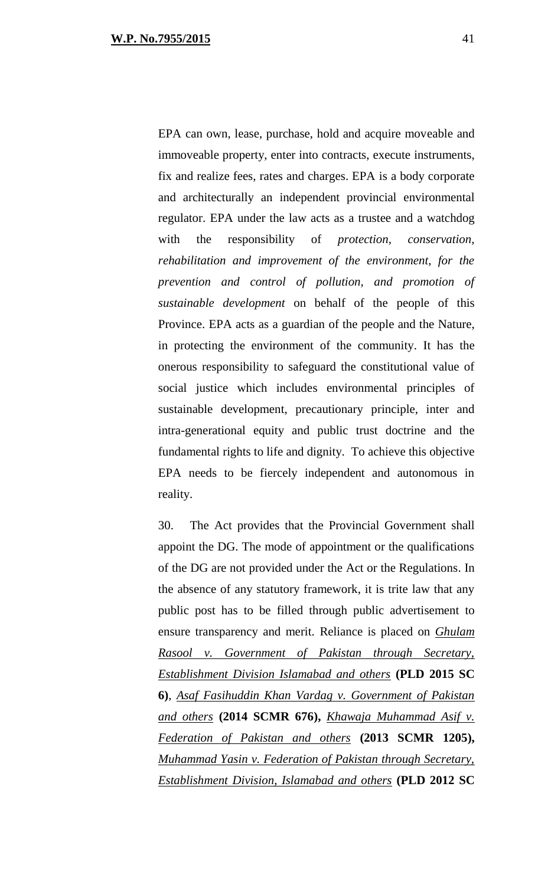EPA can own, lease, purchase, hold and acquire moveable and immoveable property, enter into contracts, execute instruments, fix and realize fees, rates and charges. EPA is a body corporate and architecturally an independent provincial environmental regulator. EPA under the law acts as a trustee and a watchdog with the responsibility of *protection, conservation, rehabilitation and improvement of the environment, for the prevention and control of pollution, and promotion of sustainable development* on behalf of the people of this Province. EPA acts as a guardian of the people and the Nature, in protecting the environment of the community. It has the onerous responsibility to safeguard the constitutional value of social justice which includes environmental principles of sustainable development, precautionary principle, inter and intra-generational equity and public trust doctrine and the fundamental rights to life and dignity. To achieve this objective EPA needs to be fiercely independent and autonomous in reality.

30. The Act provides that the Provincial Government shall appoint the DG. The mode of appointment or the qualifications of the DG are not provided under the Act or the Regulations. In the absence of any statutory framework, it is trite law that any public post has to be filled through public advertisement to ensure transparency and merit. Reliance is placed on *Ghulam Rasool v. Government of Pakistan through Secretary, Establishment Division Islamabad and others* **(PLD 2015 SC 6)**, *Asaf Fasihuddin Khan Vardag v. Government of Pakistan and others* **(2014 SCMR 676),** *Khawaja Muhammad Asif v. Federation of Pakistan and others* **(2013 SCMR 1205),** *Muhammad Yasin v. Federation of Pakistan through Secretary, Establishment Division, Islamabad and others* **(PLD 2012 SC**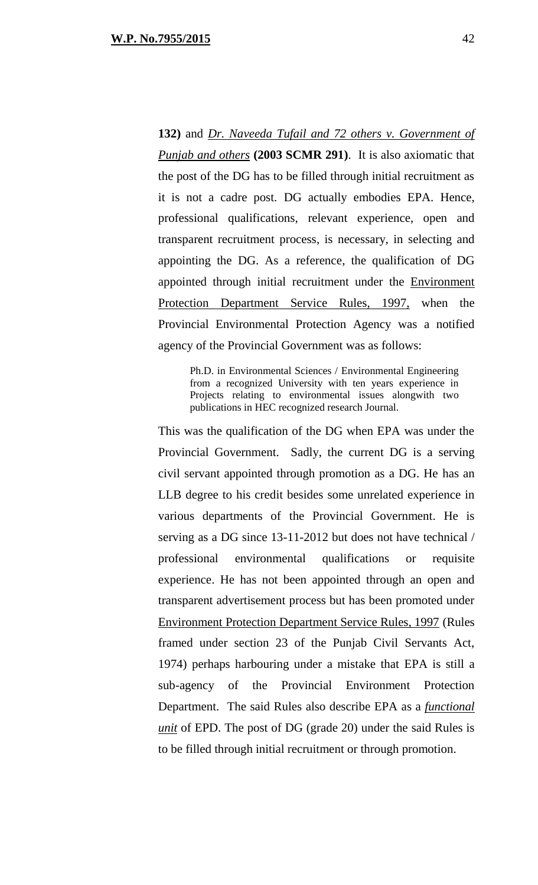**132)** and *Dr. Naveeda Tufail and 72 others v. Government of Punjab and others* **(2003 SCMR 291)**. It is also axiomatic that the post of the DG has to be filled through initial recruitment as it is not a cadre post. DG actually embodies EPA. Hence, professional qualifications, relevant experience, open and transparent recruitment process, is necessary, in selecting and appointing the DG. As a reference, the qualification of DG appointed through initial recruitment under the Environment Protection Department Service Rules, 1997, when the Provincial Environmental Protection Agency was a notified agency of the Provincial Government was as follows:

Ph.D. in Environmental Sciences / Environmental Engineering from a recognized University with ten years experience in Projects relating to environmental issues alongwith two publications in HEC recognized research Journal.

This was the qualification of the DG when EPA was under the Provincial Government. Sadly, the current DG is a serving civil servant appointed through promotion as a DG. He has an LLB degree to his credit besides some unrelated experience in various departments of the Provincial Government. He is serving as a DG since 13-11-2012 but does not have technical / professional environmental qualifications or requisite experience. He has not been appointed through an open and transparent advertisement process but has been promoted under Environment Protection Department Service Rules, 1997 (Rules framed under section 23 of the Punjab Civil Servants Act, 1974) perhaps harbouring under a mistake that EPA is still a sub-agency of the Provincial Environment Protection Department. The said Rules also describe EPA as a *functional unit* of EPD. The post of DG (grade 20) under the said Rules is to be filled through initial recruitment or through promotion.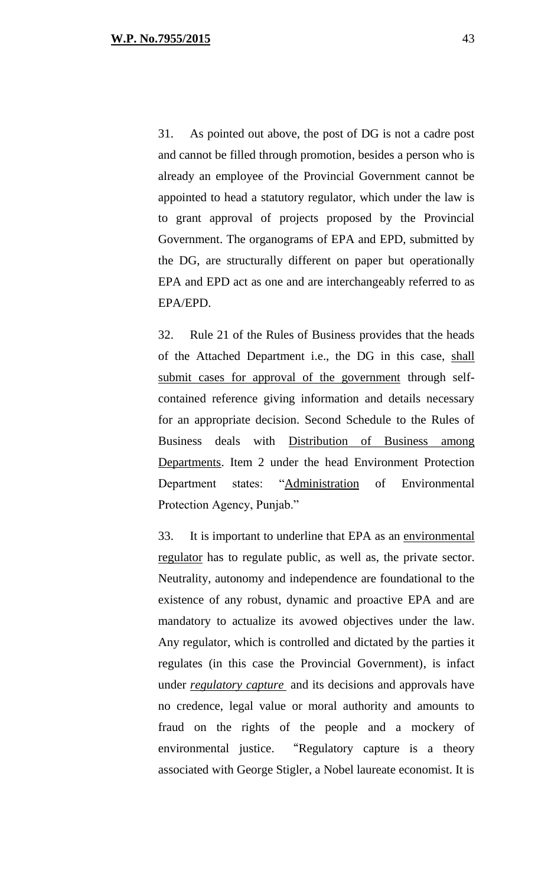31. As pointed out above, the post of DG is not a cadre post and cannot be filled through promotion, besides a person who is already an employee of the Provincial Government cannot be appointed to head a statutory regulator, which under the law is to grant approval of projects proposed by the Provincial Government. The organograms of EPA and EPD, submitted by the DG, are structurally different on paper but operationally EPA and EPD act as one and are interchangeably referred to as EPA/EPD.

32. Rule 21 of the Rules of Business provides that the heads of the Attached Department i.e., the DG in this case, shall submit cases for approval of the government through selfcontained reference giving information and details necessary for an appropriate decision. Second Schedule to the Rules of Business deals with Distribution of Business among Departments. Item 2 under the head Environment Protection Department states: "Administration of Environmental Protection Agency, Punjab."

33. It is important to underline that EPA as an environmental regulator has to regulate public, as well as, the private sector. Neutrality, autonomy and independence are foundational to the existence of any robust, dynamic and proactive EPA and are mandatory to actualize its avowed objectives under the law. Any regulator, which is controlled and dictated by the parties it regulates (in this case the Provincial Government), is infact under *regulatory capture* and its decisions and approvals have no credence, legal value or moral authority and amounts to fraud on the rights of the people and a mockery of environmental justice. "Regulatory capture is a theory associated with George Stigler, a Nobel laureate economist. It is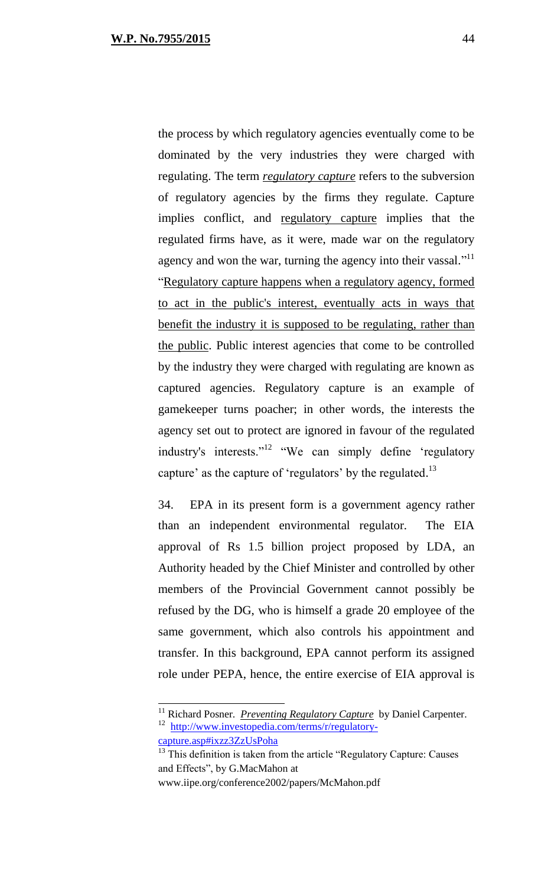the process by which regulatory agencies eventually come to be dominated by the very industries they were charged with regulating. The term *regulatory capture* refers to the subversion of regulatory agencies by the firms they regulate. Capture implies conflict, and regulatory capture implies that the regulated firms have, as it were, made war on the regulatory agency and won the war, turning the agency into their vassal."<sup>11</sup> "Regulatory capture happens when a regulatory agency, formed to act in the public's interest, eventually acts in ways that benefit the industry it is supposed to be regulating, rather than the public. Public interest agencies that come to be controlled by the industry they were charged with regulating are known as captured agencies. Regulatory capture is an example of gamekeeper turns poacher; in other words, the interests the agency set out to protect are ignored in favour of the regulated industry's interests."<sup>12</sup> "We can simply define 'regulatory capture' as the capture of 'regulators' by the regulated.<sup>13</sup>

34. EPA in its present form is a government agency rather than an independent environmental regulator. The EIA approval of Rs 1.5 billion project proposed by LDA, an Authority headed by the Chief Minister and controlled by other members of the Provincial Government cannot possibly be refused by the DG, who is himself a grade 20 employee of the same government, which also controls his appointment and transfer. In this background, EPA cannot perform its assigned role under PEPA, hence, the entire exercise of EIA approval is

www.iipe.org/conference2002/papers/McMahon.pdf

<sup>&</sup>lt;sup>11</sup> Richard Posner. *Preventing Regulatory Capture* by Daniel Carpenter. <sup>12</sup> [http://www.investopedia.com/terms/r/regulatory](http://www.investopedia.com/terms/r/regulatory-capture.asp#ixzz3ZzUsPoha)[capture.asp#ixzz3ZzUsPoha](http://www.investopedia.com/terms/r/regulatory-capture.asp#ixzz3ZzUsPoha)

 $13$  This definition is taken from the article "Regulatory Capture: Causes and Effects", by G.MacMahon at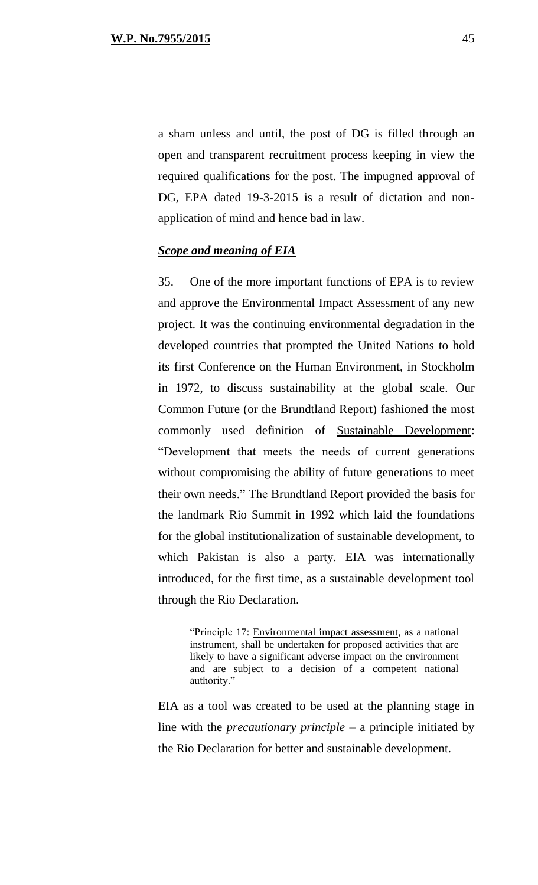a sham unless and until, the post of DG is filled through an open and transparent recruitment process keeping in view the required qualifications for the post. The impugned approval of DG, EPA dated 19-3-2015 is a result of dictation and nonapplication of mind and hence bad in law.

## *Scope and meaning of EIA*

35. One of the more important functions of EPA is to review and approve the Environmental Impact Assessment of any new project. It was the continuing environmental degradation in the developed countries that prompted the United Nations to hold its first Conference on the Human Environment, in Stockholm in 1972, to discuss sustainability at the global scale. Our Common Future (or the Brundtland Report) fashioned the most commonly used definition of Sustainable Development: "Development that meets the needs of current generations without compromising the ability of future generations to meet their own needs." The Brundtland Report provided the basis for the landmark Rio Summit in 1992 which laid the foundations for the global institutionalization of sustainable development, to which Pakistan is also a party. EIA was internationally introduced, for the first time, as a sustainable development tool through the Rio Declaration.

"Principle 17: Environmental impact assessment, as a national instrument, shall be undertaken for proposed activities that are likely to have a significant adverse impact on the environment and are subject to a decision of a competent national authority."

EIA as a tool was created to be used at the planning stage in line with the *precautionary principle* – a principle initiated by the Rio Declaration for better and sustainable development.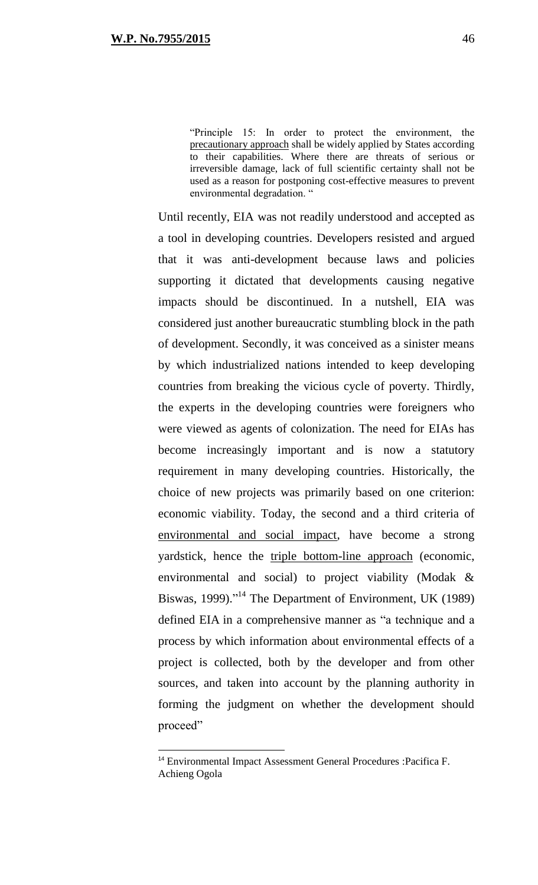"Principle 15: In order to protect the environment, the precautionary approach shall be widely applied by States according to their capabilities. Where there are threats of serious or irreversible damage, lack of full scientific certainty shall not be used as a reason for postponing cost-effective measures to prevent environmental degradation. "

Until recently, EIA was not readily understood and accepted as a tool in developing countries. Developers resisted and argued that it was anti-development because laws and policies supporting it dictated that developments causing negative impacts should be discontinued. In a nutshell, EIA was considered just another bureaucratic stumbling block in the path of development. Secondly, it was conceived as a sinister means by which industrialized nations intended to keep developing countries from breaking the vicious cycle of poverty. Thirdly, the experts in the developing countries were foreigners who were viewed as agents of colonization. The need for EIAs has become increasingly important and is now a statutory requirement in many developing countries. Historically, the choice of new projects was primarily based on one criterion: economic viability. Today, the second and a third criteria of environmental and social impact, have become a strong yardstick, hence the triple bottom-line approach (economic, environmental and social) to project viability (Modak & Biswas, 1999)."<sup>14</sup> The Department of Environment, UK (1989) defined EIA in a comprehensive manner as "a technique and a process by which information about environmental effects of a project is collected, both by the developer and from other sources, and taken into account by the planning authority in forming the judgment on whether the development should proceed"

<sup>14</sup> Environmental Impact Assessment General Procedures :Pacifica F. Achieng Ogola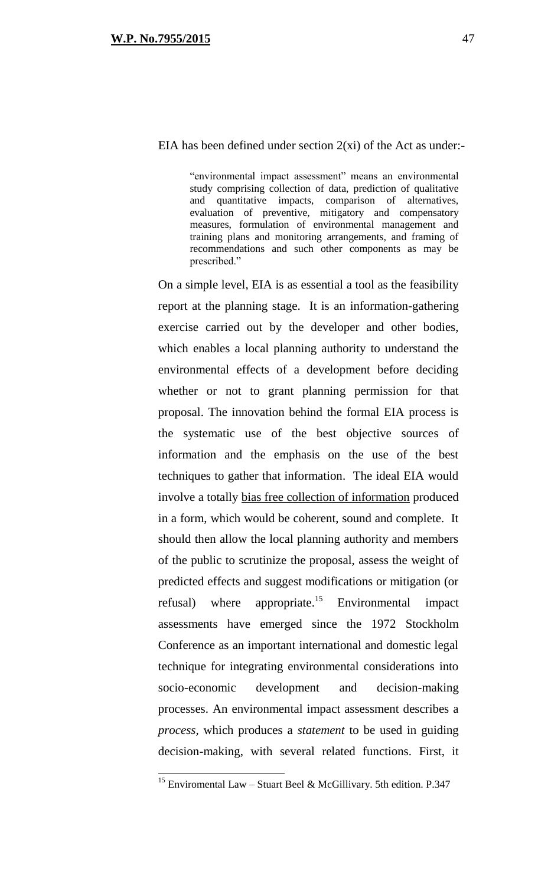## EIA has been defined under section  $2(x_i)$  of the Act as under:-

"environmental impact assessment" means an environmental study comprising collection of data, prediction of qualitative and quantitative impacts, comparison of alternatives, evaluation of preventive, mitigatory and compensatory measures, formulation of environmental management and training plans and monitoring arrangements, and framing of recommendations and such other components as may be prescribed."

On a simple level, EIA is as essential a tool as the feasibility report at the planning stage. It is an information-gathering exercise carried out by the developer and other bodies, which enables a local planning authority to understand the environmental effects of a development before deciding whether or not to grant planning permission for that proposal. The innovation behind the formal EIA process is the systematic use of the best objective sources of information and the emphasis on the use of the best techniques to gather that information. The ideal EIA would involve a totally bias free collection of information produced in a form, which would be coherent, sound and complete. It should then allow the local planning authority and members of the public to scrutinize the proposal, assess the weight of predicted effects and suggest modifications or mitigation (or refusal) where appropriate.<sup>15</sup> Environmental impact assessments have emerged since the 1972 Stockholm Conference as an important international and domestic legal technique for integrating environmental considerations into socio-economic development and decision-making processes. An environmental impact assessment describes a *process,* which produces a *statement* to be used in guiding decision-making, with several related functions. First, it

<sup>&</sup>lt;sup>15</sup> Enviromental Law – Stuart Beel & McGillivary. 5th edition. P.347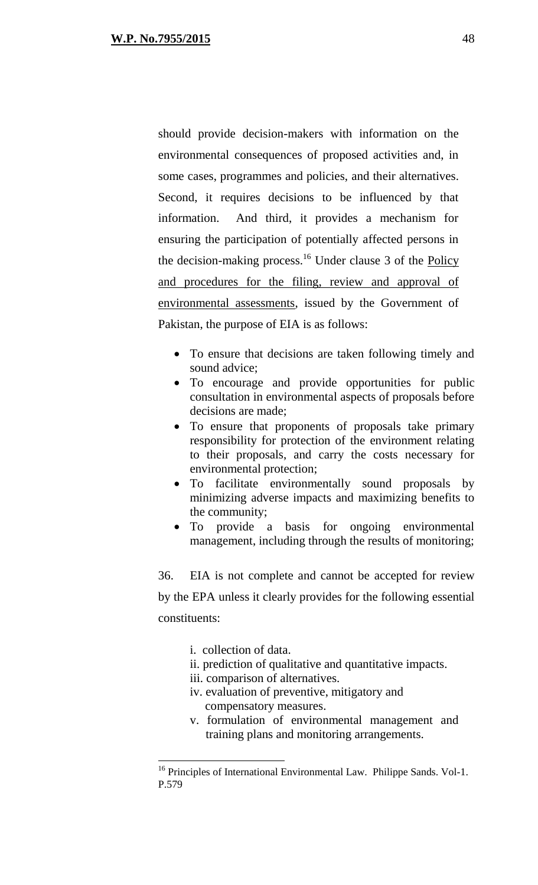should provide decision-makers with information on the environmental consequences of proposed activities and, in some cases, programmes and policies, and their alternatives. Second, it requires decisions to be influenced by that information. And third, it provides a mechanism for ensuring the participation of potentially affected persons in the decision-making process.<sup>16</sup> Under clause 3 of the <u>Policy</u> and procedures for the filing, review and approval of environmental assessments, issued by the Government of Pakistan, the purpose of EIA is as follows:

- To ensure that decisions are taken following timely and sound advice;
- To encourage and provide opportunities for public consultation in environmental aspects of proposals before decisions are made;
- To ensure that proponents of proposals take primary responsibility for protection of the environment relating to their proposals, and carry the costs necessary for environmental protection;
- To facilitate environmentally sound proposals by minimizing adverse impacts and maximizing benefits to the community;
- To provide a basis for ongoing environmental management, including through the results of monitoring;

36. EIA is not complete and cannot be accepted for review by the EPA unless it clearly provides for the following essential constituents:

i. collection of data.

- ii. prediction of qualitative and quantitative impacts.
- iii. comparison of alternatives.
- iv. evaluation of preventive, mitigatory and compensatory measures.
- v. formulation of environmental management and training plans and monitoring arrangements.

<sup>&</sup>lt;sup>16</sup> Principles of International Environmental Law. Philippe Sands. Vol-1. P.579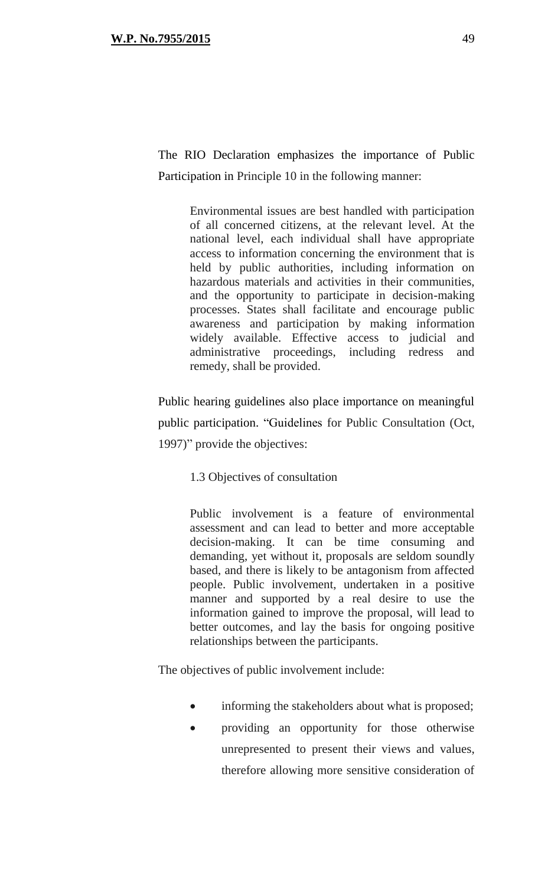The RIO Declaration emphasizes the importance of Public Participation in Principle 10 in the following manner:

> Environmental issues are best handled with participation of all concerned citizens, at the relevant level. At the national level, each individual shall have appropriate access to information concerning the environment that is held by public authorities, including information on hazardous materials and activities in their communities, and the opportunity to participate in decision-making processes. States shall facilitate and encourage public awareness and participation by making information widely available. Effective access to judicial and administrative proceedings, including redress and remedy, shall be provided.

Public hearing guidelines also place importance on meaningful public participation. "Guidelines for Public Consultation (Oct, 1997)" provide the objectives:

1.3 Objectives of consultation

Public involvement is a feature of environmental assessment and can lead to better and more acceptable decision-making. It can be time consuming and demanding, yet without it, proposals are seldom soundly based, and there is likely to be antagonism from affected people. Public involvement, undertaken in a positive manner and supported by a real desire to use the information gained to improve the proposal, will lead to better outcomes, and lay the basis for ongoing positive relationships between the participants.

The objectives of public involvement include:

- informing the stakeholders about what is proposed;
- providing an opportunity for those otherwise unrepresented to present their views and values, therefore allowing more sensitive consideration of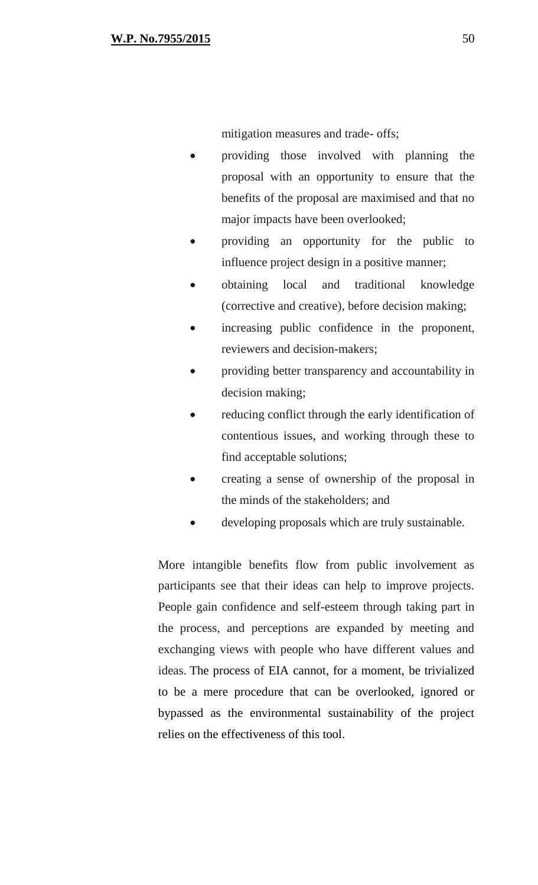mitigation measures and trade- offs;

- providing those involved with planning the proposal with an opportunity to ensure that the benefits of the proposal are maximised and that no major impacts have been overlooked;
- providing an opportunity for the public to influence project design in a positive manner;
- obtaining local and traditional knowledge (corrective and creative), before decision making;
- increasing public confidence in the proponent, reviewers and decision-makers;
- providing better transparency and accountability in decision making;
- reducing conflict through the early identification of contentious issues, and working through these to find acceptable solutions;
- creating a sense of ownership of the proposal in the minds of the stakeholders; and
- developing proposals which are truly sustainable.

More intangible benefits flow from public involvement as participants see that their ideas can help to improve projects. People gain confidence and self-esteem through taking part in the process, and perceptions are expanded by meeting and exchanging views with people who have different values and ideas. The process of EIA cannot, for a moment, be trivialized to be a mere procedure that can be overlooked, ignored or bypassed as the environmental sustainability of the project relies on the effectiveness of this tool.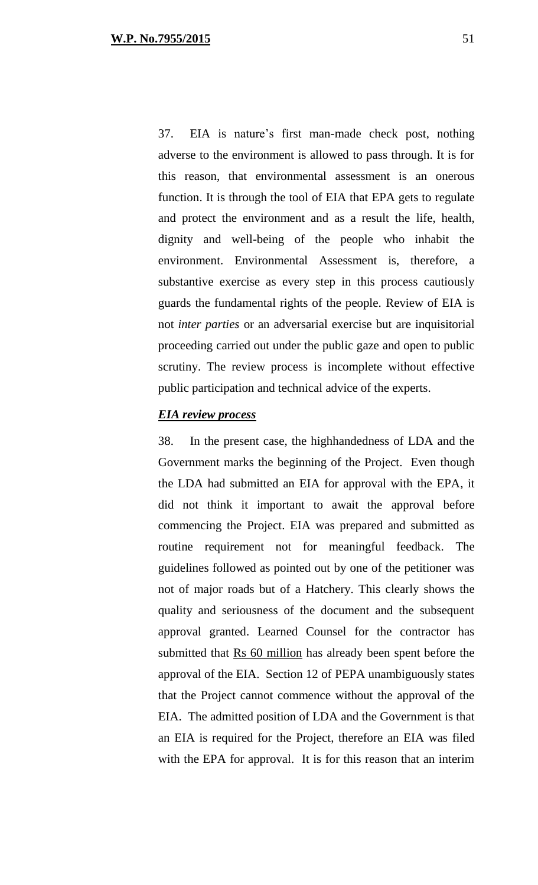37. EIA is nature's first man-made check post, nothing adverse to the environment is allowed to pass through. It is for this reason, that environmental assessment is an onerous function. It is through the tool of EIA that EPA gets to regulate and protect the environment and as a result the life, health, dignity and well-being of the people who inhabit the environment. Environmental Assessment is, therefore, a substantive exercise as every step in this process cautiously guards the fundamental rights of the people. Review of EIA is not *inter parties* or an adversarial exercise but are inquisitorial proceeding carried out under the public gaze and open to public scrutiny. The review process is incomplete without effective public participation and technical advice of the experts.

## *EIA review process*

38. In the present case, the highhandedness of LDA and the Government marks the beginning of the Project. Even though the LDA had submitted an EIA for approval with the EPA, it did not think it important to await the approval before commencing the Project. EIA was prepared and submitted as routine requirement not for meaningful feedback. The guidelines followed as pointed out by one of the petitioner was not of major roads but of a Hatchery. This clearly shows the quality and seriousness of the document and the subsequent approval granted. Learned Counsel for the contractor has submitted that Rs 60 million has already been spent before the approval of the EIA. Section 12 of PEPA unambiguously states that the Project cannot commence without the approval of the EIA. The admitted position of LDA and the Government is that an EIA is required for the Project, therefore an EIA was filed with the EPA for approval. It is for this reason that an interim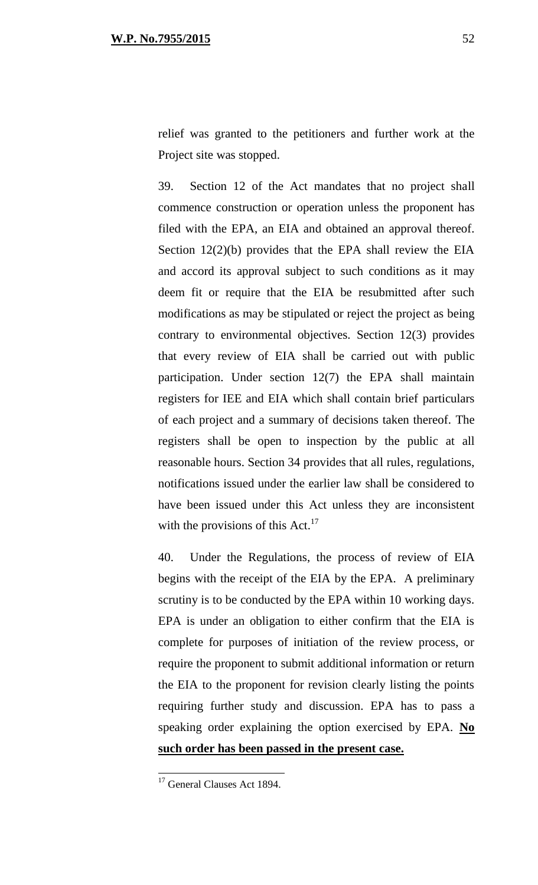relief was granted to the petitioners and further work at the Project site was stopped.

39. Section 12 of the Act mandates that no project shall commence construction or operation unless the proponent has filed with the EPA, an EIA and obtained an approval thereof. Section 12(2)(b) provides that the EPA shall review the EIA and accord its approval subject to such conditions as it may deem fit or require that the EIA be resubmitted after such modifications as may be stipulated or reject the project as being contrary to environmental objectives. Section 12(3) provides that every review of EIA shall be carried out with public participation. Under section 12(7) the EPA shall maintain registers for IEE and EIA which shall contain brief particulars of each project and a summary of decisions taken thereof. The registers shall be open to inspection by the public at all reasonable hours. Section 34 provides that all rules, regulations, notifications issued under the earlier law shall be considered to have been issued under this Act unless they are inconsistent with the provisions of this Act. $^{17}$ 

40. Under the Regulations, the process of review of EIA begins with the receipt of the EIA by the EPA. A preliminary scrutiny is to be conducted by the EPA within 10 working days. EPA is under an obligation to either confirm that the EIA is complete for purposes of initiation of the review process, or require the proponent to submit additional information or return the EIA to the proponent for revision clearly listing the points requiring further study and discussion. EPA has to pass a speaking order explaining the option exercised by EPA. **No such order has been passed in the present case.**

<sup>&</sup>lt;sup>17</sup> General Clauses Act 1894.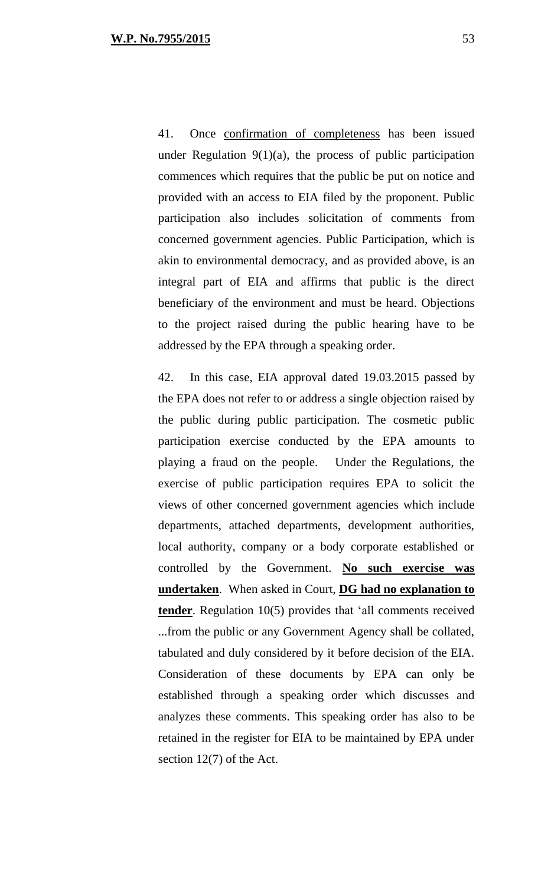41. Once confirmation of completeness has been issued under Regulation 9(1)(a), the process of public participation commences which requires that the public be put on notice and provided with an access to EIA filed by the proponent. Public participation also includes solicitation of comments from concerned government agencies. Public Participation, which is akin to environmental democracy, and as provided above, is an integral part of EIA and affirms that public is the direct beneficiary of the environment and must be heard. Objections to the project raised during the public hearing have to be addressed by the EPA through a speaking order.

42. In this case, EIA approval dated 19.03.2015 passed by the EPA does not refer to or address a single objection raised by the public during public participation. The cosmetic public participation exercise conducted by the EPA amounts to playing a fraud on the people. Under the Regulations, the exercise of public participation requires EPA to solicit the views of other concerned government agencies which include departments, attached departments, development authorities, local authority, company or a body corporate established or controlled by the Government. **No such exercise was undertaken**. When asked in Court, **DG had no explanation to tender**. Regulation 10(5) provides that 'all comments received ...from the public or any Government Agency shall be collated, tabulated and duly considered by it before decision of the EIA. Consideration of these documents by EPA can only be established through a speaking order which discusses and analyzes these comments. This speaking order has also to be retained in the register for EIA to be maintained by EPA under section 12(7) of the Act.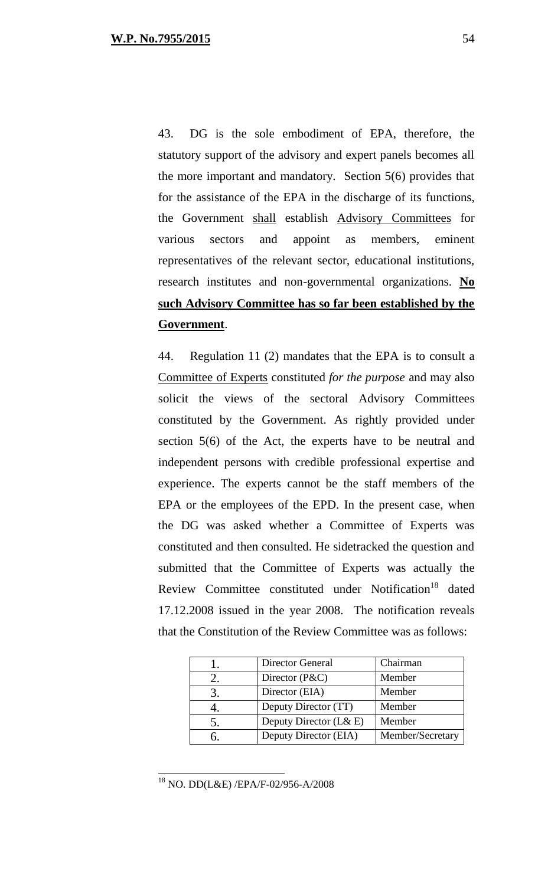43. DG is the sole embodiment of EPA, therefore, the statutory support of the advisory and expert panels becomes all the more important and mandatory. Section 5(6) provides that for the assistance of the EPA in the discharge of its functions, the Government shall establish Advisory Committees for various sectors and appoint as members, eminent representatives of the relevant sector, educational institutions, research institutes and non-governmental organizations. **No such Advisory Committee has so far been established by the Government**.

44. Regulation 11 (2) mandates that the EPA is to consult a Committee of Experts constituted *for the purpose* and may also solicit the views of the sectoral Advisory Committees constituted by the Government. As rightly provided under section 5(6) of the Act, the experts have to be neutral and independent persons with credible professional expertise and experience. The experts cannot be the staff members of the EPA or the employees of the EPD. In the present case, when the DG was asked whether a Committee of Experts was constituted and then consulted. He sidetracked the question and submitted that the Committee of Experts was actually the Review Committee constituted under Notification<sup>18</sup> dated 17.12.2008 issued in the year 2008. The notification reveals that the Constitution of the Review Committee was as follows:

| Director General       | Chairman         |
|------------------------|------------------|
| Director $(P\&C)$      | Member           |
| Director (EIA)         | Member           |
| Deputy Director (TT)   | Member           |
| Deputy Director (L& E) | Member           |
| Deputy Director (EIA)  | Member/Secretary |

<sup>18</sup> NO. DD(L&E) /EPA/F-02/956-A/2008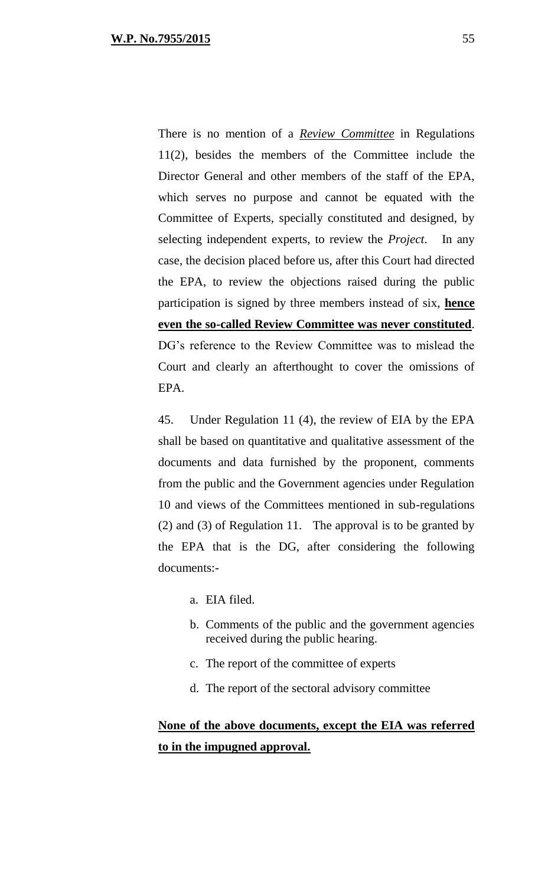There is no mention of a *Review Committee* in Regulations 11(2), besides the members of the Committee include the Director General and other members of the staff of the EPA, which serves no purpose and cannot be equated with the Committee of Experts, specially constituted and designed, by selecting independent experts, to review the *Project*. In any case, the decision placed before us, after this Court had directed the EPA, to review the objections raised during the public participation is signed by three members instead of six, **hence even the so-called Review Committee was never constituted**. DG's reference to the Review Committee was to mislead the Court and clearly an afterthought to cover the omissions of EPA.

45. Under Regulation 11 (4), the review of EIA by the EPA shall be based on quantitative and qualitative assessment of the documents and data furnished by the proponent, comments from the public and the Government agencies under Regulation 10 and views of the Committees mentioned in sub-regulations (2) and (3) of Regulation 11. The approval is to be granted by the EPA that is the DG, after considering the following documents:-

- a. EIA filed.
- b. Comments of the public and the government agencies received during the public hearing.
- c. The report of the committee of experts
- d. The report of the sectoral advisory committee

# **None of the above documents, except the EIA was referred to in the impugned approval.**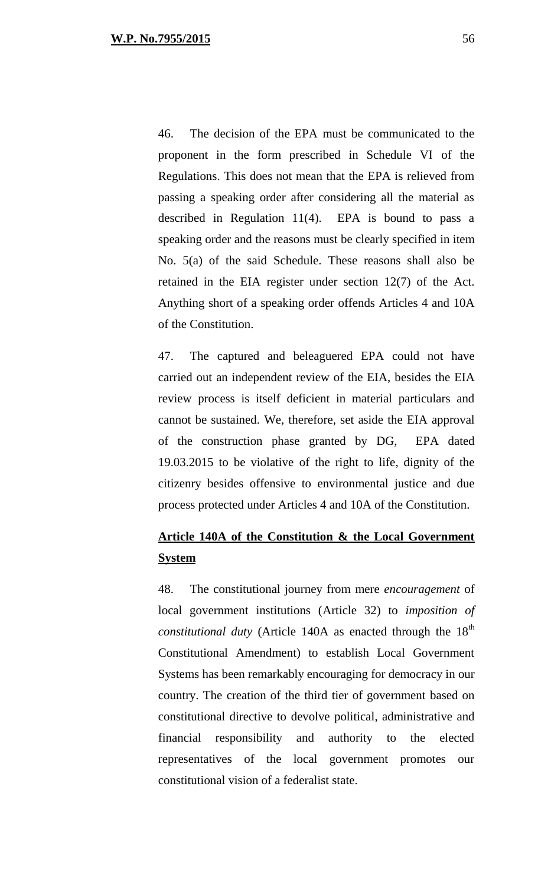46. The decision of the EPA must be communicated to the proponent in the form prescribed in Schedule VI of the Regulations. This does not mean that the EPA is relieved from passing a speaking order after considering all the material as described in Regulation 11(4). EPA is bound to pass a speaking order and the reasons must be clearly specified in item No. 5(a) of the said Schedule. These reasons shall also be retained in the EIA register under section 12(7) of the Act. Anything short of a speaking order offends Articles 4 and 10A of the Constitution.

47. The captured and beleaguered EPA could not have carried out an independent review of the EIA, besides the EIA review process is itself deficient in material particulars and cannot be sustained. We, therefore, set aside the EIA approval of the construction phase granted by DG, EPA dated 19.03.2015 to be violative of the right to life, dignity of the citizenry besides offensive to environmental justice and due process protected under Articles 4 and 10A of the Constitution.

# **Article 140A of the Constitution & the Local Government System**

48. The constitutional journey from mere *encouragement* of local government institutions (Article 32) to *imposition of constitutional duty* (Article 140A as enacted through the 18<sup>th</sup> Constitutional Amendment) to establish Local Government Systems has been remarkably encouraging for democracy in our country. The creation of the third tier of government based on constitutional directive to devolve political, administrative and financial responsibility and authority to the elected representatives of the local government promotes our constitutional vision of a federalist state.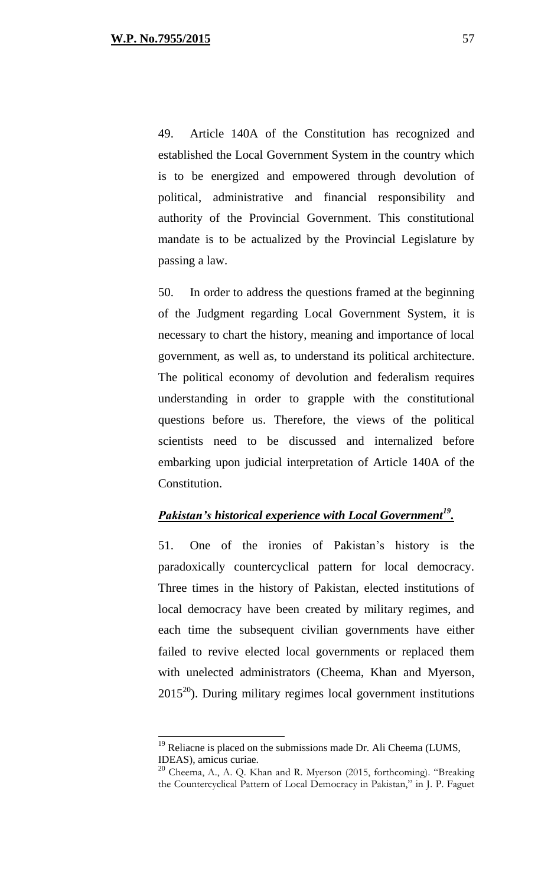49. Article 140A of the Constitution has recognized and established the Local Government System in the country which is to be energized and empowered through devolution of political, administrative and financial responsibility and authority of the Provincial Government. This constitutional mandate is to be actualized by the Provincial Legislature by passing a law.

50. In order to address the questions framed at the beginning of the Judgment regarding Local Government System, it is necessary to chart the history, meaning and importance of local government, as well as, to understand its political architecture. The political economy of devolution and federalism requires understanding in order to grapple with the constitutional questions before us. Therefore, the views of the political scientists need to be discussed and internalized before embarking upon judicial interpretation of Article 140A of the Constitution.

## *Pakistan's historical experience with Local Government<sup>19</sup> .*

51. One of the ironies of Pakistan's history is the paradoxically countercyclical pattern for local democracy. Three times in the history of Pakistan, elected institutions of local democracy have been created by military regimes, and each time the subsequent civilian governments have either failed to revive elected local governments or replaced them with unelected administrators (Cheema, Khan and Myerson,  $2015^{20}$ ). During military regimes local government institutions

 $19$  Reliacne is placed on the submissions made Dr. Ali Cheema (LUMS, IDEAS), amicus curiae.

<sup>&</sup>lt;sup>20</sup> Cheema, A., A. Q. Khan and R. Myerson (2015, forthcoming). "Breaking the Countercyclical Pattern of Local Democracy in Pakistan," in J. P. Faguet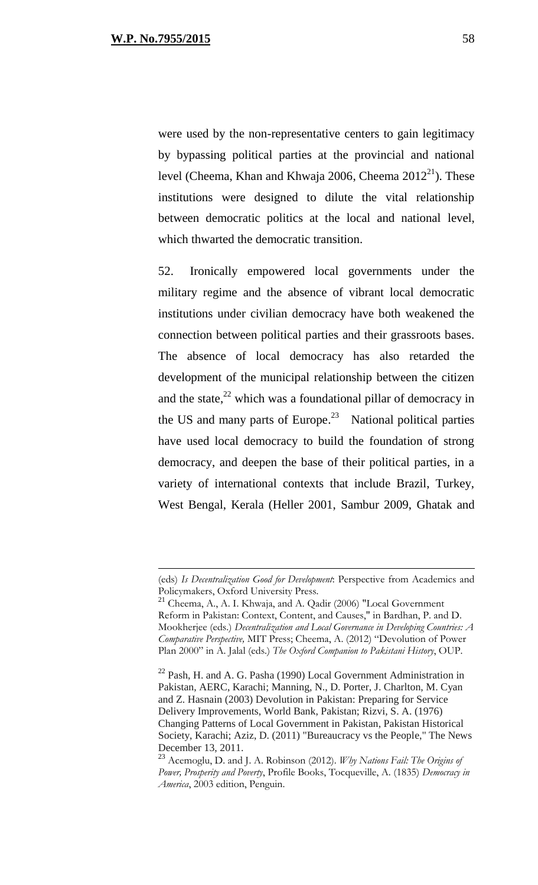were used by the non-representative centers to gain legitimacy by bypassing political parties at the provincial and national level (Cheema, Khan and Khwaja 2006, Cheema  $2012^{21}$ ). These institutions were designed to dilute the vital relationship between democratic politics at the local and national level, which thwarted the democratic transition.

52. Ironically empowered local governments under the military regime and the absence of vibrant local democratic institutions under civilian democracy have both weakened the connection between political parties and their grassroots bases. The absence of local democracy has also retarded the development of the municipal relationship between the citizen and the state, $^{22}$  which was a foundational pillar of democracy in the US and many parts of Europe. $2^3$  National political parties have used local democracy to build the foundation of strong democracy, and deepen the base of their political parties, in a variety of international contexts that include Brazil, Turkey, West Bengal, Kerala (Heller 2001, Sambur 2009, Ghatak and

<sup>(</sup>eds) *Is Decentralization Good for Development*: Perspective from Academics and Policymakers, Oxford University Press.

<sup>&</sup>lt;sup>21</sup> Cheema, A., A. I. Khwaja, and A. Qadir (2006) "Local Government Reform in Pakistan: Context, Content, and Causes," in Bardhan, P. and D. Mookherjee (eds.) *Decentralization and Local Governance in Developing Countries: A Comparative Perspective,* MIT Press; Cheema, A. (2012) "Devolution of Power Plan 2000" in A. Jalal (eds.) *The Oxford Companion to Pakistani History*, OUP.

 $22$  Pash, H. and A. G. Pasha (1990) Local Government Administration in Pakistan, AERC, Karachi; Manning, N., D. Porter, J. Charlton, M. Cyan and Z. Hasnain (2003) Devolution in Pakistan: Preparing for Service Delivery Improvements, World Bank, Pakistan; Rizvi, S. A. (1976) Changing Patterns of Local Government in Pakistan, Pakistan Historical Society, Karachi; Aziz, D. (2011) "Bureaucracy vs the People," The News December 13, 2011.

<sup>23</sup> Acemoglu, D. and J. A. Robinson (2012). *Why Nations Fail: The Origins of Power, Prosperity and Poverty*, Profile Books, Tocqueville, A. (1835) *Democracy in America*, 2003 edition, Penguin.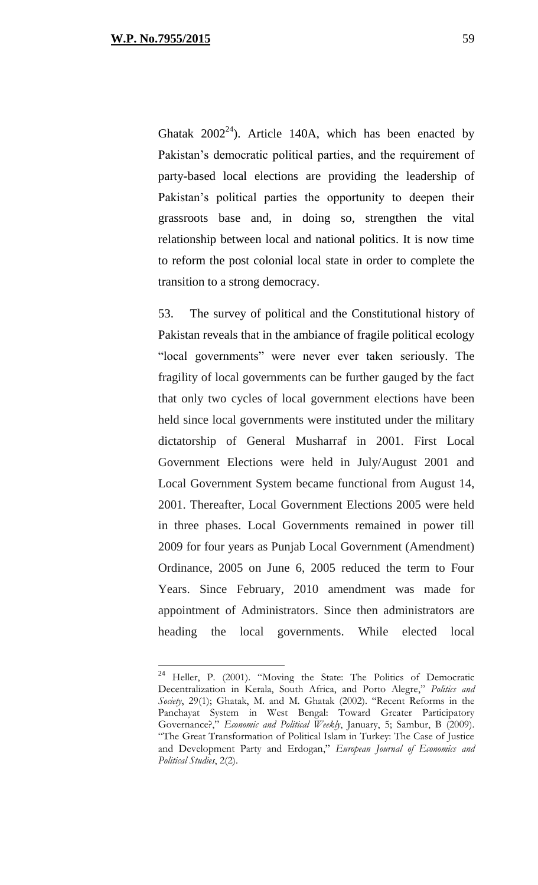Ghatak  $2002^{24}$ ). Article 140A, which has been enacted by Pakistan's democratic political parties, and the requirement of party-based local elections are providing the leadership of Pakistan's political parties the opportunity to deepen their grassroots base and, in doing so, strengthen the vital relationship between local and national politics. It is now time to reform the post colonial local state in order to complete the transition to a strong democracy.

53. The survey of political and the Constitutional history of Pakistan reveals that in the ambiance of fragile political ecology "local governments" were never ever taken seriously. The fragility of local governments can be further gauged by the fact that only two cycles of local government elections have been held since local governments were instituted under the military dictatorship of General Musharraf in 2001. First Local Government Elections were held in July/August 2001 and Local Government System became functional from August 14, 2001. Thereafter, Local Government Elections 2005 were held in three phases. Local Governments remained in power till 2009 for four years as Punjab Local Government (Amendment) Ordinance, 2005 on June 6, 2005 reduced the term to Four Years. Since February, 2010 amendment was made for appointment of Administrators. Since then administrators are heading the local governments. While elected local

<sup>&</sup>lt;sup>24</sup> Heller, P. (2001). "Moving the State: The Politics of Democratic Decentralization in Kerala, South Africa, and Porto Alegre," *Politics and Society*, 29(1); Ghatak, M. and M. Ghatak (2002). "Recent Reforms in the Panchayat System in West Bengal: Toward Greater Participatory Governance?," *Economic and Political Weekly*, January, 5; Sambur, B (2009). "The Great Transformation of Political Islam in Turkey: The Case of Justice and Development Party and Erdogan," *European Journal of Economics and Political Studies*, 2(2).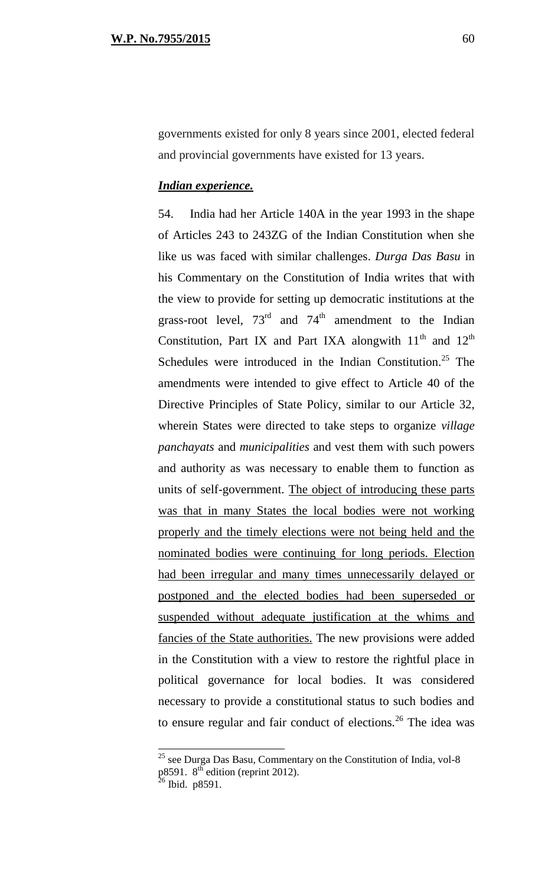governments existed for only 8 years since 2001, elected federal and provincial governments have existed for 13 years.

## *Indian experience.*

54. India had her Article 140A in the year 1993 in the shape of Articles 243 to 243ZG of the Indian Constitution when she like us was faced with similar challenges. *Durga Das Basu* in his Commentary on the Constitution of India writes that with the view to provide for setting up democratic institutions at the grass-root level,  $73<sup>rd</sup>$  and  $74<sup>th</sup>$  amendment to the Indian Constitution, Part IX and Part IXA alongwith  $11<sup>th</sup>$  and  $12<sup>th</sup>$ Schedules were introduced in the Indian Constitution.<sup>25</sup> The amendments were intended to give effect to Article 40 of the Directive Principles of State Policy, similar to our Article 32, wherein States were directed to take steps to organize *village panchayats* and *municipalities* and vest them with such powers and authority as was necessary to enable them to function as units of self-government. The object of introducing these parts was that in many States the local bodies were not working properly and the timely elections were not being held and the nominated bodies were continuing for long periods. Election had been irregular and many times unnecessarily delayed or postponed and the elected bodies had been superseded or suspended without adequate justification at the whims and fancies of the State authorities. The new provisions were added in the Constitution with a view to restore the rightful place in political governance for local bodies. It was considered necessary to provide a constitutional status to such bodies and to ensure regular and fair conduct of elections.<sup>26</sup> The idea was

 $25$  see Durga Das Basu, Commentary on the Constitution of India, vol-8  $p8591.8^{th}$  edition (reprint 2012).

<sup>&</sup>lt;sup>26</sup> Ibid. p8591.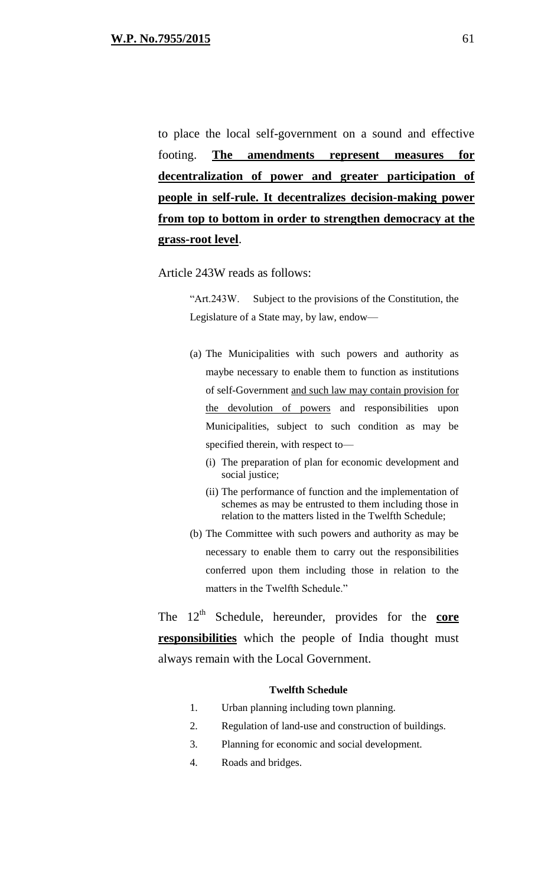to place the local self-government on a sound and effective footing. **The amendments represent measures for decentralization of power and greater participation of people in self-rule. It decentralizes decision-making power from top to bottom in order to strengthen democracy at the grass-root level**.

Article 243W reads as follows:

"Art.243W. Subject to the provisions of the Constitution, the Legislature of a State may, by law, endow—

- (a) The Municipalities with such powers and authority as maybe necessary to enable them to function as institutions of self-Government and such law may contain provision for the devolution of powers and responsibilities upon Municipalities, subject to such condition as may be specified therein, with respect to—
	- (i) The preparation of plan for economic development and social justice;
	- (ii) The performance of function and the implementation of schemes as may be entrusted to them including those in relation to the matters listed in the Twelfth Schedule;
- (b) The Committee with such powers and authority as may be necessary to enable them to carry out the responsibilities conferred upon them including those in relation to the matters in the Twelfth Schedule."

The 12<sup>th</sup> Schedule, hereunder, provides for the **core responsibilities** which the people of India thought must always remain with the Local Government.

#### **Twelfth Schedule**

- 1. Urban planning including town planning.
- 2. Regulation of land-use and construction of buildings.
- 3. Planning for economic and social development.
- 4. Roads and bridges.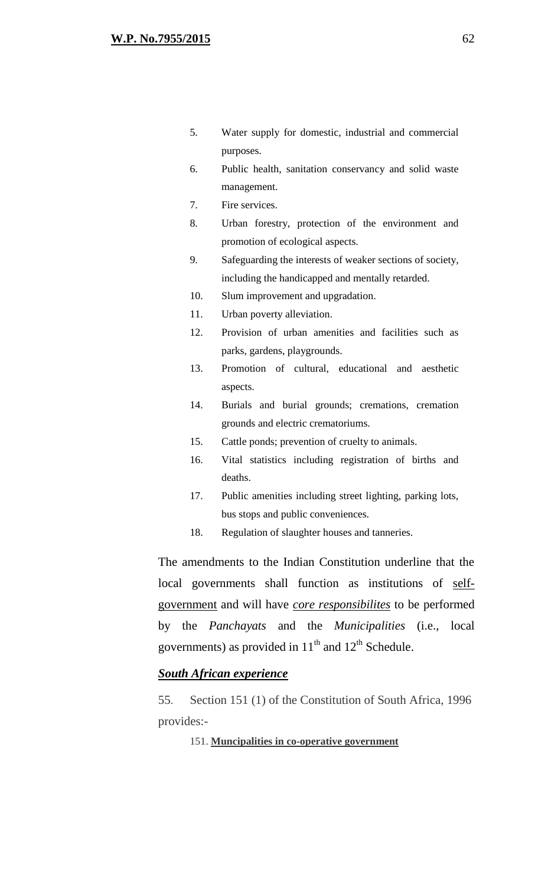- 5. Water supply for domestic, industrial and commercial purposes.
- 6. Public health, sanitation conservancy and solid waste management.
- 7. Fire services.
- 8. Urban forestry, protection of the environment and promotion of ecological aspects.
- 9. Safeguarding the interests of weaker sections of society, including the handicapped and mentally retarded.
- 10. Slum improvement and upgradation.
- 11. Urban poverty alleviation.
- 12. Provision of urban amenities and facilities such as parks, gardens, playgrounds.
- 13. Promotion of cultural, educational and aesthetic aspects.
- 14. Burials and burial grounds; cremations, cremation grounds and electric crematoriums.
- 15. Cattle ponds; prevention of cruelty to animals.
- 16. Vital statistics including registration of births and deaths.
- 17. Public amenities including street lighting, parking lots, bus stops and public conveniences.
- 18. Regulation of slaughter houses and tanneries.

The amendments to the Indian Constitution underline that the local governments shall function as institutions of selfgovernment and will have *core responsibilites* to be performed by the *Panchayats* and the *Municipalities* (i.e., local governments) as provided in  $11<sup>th</sup>$  and  $12<sup>th</sup>$  Schedule.

## *South African experience*

55. Section 151 (1) of the Constitution of South Africa, 1996 provides:-

151. **Muncipalities in co-operative government**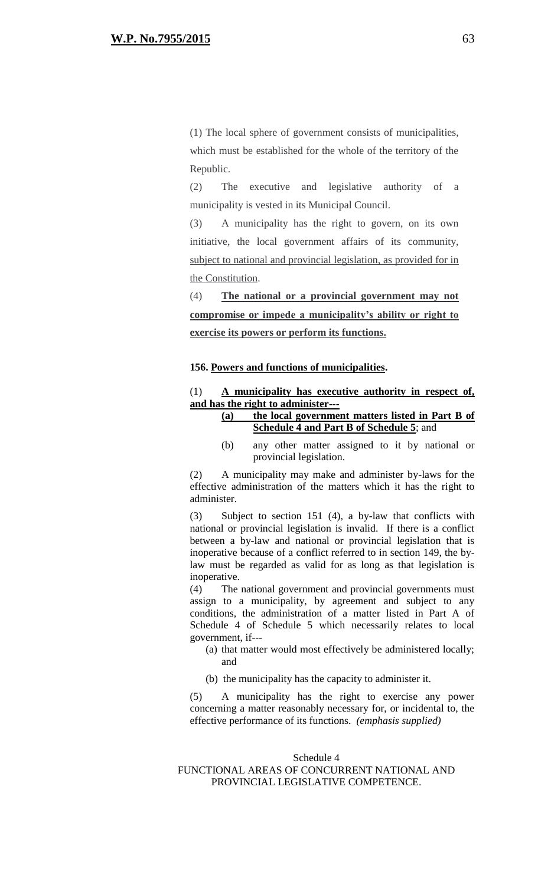(1) The local sphere of government consists of municipalities, which must be established for the whole of the territory of the Republic.

(2) The executive and legislative authority of a municipality is vested in its Municipal Council.

(3) A municipality has the right to govern, on its own initiative, the local government affairs of its community, subject to national and provincial legislation, as provided for in the Constitution.

(4) **The national or a provincial government may not compromise or impede a municipality's ability or right to exercise its powers or perform its functions.**

#### **156. Powers and functions of municipalities.**

## (1) **A municipality has executive authority in respect of, and has the right to administer---**

## **(a) the local government matters listed in Part B of Schedule 4 and Part B of Schedule 5**; and

(b) any other matter assigned to it by national or provincial legislation.

(2) A municipality may make and administer by-laws for the effective administration of the matters which it has the right to administer.

(3) Subject to section 151 (4), a by-law that conflicts with national or provincial legislation is invalid. If there is a conflict between a by-law and national or provincial legislation that is inoperative because of a conflict referred to in section 149, the bylaw must be regarded as valid for as long as that legislation is inoperative.

(4) The national government and provincial governments must assign to a municipality, by agreement and subject to any conditions, the administration of a matter listed in Part A of Schedule 4 of Schedule 5 which necessarily relates to local government, if---

- (a) that matter would most effectively be administered locally; and
- (b) the municipality has the capacity to administer it.

(5) A municipality has the right to exercise any power concerning a matter reasonably necessary for, or incidental to, the effective performance of its functions. *(emphasis supplied)*

#### Schedule 4 FUNCTIONAL AREAS OF CONCURRENT NATIONAL AND PROVINCIAL LEGISLATIVE COMPETENCE.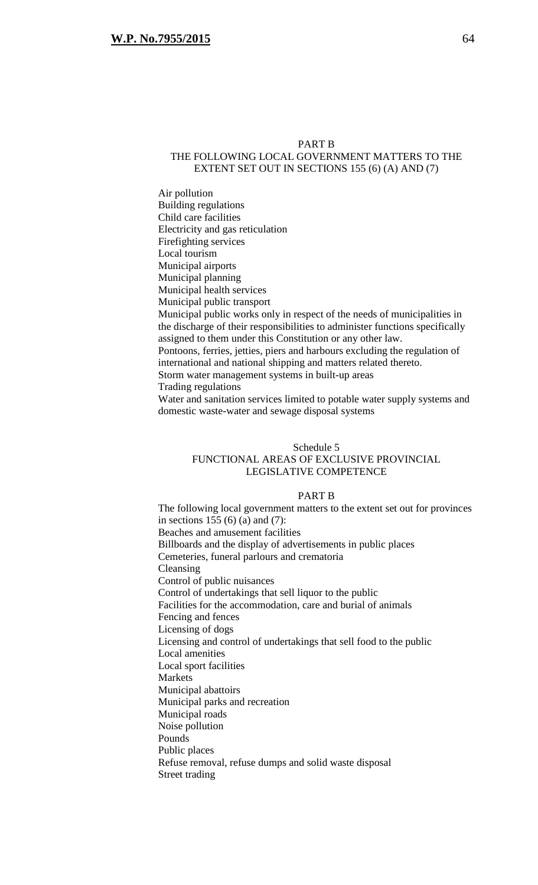#### PART B

## THE FOLLOWING LOCAL GOVERNMENT MATTERS TO THE EXTENT SET OUT IN SECTIONS 155 (6) (A) AND (7)

Air pollution Building regulations Child care facilities Electricity and gas reticulation Firefighting services Local tourism Municipal airports Municipal planning Municipal health services Municipal public transport Municipal public works only in respect of the needs of municipalities in the discharge of their responsibilities to administer functions specifically assigned to them under this Constitution or any other law. Pontoons, ferries, jetties, piers and harbours excluding the regulation of international and national shipping and matters related thereto. Storm water management systems in built-up areas Trading regulations Water and sanitation services limited to potable water supply systems and

domestic waste-water and sewage disposal systems

#### Schedule 5 FUNCTIONAL AREAS OF EXCLUSIVE PROVINCIAL LEGISLATIVE COMPETENCE

#### PART B

The following local government matters to the extent set out for provinces in sections 155 (6) (a) and (7): Beaches and amusement facilities Billboards and the display of advertisements in public places Cemeteries, funeral parlours and crematoria Cleansing Control of public nuisances Control of undertakings that sell liquor to the public Facilities for the accommodation, care and burial of animals Fencing and fences Licensing of dogs Licensing and control of undertakings that sell food to the public Local amenities Local sport facilities Markets Municipal abattoirs Municipal parks and recreation Municipal roads Noise pollution Pounds Public places Refuse removal, refuse dumps and solid waste disposal Street trading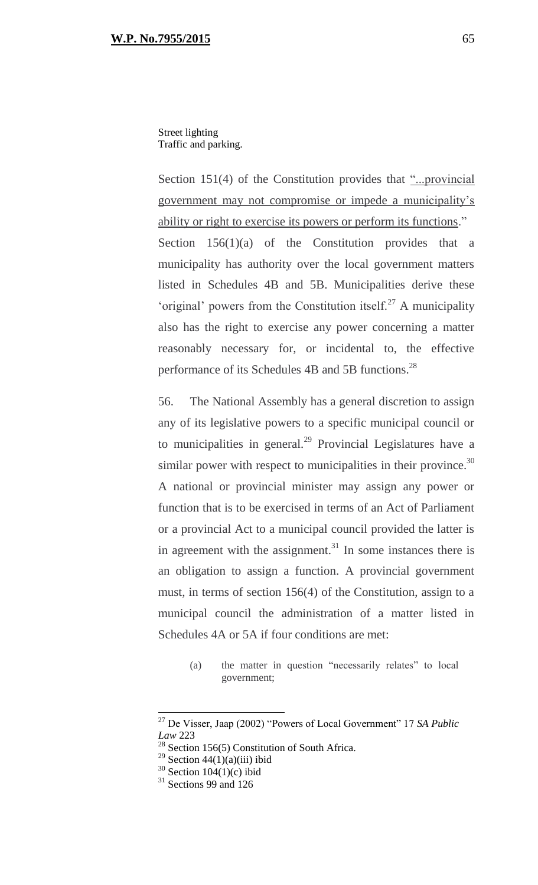Street lighting Traffic and parking.

Section 151(4) of the Constitution provides that "...provincial government may not compromise or impede a municipality's ability or right to exercise its powers or perform its functions." Section  $156(1)(a)$  of the Constitution provides that a municipality has authority over the local government matters listed in Schedules 4B and 5B. Municipalities derive these 'original' powers from the Constitution itself.<sup>27</sup> A municipality also has the right to exercise any power concerning a matter reasonably necessary for, or incidental to, the effective performance of its Schedules 4B and 5B functions.<sup>28</sup>

56. The National Assembly has a general discretion to assign any of its legislative powers to a specific municipal council or to municipalities in general. $^{29}$  Provincial Legislatures have a similar power with respect to municipalities in their province.<sup>30</sup> A national or provincial minister may assign any power or function that is to be exercised in terms of an Act of Parliament or a provincial Act to a municipal council provided the latter is in agreement with the assignment. $31$  In some instances there is an obligation to assign a function. A provincial government must, in terms of section 156(4) of the Constitution, assign to a municipal council the administration of a matter listed in Schedules 4A or 5A if four conditions are met:

(a) the matter in question "necessarily relates" to local government;

<sup>27</sup> De Visser, Jaap (2002) "Powers of Local Government" 17 *SA Public Law* 223

<sup>&</sup>lt;sup>28</sup> Section 156(5) Constitution of South Africa.

 $29$  Section 44(1)(a)(iii) ibid

 $30$  Section  $104(1)(c)$  ibid

<sup>&</sup>lt;sup>31</sup> Sections 99 and 126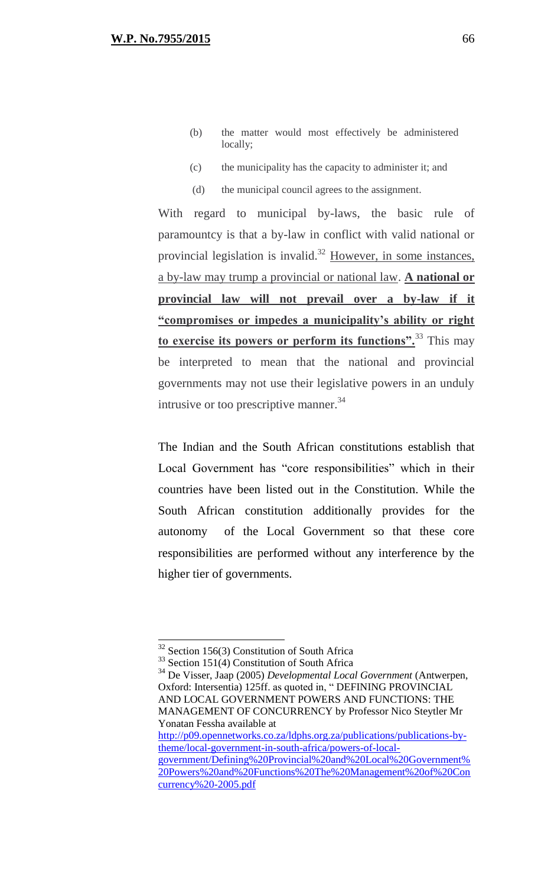- (b) the matter would most effectively be administered locally;
- (c) the municipality has the capacity to administer it; and
- (d) the municipal council agrees to the assignment.

With regard to municipal by-laws, the basic rule of paramountcy is that a by-law in conflict with valid national or provincial legislation is invalid.<sup>32</sup> However, in some instances, a by-law may trump a provincial or national law. **A national or provincial law will not prevail over a by-law if it "compromises or impedes a municipality's ability or right to exercise its powers or perform its functions".**<sup>33</sup> This may be interpreted to mean that the national and provincial governments may not use their legislative powers in an unduly intrusive or too prescriptive manner.<sup>34</sup>

The Indian and the South African constitutions establish that Local Government has "core responsibilities" which in their countries have been listed out in the Constitution. While the South African constitution additionally provides for the autonomy of the Local Government so that these core responsibilities are performed without any interference by the higher tier of governments.

 $\overline{a}$ 

<sup>34</sup> De Visser, Jaap (2005) *Developmental Local Government* (Antwerpen, Oxford: Intersentia) 125ff. as quoted in, " DEFINING PROVINCIAL AND LOCAL GOVERNMENT POWERS AND FUNCTIONS: THE MANAGEMENT OF CONCURRENCY by Professor Nico Steytler Mr Yonatan Fessha available at [http://p09.opennetworks.co.za/ldphs.org.za/publications/publications-by](http://p09.opennetworks.co.za/ldphs.org.za/publications/publications-by-theme/local-government-in-south-africa/powers-of-local-government/Defining%20Provincial%20and%20Local%20Government%20Powers%20and%20Functions%20The%20Management%20of%20Concurrency%20-2005.pdf)[theme/local-government-in-south-africa/powers-of-local](http://p09.opennetworks.co.za/ldphs.org.za/publications/publications-by-theme/local-government-in-south-africa/powers-of-local-government/Defining%20Provincial%20and%20Local%20Government%20Powers%20and%20Functions%20The%20Management%20of%20Concurrency%20-2005.pdf)[government/Defining%20Provincial%20and%20Local%20Government%](http://p09.opennetworks.co.za/ldphs.org.za/publications/publications-by-theme/local-government-in-south-africa/powers-of-local-government/Defining%20Provincial%20and%20Local%20Government%20Powers%20and%20Functions%20The%20Management%20of%20Concurrency%20-2005.pdf)

 $32$  Section 156(3) Constitution of South Africa

<sup>&</sup>lt;sup>33</sup> Section 151(4) Constitution of South Africa

[<sup>20</sup>Powers%20and%20Functions%20The%20Management%20of%20Con](http://p09.opennetworks.co.za/ldphs.org.za/publications/publications-by-theme/local-government-in-south-africa/powers-of-local-government/Defining%20Provincial%20and%20Local%20Government%20Powers%20and%20Functions%20The%20Management%20of%20Concurrency%20-2005.pdf) [currency%20-2005.pdf](http://p09.opennetworks.co.za/ldphs.org.za/publications/publications-by-theme/local-government-in-south-africa/powers-of-local-government/Defining%20Provincial%20and%20Local%20Government%20Powers%20and%20Functions%20The%20Management%20of%20Concurrency%20-2005.pdf)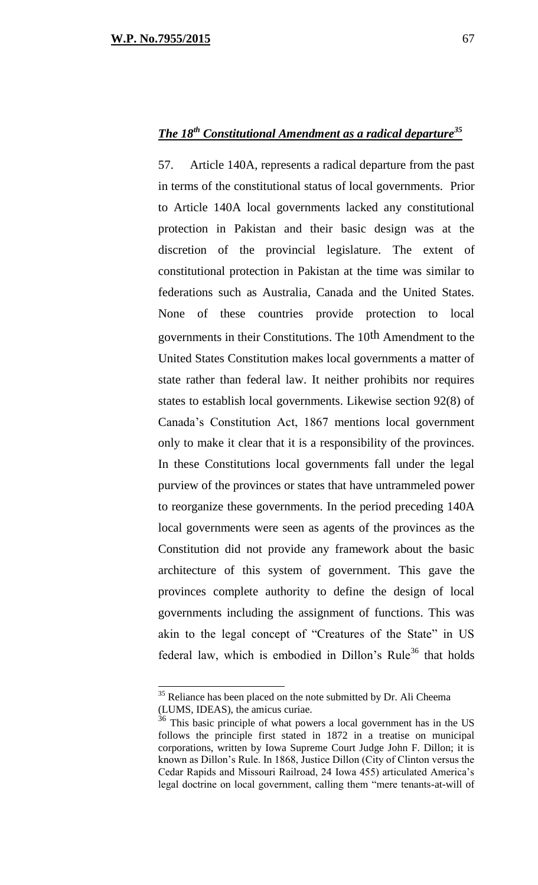57. Article 140A, represents a radical departure from the past in terms of the constitutional status of local governments. Prior to Article 140A local governments lacked any constitutional protection in Pakistan and their basic design was at the discretion of the provincial legislature. The extent of constitutional protection in Pakistan at the time was similar to federations such as Australia, Canada and the United States. None of these countries provide protection to local governments in their Constitutions. The 10th Amendment to the United States Constitution makes local governments a matter of state rather than federal law. It neither prohibits nor requires states to establish local governments. Likewise section 92(8) of Canada's Constitution Act, 1867 mentions local government only to make it clear that it is a responsibility of the provinces. In these Constitutions local governments fall under the legal purview of the provinces or states that have untrammeled power to reorganize these governments. In the period preceding 140A local governments were seen as agents of the provinces as the Constitution did not provide any framework about the basic architecture of this system of government. This gave the provinces complete authority to define the design of local governments including the assignment of functions. This was akin to the legal concept of "Creatures of the State" in US federal law, which is embodied in Dillon's Rule<sup>36</sup> that holds

 $35$  Reliance has been placed on the note submitted by Dr. Ali Cheema (LUMS, IDEAS), the amicus curiae.

 $36$  This basic principle of what powers a local government has in the US follows the principle first stated in 1872 in a treatise on municipal corporations, written by Iowa Supreme Court Judge John F. Dillon; it is known as Dillon's Rule. In 1868, Justice Dillon (City of Clinton versus the Cedar Rapids and Missouri Railroad, 24 Iowa 455) articulated America's legal doctrine on local government, calling them "mere tenants-at-will of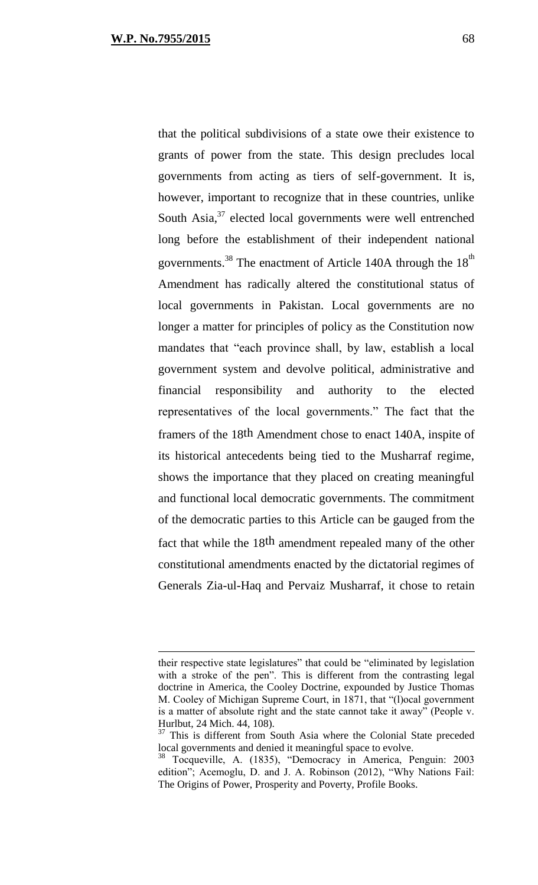that the political subdivisions of a state owe their existence to grants of power from the state. This design precludes local governments from acting as tiers of self-government. It is, however, important to recognize that in these countries, unlike South Asia,<sup>37</sup> elected local governments were well entrenched long before the establishment of their independent national governments.<sup>38</sup> The enactment of Article 140A through the  $18<sup>th</sup>$ Amendment has radically altered the constitutional status of local governments in Pakistan. Local governments are no longer a matter for principles of policy as the Constitution now mandates that "each province shall, by law, establish a local government system and devolve political, administrative and financial responsibility and authority to the elected representatives of the local governments." The fact that the framers of the 18th Amendment chose to enact 140A, inspite of its historical antecedents being tied to the Musharraf regime, shows the importance that they placed on creating meaningful and functional local democratic governments. The commitment of the democratic parties to this Article can be gauged from the fact that while the 18th amendment repealed many of the other constitutional amendments enacted by the dictatorial regimes of Generals Zia-ul-Haq and Pervaiz Musharraf, it chose to retain

their respective state legislatures" that could be "eliminated by legislation with a stroke of the pen". This is different from the contrasting legal doctrine in America, the Cooley Doctrine, expounded by Justice Thomas M. Cooley of Michigan Supreme Court, in 1871, that "(l)ocal government is a matter of absolute right and the state cannot take it away" (People v. Hurlbut, 24 Mich. 44, 108).

<sup>&</sup>lt;sup>37</sup> This is different from South Asia where the Colonial State preceded local governments and denied it meaningful space to evolve.

<sup>38</sup> Tocqueville, A. (1835), "Democracy in America, Penguin: 2003 edition"; Acemoglu, D. and J. A. Robinson (2012), "Why Nations Fail: The Origins of Power, Prosperity and Poverty, Profile Books.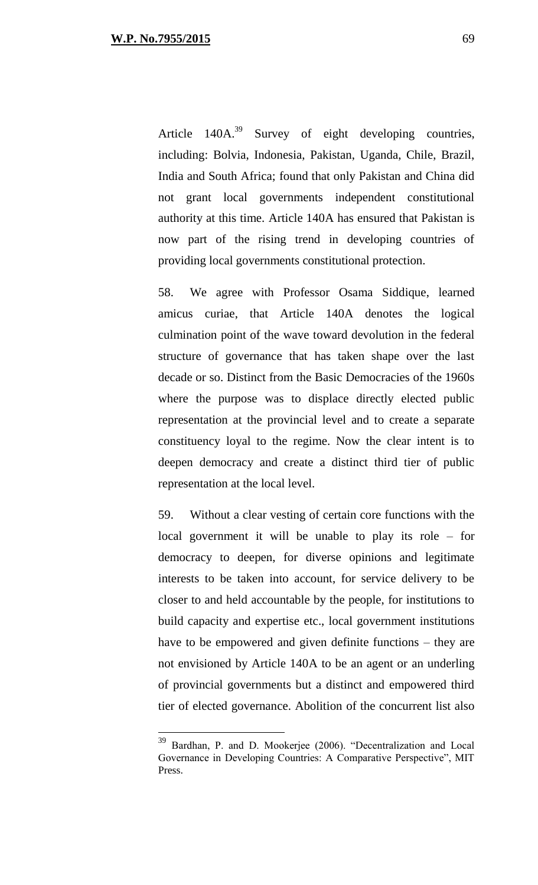Article  $140A^{39}$  Survey of eight developing countries, including: Bolvia, Indonesia, Pakistan, Uganda, Chile, Brazil, India and South Africa; found that only Pakistan and China did not grant local governments independent constitutional authority at this time. Article 140A has ensured that Pakistan is now part of the rising trend in developing countries of providing local governments constitutional protection.

58. We agree with Professor Osama Siddique, learned amicus curiae, that Article 140A denotes the logical culmination point of the wave toward devolution in the federal structure of governance that has taken shape over the last decade or so. Distinct from the Basic Democracies of the 1960s where the purpose was to displace directly elected public representation at the provincial level and to create a separate constituency loyal to the regime. Now the clear intent is to deepen democracy and create a distinct third tier of public representation at the local level.

59. Without a clear vesting of certain core functions with the local government it will be unable to play its role – for democracy to deepen, for diverse opinions and legitimate interests to be taken into account, for service delivery to be closer to and held accountable by the people, for institutions to build capacity and expertise etc., local government institutions have to be empowered and given definite functions – they are not envisioned by Article 140A to be an agent or an underling of provincial governments but a distinct and empowered third tier of elected governance. Abolition of the concurrent list also

<sup>&</sup>lt;sup>39</sup> Bardhan, P. and D. Mookerjee (2006). "Decentralization and Local Governance in Developing Countries: A Comparative Perspective", MIT Press.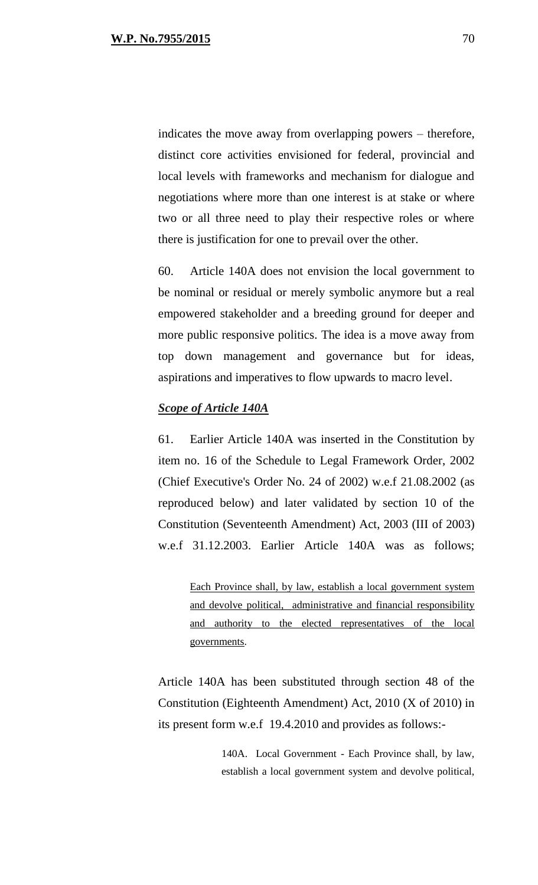indicates the move away from overlapping powers – therefore, distinct core activities envisioned for federal, provincial and local levels with frameworks and mechanism for dialogue and negotiations where more than one interest is at stake or where two or all three need to play their respective roles or where there is justification for one to prevail over the other.

60. Article 140A does not envision the local government to be nominal or residual or merely symbolic anymore but a real empowered stakeholder and a breeding ground for deeper and more public responsive politics. The idea is a move away from top down management and governance but for ideas, aspirations and imperatives to flow upwards to macro level.

## *Scope of Article 140A*

61. Earlier Article 140A was inserted in the Constitution by item no. 16 of the Schedule to Legal Framework Order, 2002 (Chief Executive's Order No. 24 of 2002) w.e.f 21.08.2002 (as reproduced below) and later validated by section 10 of the Constitution (Seventeenth Amendment) Act, 2003 (III of 2003) w.e.f 31.12.2003. Earlier Article 140A was as follows;

Each Province shall, by law, establish a local government system and devolve political, administrative and financial responsibility and authority to the elected representatives of the local governments.

Article 140A has been substituted through section 48 of the Constitution (Eighteenth Amendment) Act, 2010 (X of 2010) in its present form w.e.f 19.4.2010 and provides as follows:-

> 140A. Local Government - Each Province shall, by law, establish a local government system and devolve political,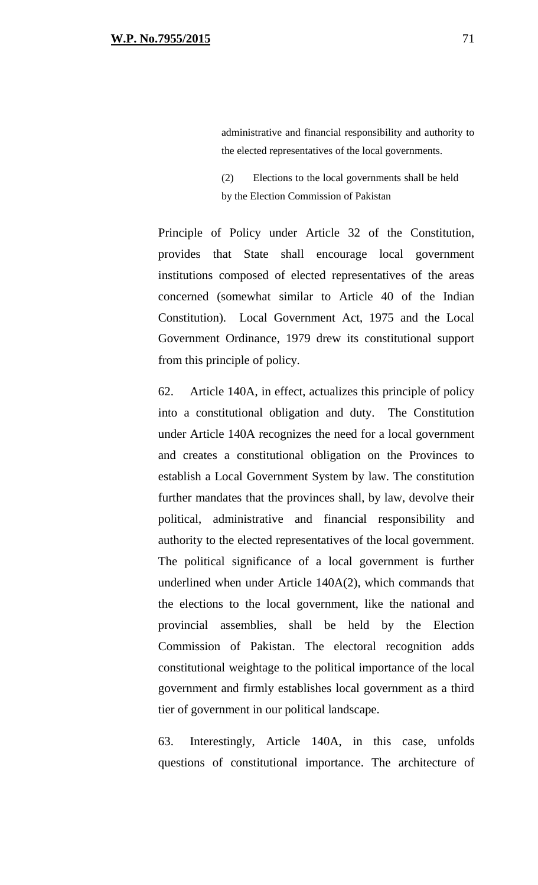administrative and financial responsibility and authority to the elected representatives of the local governments.

(2) Elections to the local governments shall be held by the Election Commission of Pakistan

Principle of Policy under Article 32 of the Constitution, provides that State shall encourage local government institutions composed of elected representatives of the areas concerned (somewhat similar to Article 40 of the Indian Constitution). Local Government Act, 1975 and the Local Government Ordinance, 1979 drew its constitutional support from this principle of policy.

62. Article 140A, in effect, actualizes this principle of policy into a constitutional obligation and duty. The Constitution under Article 140A recognizes the need for a local government and creates a constitutional obligation on the Provinces to establish a Local Government System by law. The constitution further mandates that the provinces shall, by law, devolve their political, administrative and financial responsibility and authority to the elected representatives of the local government. The political significance of a local government is further underlined when under Article 140A(2), which commands that the elections to the local government, like the national and provincial assemblies, shall be held by the Election Commission of Pakistan. The electoral recognition adds constitutional weightage to the political importance of the local government and firmly establishes local government as a third tier of government in our political landscape.

63. Interestingly, Article 140A, in this case, unfolds questions of constitutional importance. The architecture of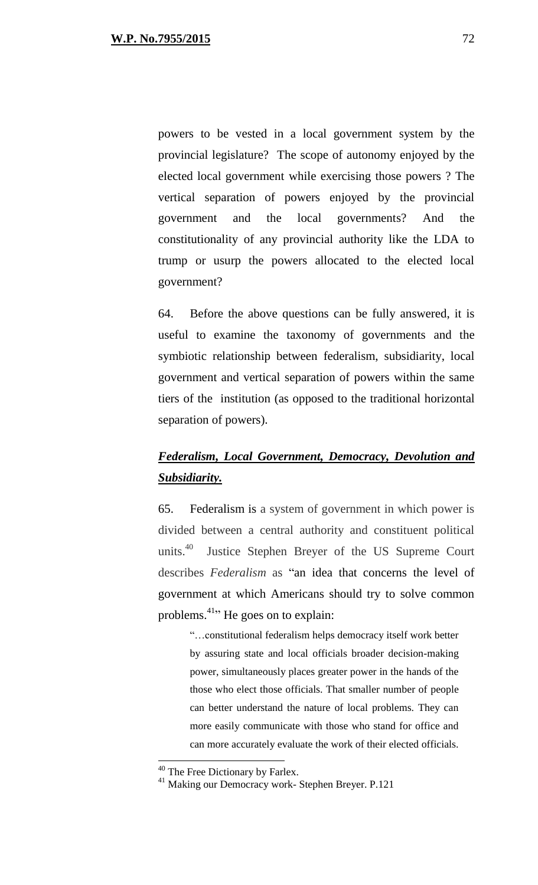powers to be vested in a local government system by the provincial legislature? The scope of autonomy enjoyed by the elected local government while exercising those powers ? The vertical separation of powers enjoyed by the provincial government and the local governments? And the constitutionality of any provincial authority like the LDA to trump or usurp the powers allocated to the elected local government?

64. Before the above questions can be fully answered, it is useful to examine the taxonomy of governments and the symbiotic relationship between federalism, subsidiarity, local government and vertical separation of powers within the same tiers of the institution (as opposed to the traditional horizontal separation of powers).

# *Federalism, Local Government, Democracy, Devolution and Subsidiarity.*

65. Federalism is a system of government in which power is divided between a central authority and constituent political units. $40$  Justice Stephen Breyer of the US Supreme Court describes *Federalism* as "an idea that concerns the level of government at which Americans should try to solve common problems.<sup>41</sup><sup>21</sup> He goes on to explain:

"…constitutional federalism helps democracy itself work better by assuring state and local officials broader decision-making power, simultaneously places greater power in the hands of the those who elect those officials. That smaller number of people can better understand the nature of local problems. They can more easily communicate with those who stand for office and can more accurately evaluate the work of their elected officials.

<sup>&</sup>lt;sup>40</sup> The Free Dictionary by Farlex.

<sup>41</sup> Making our Democracy work- Stephen Breyer. P.121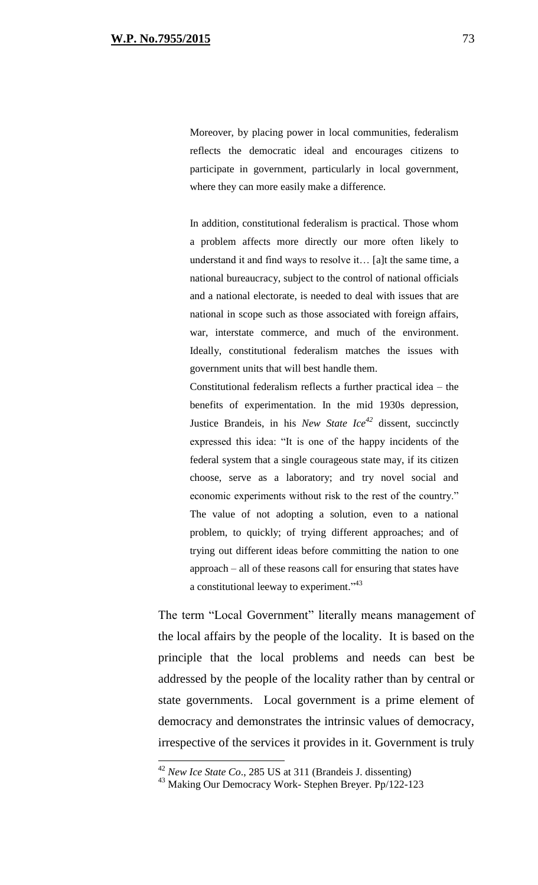Moreover, by placing power in local communities, federalism reflects the democratic ideal and encourages citizens to participate in government, particularly in local government, where they can more easily make a difference.

In addition, constitutional federalism is practical. Those whom a problem affects more directly our more often likely to understand it and find ways to resolve it… [a]t the same time, a national bureaucracy, subject to the control of national officials and a national electorate, is needed to deal with issues that are national in scope such as those associated with foreign affairs, war, interstate commerce, and much of the environment. Ideally, constitutional federalism matches the issues with government units that will best handle them.

Constitutional federalism reflects a further practical idea – the benefits of experimentation. In the mid 1930s depression, Justice Brandeis, in his *New State Ice<sup>42</sup>* dissent, succinctly expressed this idea: "It is one of the happy incidents of the federal system that a single courageous state may, if its citizen choose, serve as a laboratory; and try novel social and economic experiments without risk to the rest of the country." The value of not adopting a solution, even to a national problem, to quickly; of trying different approaches; and of trying out different ideas before committing the nation to one approach – all of these reasons call for ensuring that states have a constitutional leeway to experiment."<sup>43</sup>

The term "Local Government" literally means management of the local affairs by the people of the locality. It is based on the principle that the local problems and needs can best be addressed by the people of the locality rather than by central or state governments. Local government is a prime element of democracy and demonstrates the intrinsic values of democracy, irrespective of the services it provides in it. Government is truly

 $\overline{a}$ 

<sup>42</sup> *New Ice State Co*., 285 US at 311 (Brandeis J. dissenting)

<sup>&</sup>lt;sup>43</sup> Making Our Democracy Work- Stephen Breyer. Pp/122-123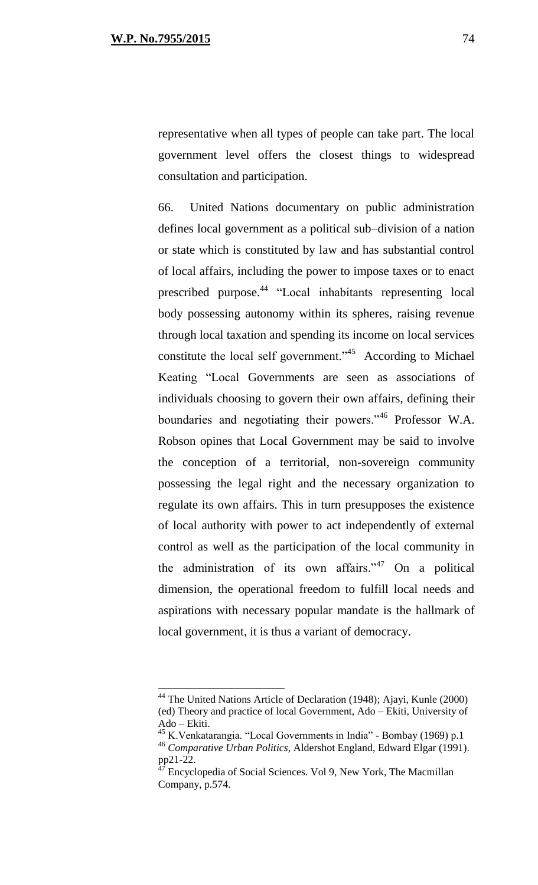representative when all types of people can take part. The local government level offers the closest things to widespread consultation and participation.

66. United Nations documentary on public administration defines local government as a political sub–division of a nation or state which is constituted by law and has substantial control of local affairs, including the power to impose taxes or to enact prescribed purpose.<sup>44</sup> "Local inhabitants representing local body possessing autonomy within its spheres, raising revenue through local taxation and spending its income on local services constitute the local self government."<sup>45</sup> According to Michael Keating "Local Governments are seen as associations of individuals choosing to govern their own affairs, defining their boundaries and negotiating their powers."<sup>46</sup> Professor W.A. Robson opines that Local Government may be said to involve the conception of a territorial, non-sovereign community possessing the legal right and the necessary organization to regulate its own affairs. This in turn presupposes the existence of local authority with power to act independently of external control as well as the participation of the local community in the administration of its own affairs." $47$  On a political dimension, the operational freedom to fulfill local needs and aspirations with necessary popular mandate is the hallmark of local government, it is thus a variant of democracy.

 $44$  The United Nations Article of Declaration (1948); Ajayi, Kunle (2000) (ed) Theory and practice of local Government, Ado – Ekiti, University of Ado – Ekiti.

<sup>45</sup> K.Venkatarangia. "Local Governments in India" - Bombay (1969) p.1

<sup>46</sup> *Comparative Urban Politics*, Aldershot England, Edward Elgar (1991).  $pp21-22.$ 

<sup>47</sup> Encyclopedia of Social Sciences. Vol 9, New York, The Macmillan Company, p.574.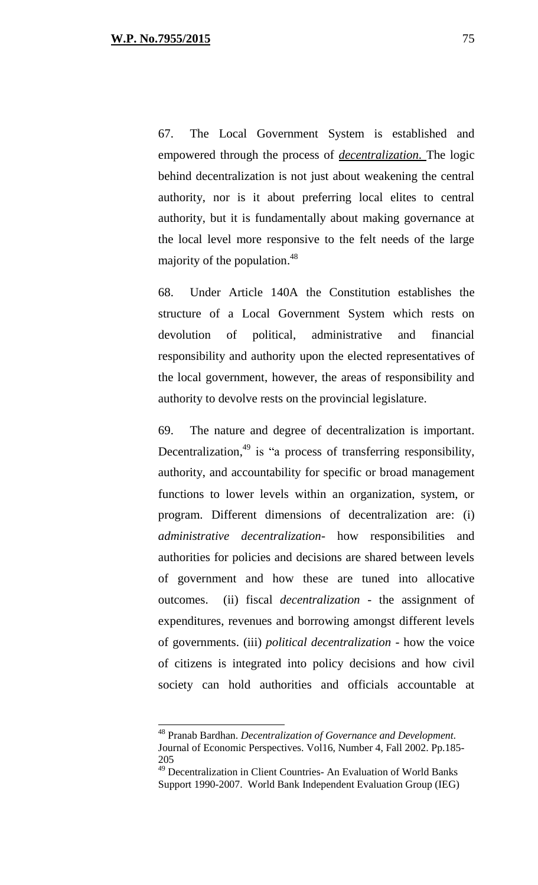67. The Local Government System is established and empowered through the process of *decentralization.* The logic behind decentralization is not just about weakening the central authority, nor is it about preferring local elites to central authority, but it is fundamentally about making governance at the local level more responsive to the felt needs of the large majority of the population.<sup>48</sup>

68. Under Article 140A the Constitution establishes the structure of a Local Government System which rests on devolution of political, administrative and financial responsibility and authority upon the elected representatives of the local government, however, the areas of responsibility and authority to devolve rests on the provincial legislature.

69. The nature and degree of decentralization is important. Decentralization,<sup>49</sup> is "a process of transferring responsibility, authority, and accountability for specific or broad management functions to lower levels within an organization, system, or program. Different dimensions of decentralization are: (i) *administrative decentralization*- how responsibilities and authorities for policies and decisions are shared between levels of government and how these are tuned into allocative outcomes. (ii) fiscal *decentralization* - the assignment of expenditures, revenues and borrowing amongst different levels of governments. (iii) *political decentralization* - how the voice of citizens is integrated into policy decisions and how civil society can hold authorities and officials accountable at

<sup>48</sup> Pranab Bardhan. *Decentralization of Governance and Development.*  Journal of Economic Perspectives. Vol16, Number 4, Fall 2002. Pp.185- 205

 $49$  Decentralization in Client Countries- An Evaluation of World Banks Support 1990-2007. World Bank Independent Evaluation Group (IEG)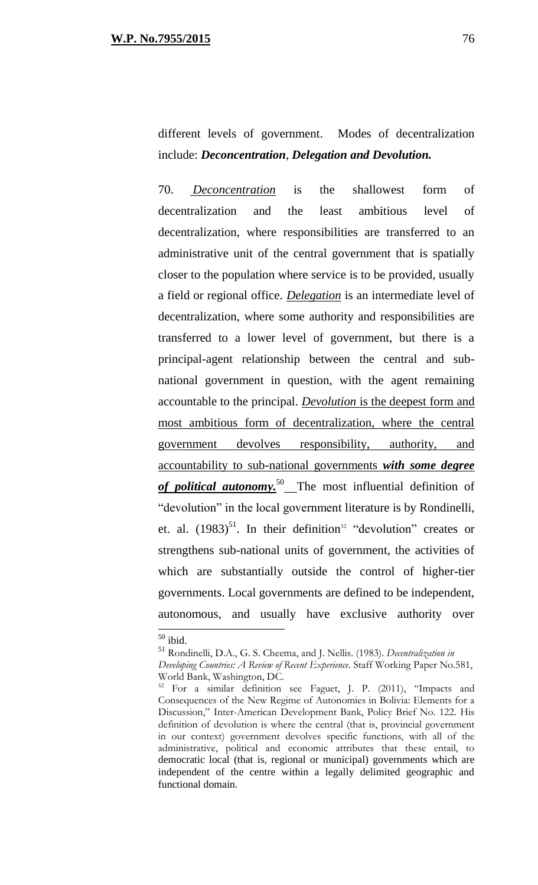different levels of government. Modes of decentralization include: *Deconcentration*, *Delegation and Devolution.*

70. *Deconcentration* is the shallowest form of decentralization and the least ambitious level of decentralization, where responsibilities are transferred to an administrative unit of the central government that is spatially closer to the population where service is to be provided, usually a field or regional office. *Delegation* is an intermediate level of decentralization, where some authority and responsibilities are transferred to a lower level of government, but there is a principal-agent relationship between the central and subnational government in question, with the agent remaining accountable to the principal. *Devolution* is the deepest form and most ambitious form of decentralization, where the central government devolves responsibility, authority, and accountability to sub-national governments *with some degree*  of **political autonomy.**<sup>50</sup> The most influential definition of "devolution" in the local government literature is by Rondinelli, et. al.  $(1983)^{51}$ . In their definition<sup>52</sup> "devolution" creates or strengthens sub-national units of government, the activities of which are substantially outside the control of higher-tier governments. Local governments are defined to be independent, autonomous, and usually have exclusive authority over

 $\overline{a}$ 

 $50$  ibid.

<sup>51</sup> Rondinelli, D.A., G. S. Cheema, and J. Nellis. (1983). *Decentralization in* 

*Developing Countries: A Review of Recent Experience*. Staff Working Paper No.581, World Bank, Washington, DC.

<sup>&</sup>lt;sup>52</sup> For a similar definition see Faguet, J. P. (2011), "Impacts and Consequences of the New Regime of Autonomies in Bolivia: Elements for a Discussion," Inter-American Development Bank, Policy Brief No. 122. His definition of devolution is where the central (that is, provincial government in our context) government devolves specific functions, with all of the administrative, political and economic attributes that these entail, to democratic local (that is, regional or municipal) governments which are independent of the centre within a legally delimited geographic and functional domain.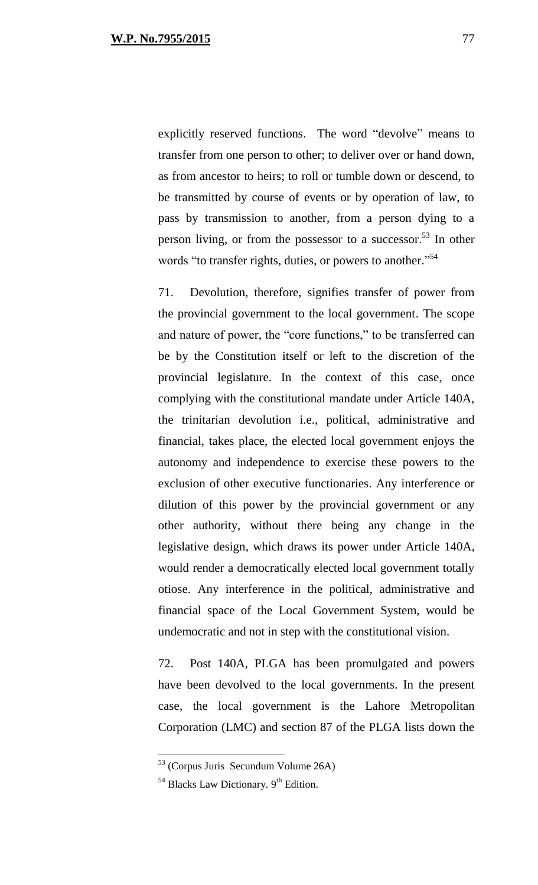explicitly reserved functions. The word "devolve" means to transfer from one person to other; to deliver over or hand down, as from ancestor to heirs; to roll or tumble down or descend, to be transmitted by course of events or by operation of law, to pass by transmission to another, from a person dying to a person living, or from the possessor to a successor.<sup>53</sup> In other words "to transfer rights, duties, or powers to another."<sup>54</sup>

71. Devolution, therefore, signifies transfer of power from the provincial government to the local government. The scope and nature of power, the "core functions," to be transferred can be by the Constitution itself or left to the discretion of the provincial legislature. In the context of this case, once complying with the constitutional mandate under Article 140A, the trinitarian devolution i.e., political, administrative and financial, takes place, the elected local government enjoys the autonomy and independence to exercise these powers to the exclusion of other executive functionaries. Any interference or dilution of this power by the provincial government or any other authority, without there being any change in the legislative design, which draws its power under Article 140A, would render a democratically elected local government totally otiose. Any interference in the political, administrative and financial space of the Local Government System, would be undemocratic and not in step with the constitutional vision.

72. Post 140A, PLGA has been promulgated and powers have been devolved to the local governments. In the present case, the local government is the Lahore Metropolitan Corporation (LMC) and section 87 of the PLGA lists down the

 $\overline{a}$ 

<sup>53</sup> (Corpus Juris Secundum Volume 26A)

 $54$  Blacks Law Dictionary.  $9<sup>th</sup>$  Edition.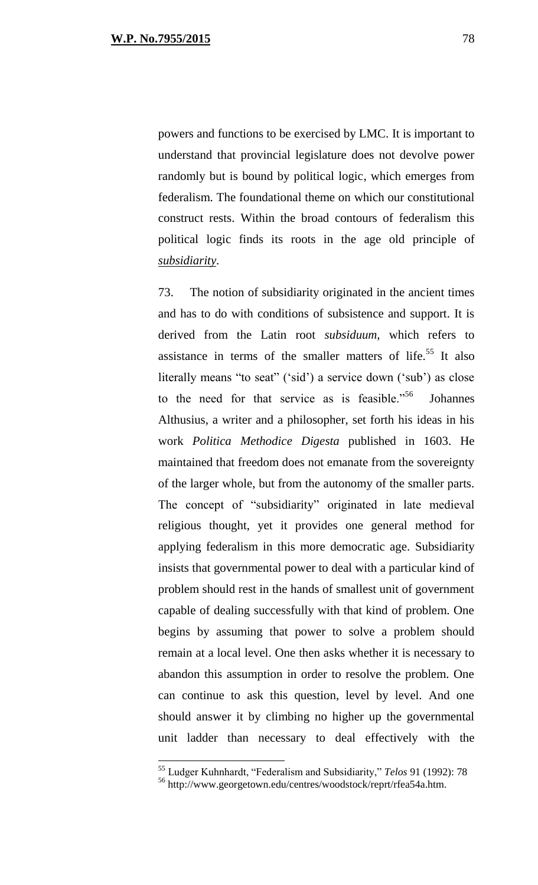powers and functions to be exercised by LMC. It is important to understand that provincial legislature does not devolve power randomly but is bound by political logic, which emerges from federalism. The foundational theme on which our constitutional construct rests. Within the broad contours of federalism this political logic finds its roots in the age old principle of *subsidiarity.*

73. The notion of subsidiarity originated in the ancient times and has to do with conditions of subsistence and support. It is derived from the Latin root *subsiduum*, which refers to assistance in terms of the smaller matters of life.<sup>55</sup> It also literally means "to seat" ('sid') a service down ('sub') as close to the need for that service as is feasible."<sup>56</sup> **Johannes** Althusius, a writer and a philosopher, set forth his ideas in his work *Politica Methodice Digesta* published in 1603. He maintained that freedom does not emanate from the sovereignty of the larger whole, but from the autonomy of the smaller parts. The concept of "subsidiarity" originated in late medieval religious thought, yet it provides one general method for applying federalism in this more democratic age. Subsidiarity insists that governmental power to deal with a particular kind of problem should rest in the hands of smallest unit of government capable of dealing successfully with that kind of problem. One begins by assuming that power to solve a problem should remain at a local level. One then asks whether it is necessary to abandon this assumption in order to resolve the problem. One can continue to ask this question, level by level. And one should answer it by climbing no higher up the governmental unit ladder than necessary to deal effectively with the

<sup>55</sup> Ludger Kuhnhardt, "Federalism and Subsidiarity," *Telos* 91 (1992): 78

<sup>56</sup> http://www.georgetown.edu/centres/woodstock/reprt/rfea54a.htm.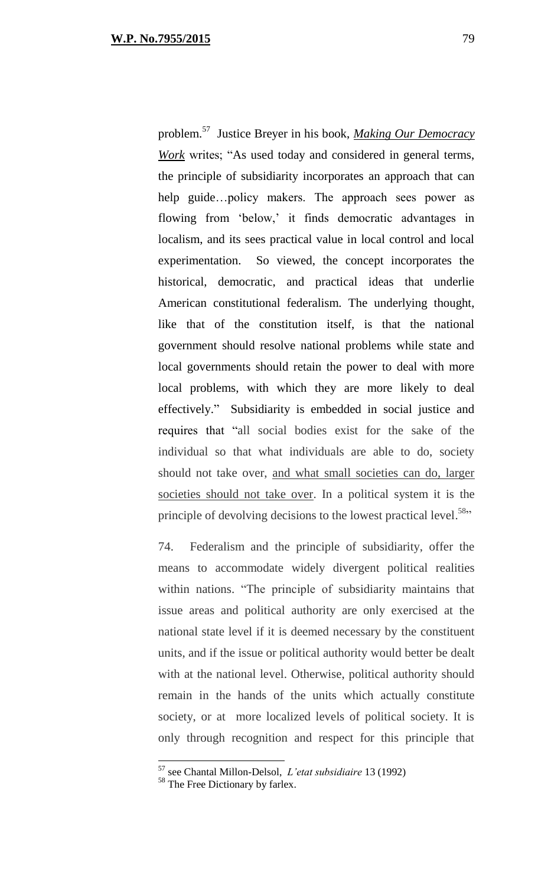problem.<sup>57</sup> Justice Breyer in his book, *Making Our Democracy Work* writes; "As used today and considered in general terms, the principle of subsidiarity incorporates an approach that can help guide...policy makers. The approach sees power as flowing from 'below,' it finds democratic advantages in localism, and its sees practical value in local control and local experimentation. So viewed, the concept incorporates the historical, democratic, and practical ideas that underlie American constitutional federalism. The underlying thought, like that of the constitution itself, is that the national government should resolve national problems while state and local governments should retain the power to deal with more local problems, with which they are more likely to deal effectively." Subsidiarity is embedded in social justice and requires that "all social bodies exist for the sake of the individual so that what individuals are able to do, society should not take over, and what small societies can do, larger societies should not take over. In a political system it is the principle of devolving decisions to the lowest practical level.<sup>58</sup>"

74. Federalism and the principle of subsidiarity, offer the means to accommodate widely divergent political realities within nations. "The principle of subsidiarity maintains that issue areas and political authority are only exercised at the national state level if it is deemed necessary by the constituent units, and if the issue or political authority would better be dealt with at the national level. Otherwise, political authority should remain in the hands of the units which actually constitute society, or at more localized levels of political society. It is only through recognition and respect for this principle that

 $\overline{a}$ 

<sup>57</sup> see Chantal Millon-Delsol, *L'etat subsidiaire* 13 (1992)

<sup>&</sup>lt;sup>58</sup> The Free Dictionary by farlex.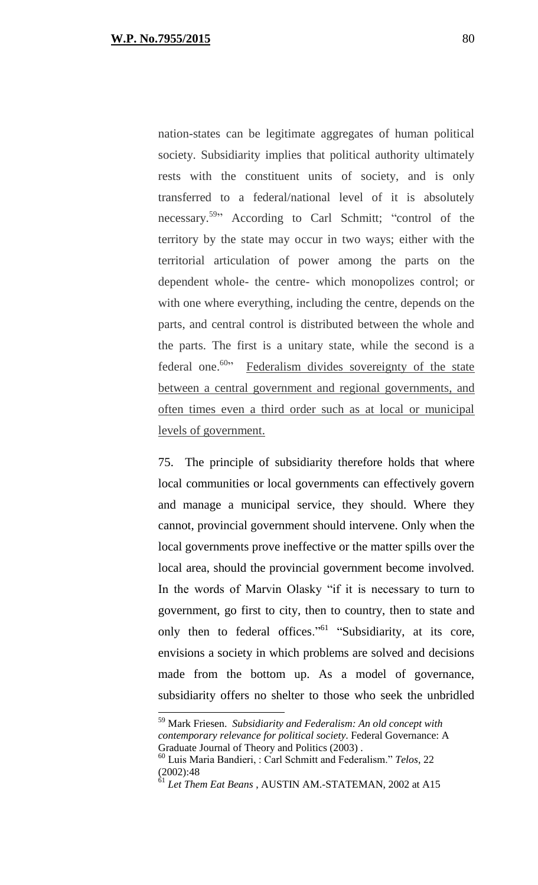nation-states can be legitimate aggregates of human political society. Subsidiarity implies that political authority ultimately rests with the constituent units of society, and is only transferred to a federal/national level of it is absolutely necessary.<sup>59</sup><sup>29</sup> According to Carl Schmitt; "control of the territory by the state may occur in two ways; either with the territorial articulation of power among the parts on the dependent whole- the centre- which monopolizes control; or with one where everything, including the centre, depends on the parts, and central control is distributed between the whole and the parts. The first is a unitary state, while the second is a federal one.<sup>60</sup><sup>,</sup> Federalism divides sovereignty of the state between a central government and regional governments, and often times even a third order such as at local or municipal levels of government.

75. The principle of subsidiarity therefore holds that where local communities or local governments can effectively govern and manage a municipal service, they should. Where they cannot, provincial government should intervene. Only when the local governments prove ineffective or the matter spills over the local area, should the provincial government become involved. In the words of Marvin Olasky "if it is necessary to turn to government, go first to city, then to country, then to state and only then to federal offices."<sup>61</sup> "Subsidiarity, at its core, envisions a society in which problems are solved and decisions made from the bottom up. As a model of governance, subsidiarity offers no shelter to those who seek the unbridled

<sup>59</sup> Mark Friesen. *Subsidiarity and Federalism: An old concept with contemporary relevance for political society*. Federal Governance: A Graduate Journal of Theory and Politics (2003) .

<sup>60</sup> Luis Maria Bandieri, : Carl Schmitt and Federalism." *Telos*, 22 (2002):48

<sup>61</sup> *Let Them Eat Beans* , AUSTIN AM.-STATEMAN, 2002 at A15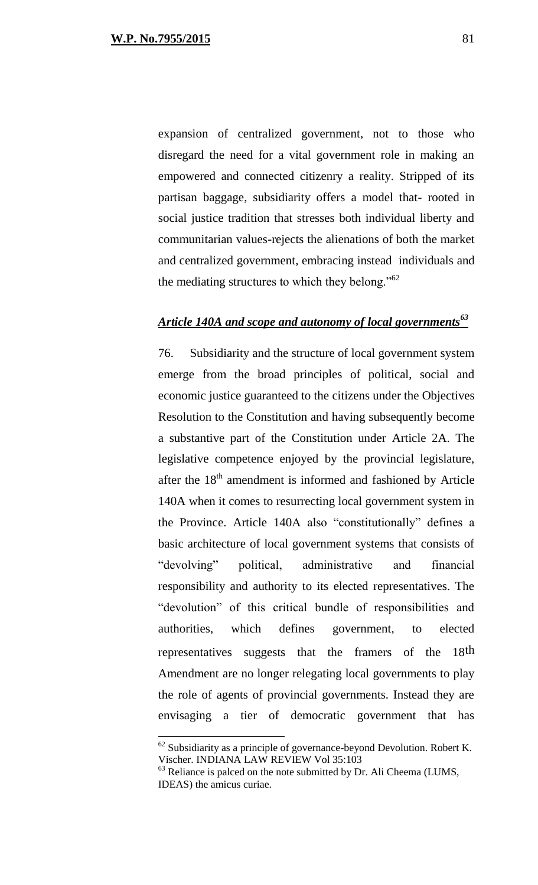expansion of centralized government, not to those who disregard the need for a vital government role in making an empowered and connected citizenry a reality. Stripped of its partisan baggage, subsidiarity offers a model that- rooted in social justice tradition that stresses both individual liberty and communitarian values-rejects the alienations of both the market and centralized government, embracing instead individuals and the mediating structures to which they belong."<sup>62</sup>

### *Article 140A and scope and autonomy of local governments<sup>63</sup>*

76. Subsidiarity and the structure of local government system emerge from the broad principles of political, social and economic justice guaranteed to the citizens under the Objectives Resolution to the Constitution and having subsequently become a substantive part of the Constitution under Article 2A. The legislative competence enjoyed by the provincial legislature, after the  $18<sup>th</sup>$  amendment is informed and fashioned by Article 140A when it comes to resurrecting local government system in the Province. Article 140A also "constitutionally" defines a basic architecture of local government systems that consists of "devolving" political, administrative and financial responsibility and authority to its elected representatives. The "devolution" of this critical bundle of responsibilities and authorities, which defines government, to elected representatives suggests that the framers of the 18th Amendment are no longer relegating local governments to play the role of agents of provincial governments. Instead they are envisaging a tier of democratic government that has

 $62$  Subsidiarity as a principle of governance-beyond Devolution. Robert K. Vischer. INDIANA LAW REVIEW Vol 35:103

<sup>&</sup>lt;sup>63</sup> Reliance is palced on the note submitted by Dr. Ali Cheema (LUMS, IDEAS) the amicus curiae.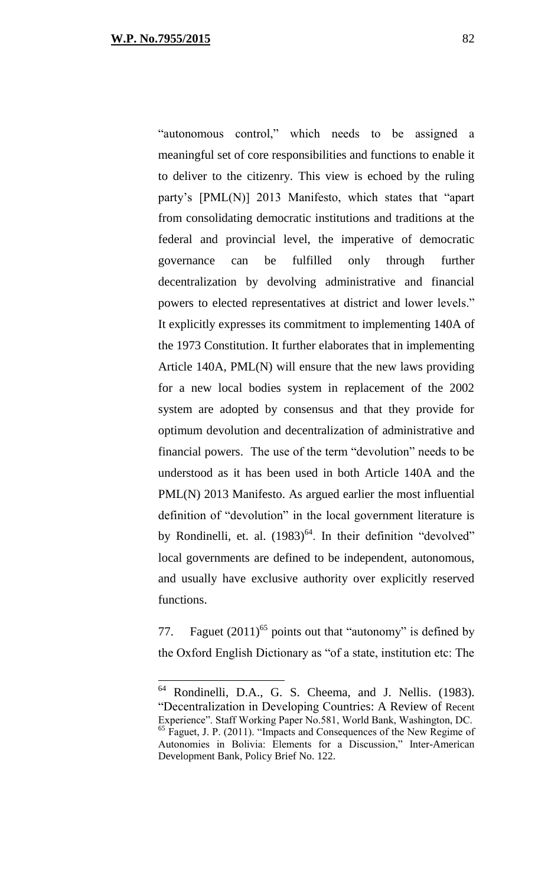"autonomous control," which needs to be assigned a meaningful set of core responsibilities and functions to enable it to deliver to the citizenry. This view is echoed by the ruling party's [PML(N)] 2013 Manifesto, which states that "apart from consolidating democratic institutions and traditions at the federal and provincial level, the imperative of democratic governance can be fulfilled only through further decentralization by devolving administrative and financial powers to elected representatives at district and lower levels." It explicitly expresses its commitment to implementing 140A of the 1973 Constitution. It further elaborates that in implementing Article 140A, PML(N) will ensure that the new laws providing for a new local bodies system in replacement of the 2002 system are adopted by consensus and that they provide for optimum devolution and decentralization of administrative and financial powers. The use of the term "devolution" needs to be understood as it has been used in both Article 140A and the PML(N) 2013 Manifesto. As argued earlier the most influential definition of "devolution" in the local government literature is by Rondinelli, et. al.  $(1983)^{64}$ . In their definition "devolved" local governments are defined to be independent, autonomous, and usually have exclusive authority over explicitly reserved functions.

77. Faguet  $(2011)^{65}$  points out that "autonomy" is defined by the Oxford English Dictionary as "of a state, institution etc: The

<sup>64</sup> Rondinelli, D.A., G. S. Cheema, and J. Nellis. (1983). "Decentralization in Developing Countries: A Review of Recent Experience". Staff Working Paper No.581, World Bank, Washington, DC. <sup>65</sup> Faguet, J. P. (2011). "Impacts and Consequences of the New Regime of Autonomies in Bolivia: Elements for a Discussion," Inter-American Development Bank, Policy Brief No. 122.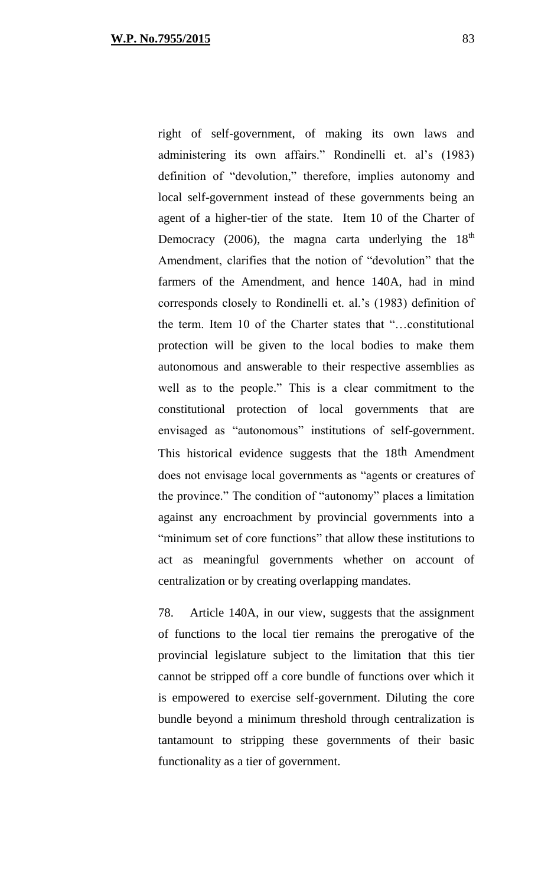right of self-government, of making its own laws and administering its own affairs." Rondinelli et. al's (1983) definition of "devolution," therefore, implies autonomy and local self-government instead of these governments being an agent of a higher-tier of the state. Item 10 of the Charter of Democracy (2006), the magna carta underlying the  $18<sup>th</sup>$ Amendment, clarifies that the notion of "devolution" that the farmers of the Amendment, and hence 140A, had in mind corresponds closely to Rondinelli et. al.'s (1983) definition of the term. Item 10 of the Charter states that "…constitutional protection will be given to the local bodies to make them autonomous and answerable to their respective assemblies as well as to the people." This is a clear commitment to the constitutional protection of local governments that are envisaged as "autonomous" institutions of self-government. This historical evidence suggests that the 18th Amendment does not envisage local governments as "agents or creatures of the province." The condition of "autonomy" places a limitation against any encroachment by provincial governments into a "minimum set of core functions" that allow these institutions to act as meaningful governments whether on account of centralization or by creating overlapping mandates.

78. Article 140A, in our view, suggests that the assignment of functions to the local tier remains the prerogative of the provincial legislature subject to the limitation that this tier cannot be stripped off a core bundle of functions over which it is empowered to exercise self-government. Diluting the core bundle beyond a minimum threshold through centralization is tantamount to stripping these governments of their basic functionality as a tier of government.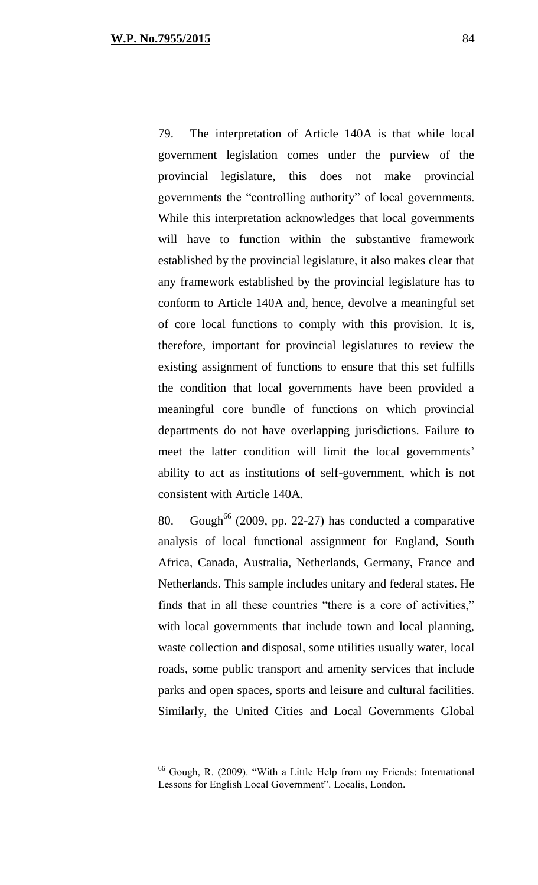79. The interpretation of Article 140A is that while local government legislation comes under the purview of the provincial legislature, this does not make provincial governments the "controlling authority" of local governments. While this interpretation acknowledges that local governments will have to function within the substantive framework established by the provincial legislature, it also makes clear that any framework established by the provincial legislature has to conform to Article 140A and, hence, devolve a meaningful set of core local functions to comply with this provision. It is, therefore, important for provincial legislatures to review the existing assignment of functions to ensure that this set fulfills the condition that local governments have been provided a meaningful core bundle of functions on which provincial departments do not have overlapping jurisdictions. Failure to meet the latter condition will limit the local governments' ability to act as institutions of self-government, which is not consistent with Article 140A.

80. Gough<sup>66</sup> (2009, pp. 22-27) has conducted a comparative analysis of local functional assignment for England, South Africa, Canada, Australia, Netherlands, Germany, France and Netherlands. This sample includes unitary and federal states. He finds that in all these countries "there is a core of activities," with local governments that include town and local planning, waste collection and disposal, some utilities usually water, local roads, some public transport and amenity services that include parks and open spaces, sports and leisure and cultural facilities. Similarly, the United Cities and Local Governments Global

<sup>66</sup> Gough, R. (2009). "With a Little Help from my Friends: International Lessons for English Local Government". Localis, London.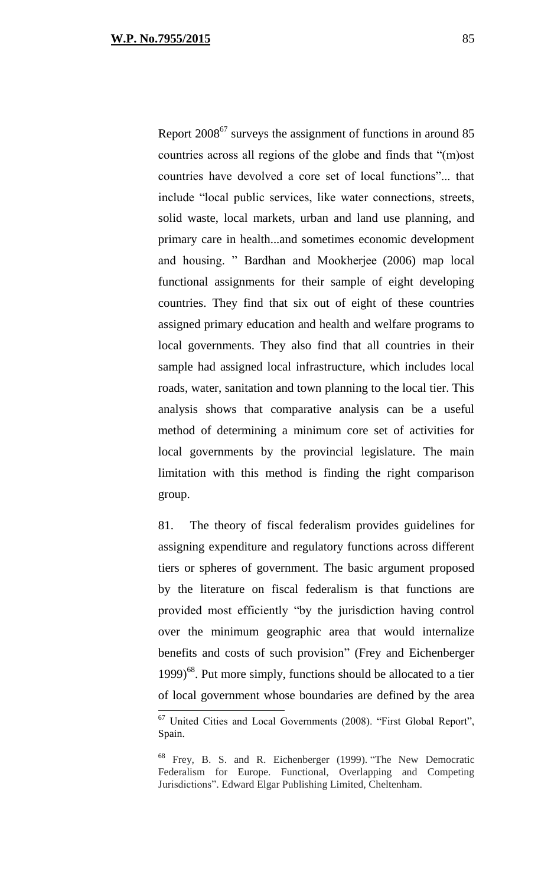Report 2008<sup>67</sup> surveys the assignment of functions in around 85 countries across all regions of the globe and finds that "(m)ost countries have devolved a core set of local functions"... that include "local public services, like water connections, streets, solid waste, local markets, urban and land use planning, and primary care in health...and sometimes economic development and housing. " Bardhan and Mookherjee (2006) map local functional assignments for their sample of eight developing countries. They find that six out of eight of these countries assigned primary education and health and welfare programs to local governments. They also find that all countries in their sample had assigned local infrastructure, which includes local roads, water, sanitation and town planning to the local tier. This analysis shows that comparative analysis can be a useful method of determining a minimum core set of activities for local governments by the provincial legislature. The main

limitation with this method is finding the right comparison group.

81. The theory of fiscal federalism provides guidelines for assigning expenditure and regulatory functions across different tiers or spheres of government. The basic argument proposed by the literature on fiscal federalism is that functions are provided most efficiently "by the jurisdiction having control over the minimum geographic area that would internalize benefits and costs of such provision" (Frey and Eichenberger  $1999$ <sup>68</sup>. Put more simply, functions should be allocated to a tier of local government whose boundaries are defined by the area

<sup>&</sup>lt;sup>67</sup> United Cities and Local Governments (2008). "First Global Report", Spain.

<sup>68</sup> Frey, B. S. and R. Eichenberger (1999). "The New Democratic Federalism for Europe. Functional, Overlapping and Competing Jurisdictions". Edward Elgar Publishing Limited, Cheltenham.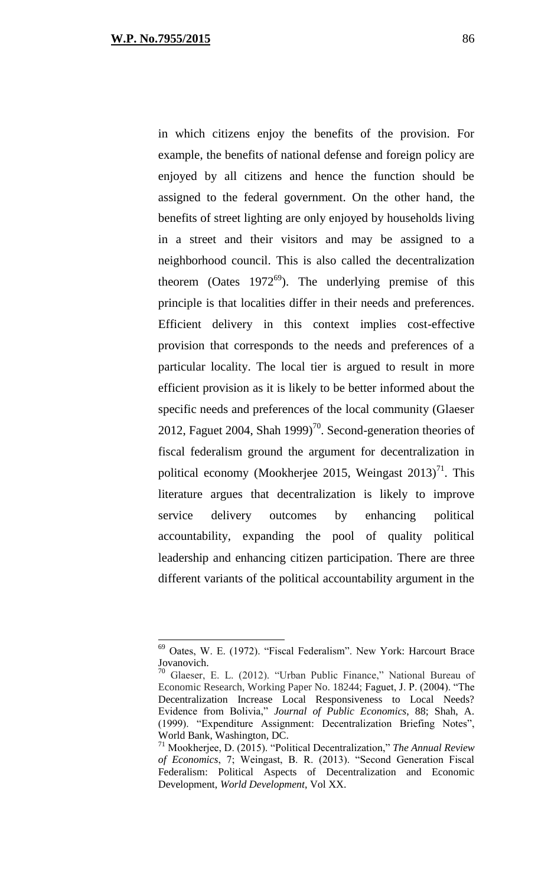in which citizens enjoy the benefits of the provision. For example, the benefits of national defense and foreign policy are enjoyed by all citizens and hence the function should be assigned to the federal government. On the other hand, the benefits of street lighting are only enjoyed by households living in a street and their visitors and may be assigned to a neighborhood council. This is also called the decentralization theorem (Oates  $1972^{69}$ ). The underlying premise of this principle is that localities differ in their needs and preferences. Efficient delivery in this context implies cost-effective provision that corresponds to the needs and preferences of a particular locality. The local tier is argued to result in more efficient provision as it is likely to be better informed about the specific needs and preferences of the local community (Glaeser 2012, Faguet 2004, Shah 1999)<sup>70</sup>. Second-generation theories of fiscal federalism ground the argument for decentralization in political economy (Mookherjee 2015, Weingast  $2013$ )<sup>71</sup>. This literature argues that decentralization is likely to improve service delivery outcomes by enhancing political accountability, expanding the pool of quality political leadership and enhancing citizen participation. There are three different variants of the political accountability argument in the

<sup>69</sup> Oates, W. E. (1972). "Fiscal Federalism". New York: Harcourt Brace Jovanovich.

<sup>70</sup> Glaeser, E. L. (2012). "Urban Public Finance," National Bureau of Economic Research, Working Paper No. 18244; Faguet, J. P. (2004). "The Decentralization Increase Local Responsiveness to Local Needs? Evidence from Bolivia," *Journal of Public Economics*, 88; Shah, A. (1999). "Expenditure Assignment: Decentralization Briefing Notes", World Bank, Washington, DC.

<sup>71</sup> Mookherjee, D. (2015). "Political Decentralization," *The Annual Review of Economics*, 7; Weingast, B. R. (2013). "Second Generation Fiscal Federalism: Political Aspects of Decentralization and Economic Development, *World Development*, Vol XX.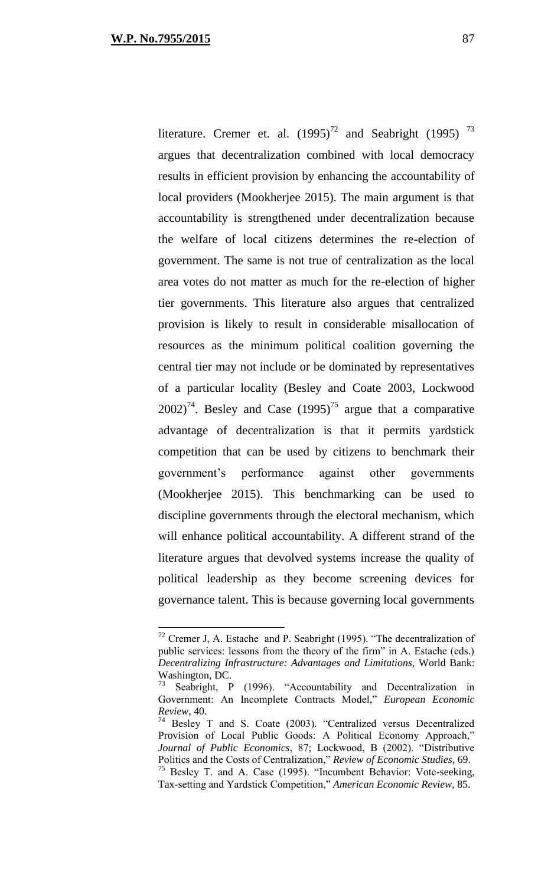literature. Cremer et. al.  $(1995)^{72}$  and Seabright (1995)  $^{73}$ argues that decentralization combined with local democracy results in efficient provision by enhancing the accountability of local providers (Mookherjee 2015). The main argument is that accountability is strengthened under decentralization because the welfare of local citizens determines the re-election of government. The same is not true of centralization as the local area votes do not matter as much for the re-election of higher tier governments. This literature also argues that centralized provision is likely to result in considerable misallocation of resources as the minimum political coalition governing the central tier may not include or be dominated by representatives of a particular locality (Besley and Coate 2003, Lockwood  $2002$ <sup>74</sup>. Besley and Case (1995)<sup>75</sup> argue that a comparative advantage of decentralization is that it permits yardstick competition that can be used by citizens to benchmark their government's performance against other governments (Mookherjee 2015). This benchmarking can be used to discipline governments through the electoral mechanism, which will enhance political accountability. A different strand of the literature argues that devolved systems increase the quality of political leadership as they become screening devices for governance talent. This is because governing local governments

 $72$  Cremer J, A. Estache and P. Seabright (1995). "The decentralization of public services: lessons from the theory of the firm" in A. Estache (eds.) *Decentralizing Infrastructure: Advantages and Limitations*, World Bank: Washington, DC.

Seabright, P (1996). "Accountability and Decentralization in Government: An Incomplete Contracts Model," *European Economic Review*, 40.

 $74$  Besley T and S. Coate (2003). "Centralized versus Decentralized Provision of Local Public Goods: A Political Economy Approach," *Journal of Public Economics*, 87; Lockwood, B (2002). "Distributive Politics and the Costs of Centralization," *Review of Economic Studies*, 69. <sup>75</sup> Besley T. and A. Case (1995). "Incumbent Behavior: Vote-seeking,

Tax-setting and Yardstick Competition," *American Economic Review*, 85.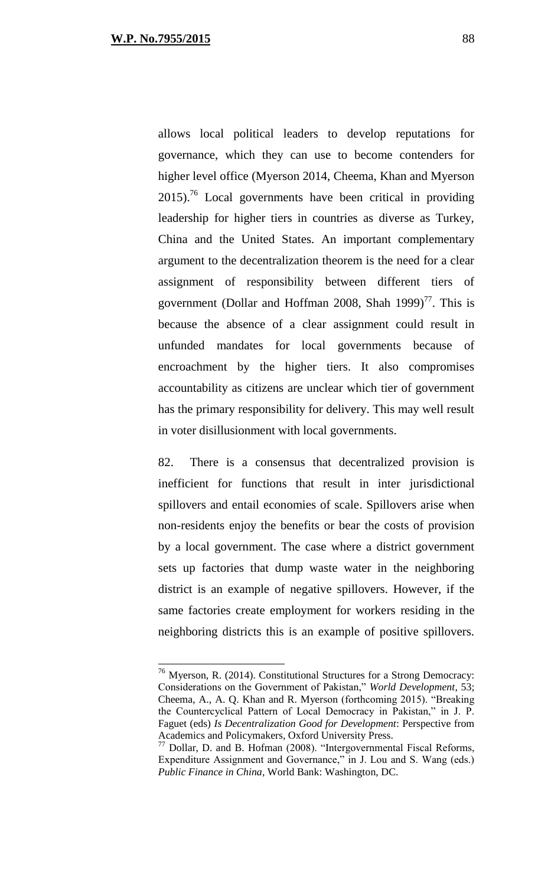allows local political leaders to develop reputations for governance, which they can use to become contenders for higher level office (Myerson 2014, Cheema, Khan and Myerson  $2015$ <sup>76</sup> Local governments have been critical in providing leadership for higher tiers in countries as diverse as Turkey, China and the United States. An important complementary argument to the decentralization theorem is the need for a clear assignment of responsibility between different tiers of government (Dollar and Hoffman 2008, Shah 1999)<sup>77</sup>. This is because the absence of a clear assignment could result in unfunded mandates for local governments because of encroachment by the higher tiers. It also compromises accountability as citizens are unclear which tier of government has the primary responsibility for delivery. This may well result in voter disillusionment with local governments.

82. There is a consensus that decentralized provision is inefficient for functions that result in inter jurisdictional spillovers and entail economies of scale. Spillovers arise when non-residents enjoy the benefits or bear the costs of provision by a local government. The case where a district government sets up factories that dump waste water in the neighboring district is an example of negative spillovers. However, if the same factories create employment for workers residing in the neighboring districts this is an example of positive spillovers.

 $76$  Myerson, R. (2014). Constitutional Structures for a Strong Democracy: Considerations on the Government of Pakistan," *World Development*, 53; Cheema, A., A. Q. Khan and R. Myerson (forthcoming 2015). "Breaking the Countercyclical Pattern of Local Democracy in Pakistan," in J. P. Faguet (eds) *Is Decentralization Good for Development*: Perspective from Academics and Policymakers, Oxford University Press.

<sup>77</sup> Dollar, D. and B. Hofman (2008). "Intergovernmental Fiscal Reforms, Expenditure Assignment and Governance," in J. Lou and S. Wang (eds.) *Public Finance in China*, World Bank: Washington, DC.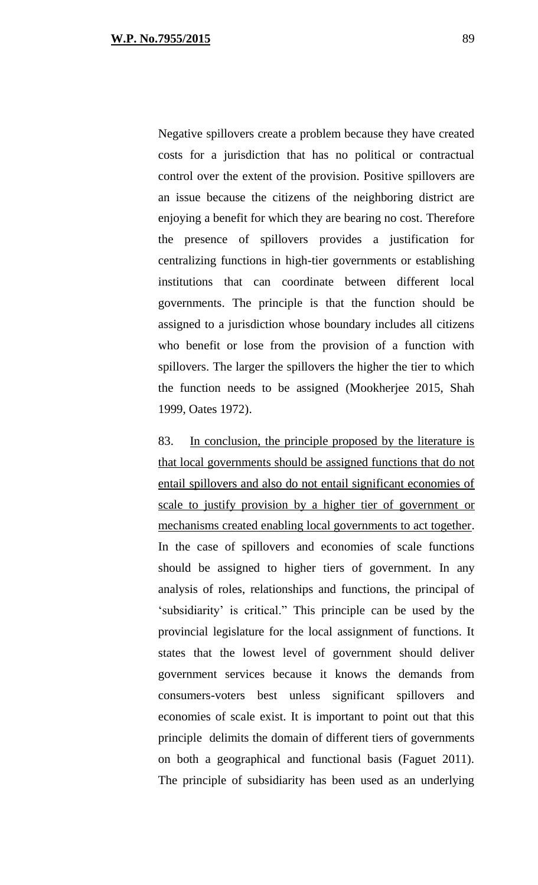Negative spillovers create a problem because they have created costs for a jurisdiction that has no political or contractual control over the extent of the provision. Positive spillovers are an issue because the citizens of the neighboring district are enjoying a benefit for which they are bearing no cost. Therefore the presence of spillovers provides a justification for centralizing functions in high-tier governments or establishing institutions that can coordinate between different local governments. The principle is that the function should be assigned to a jurisdiction whose boundary includes all citizens who benefit or lose from the provision of a function with spillovers. The larger the spillovers the higher the tier to which the function needs to be assigned (Mookherjee 2015, Shah 1999, Oates 1972).

83. In conclusion, the principle proposed by the literature is that local governments should be assigned functions that do not entail spillovers and also do not entail significant economies of scale to justify provision by a higher tier of government or mechanisms created enabling local governments to act together. In the case of spillovers and economies of scale functions should be assigned to higher tiers of government. In any analysis of roles, relationships and functions, the principal of 'subsidiarity' is critical." This principle can be used by the provincial legislature for the local assignment of functions. It states that the lowest level of government should deliver government services because it knows the demands from consumers-voters best unless significant spillovers and economies of scale exist. It is important to point out that this principle delimits the domain of different tiers of governments on both a geographical and functional basis (Faguet 2011). The principle of subsidiarity has been used as an underlying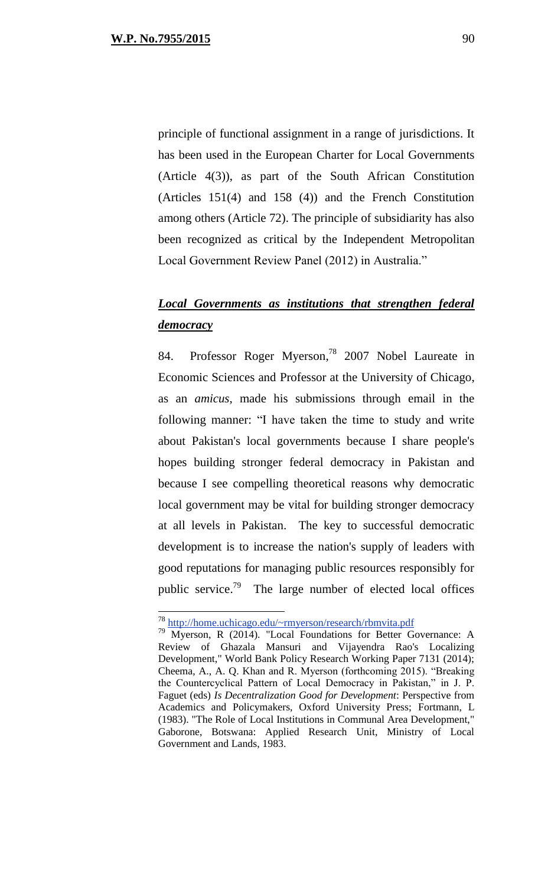principle of functional assignment in a range of jurisdictions. It has been used in the European Charter for Local Governments (Article 4(3)), as part of the South African Constitution (Articles 151(4) and 158 (4)) and the French Constitution among others (Article 72). The principle of subsidiarity has also been recognized as critical by the Independent Metropolitan Local Government Review Panel (2012) in Australia."

## *Local Governments as institutions that strengthen federal democracy*

84. Professor Roger Myerson, <sup>78</sup> 2007 Nobel Laureate in Economic Sciences and Professor at the [University of Chicago,](http://en.wikipedia.org/wiki/University_of_Chicago) as an *amicus*, made his submissions through email in the following manner: "I have taken the time to study and write about Pakistan's local governments because I share people's hopes building stronger federal democracy in Pakistan and because I see compelling theoretical reasons why democratic local government may be vital for building stronger democracy at all levels in Pakistan. The key to successful democratic development is to increase the nation's supply of leaders with good reputations for managing public resources responsibly for public service.<sup>79</sup> The large number of elected local offices

<sup>78</sup> <http://home.uchicago.edu/~rmyerson/research/rbmvita.pdf>

<sup>79</sup> Myerson, R (2014). "Local Foundations for Better Governance: A Review of Ghazala Mansuri and Vijayendra Rao's Localizing Development," World Bank Policy Research Working Paper 7131 (2014); Cheema, A., A. Q. Khan and R. Myerson (forthcoming 2015). "Breaking the Countercyclical Pattern of Local Democracy in Pakistan," in J. P. Faguet (eds) *Is Decentralization Good for Development*: Perspective from Academics and Policymakers, Oxford University Press; Fortmann, L (1983). "The Role of Local Institutions in Communal Area Development," Gaborone, Botswana: Applied Research Unit, Ministry of Local Government and Lands, 1983.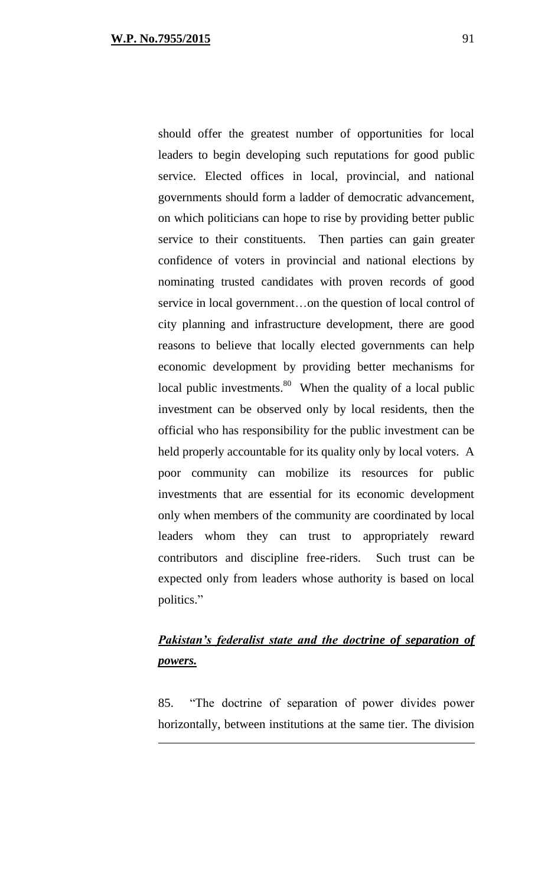should offer the greatest number of opportunities for local leaders to begin developing such reputations for good public service. Elected offices in local, provincial, and national governments should form a ladder of democratic advancement, on which politicians can hope to rise by providing better public service to their constituents. Then parties can gain greater confidence of voters in provincial and national elections by nominating trusted candidates with proven records of good service in local government…on the question of local control of city planning and infrastructure development, there are good reasons to believe that locally elected governments can help economic development by providing better mechanisms for local public investments.<sup>80</sup> When the quality of a local public investment can be observed only by local residents, then the official who has responsibility for the public investment can be held properly accountable for its quality only by local voters. A poor community can mobilize its resources for public investments that are essential for its economic development only when members of the community are coordinated by local leaders whom they can trust to appropriately reward contributors and discipline free-riders. Such trust can be expected only from leaders whose authority is based on local politics."

## **Pakistan's federalist state and the doctrine of separation of** *powers.*

85. "The doctrine of separation of power divides power horizontally, between institutions at the same tier. The division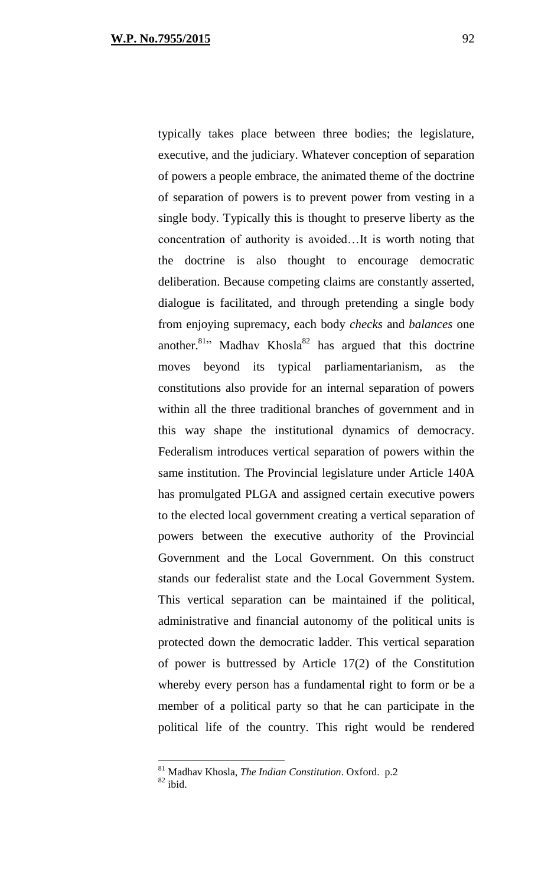typically takes place between three bodies; the legislature, executive, and the judiciary. Whatever conception of separation of powers a people embrace, the animated theme of the doctrine of separation of powers is to prevent power from vesting in a single body. Typically this is thought to preserve liberty as the concentration of authority is avoided…It is worth noting that the doctrine is also thought to encourage democratic deliberation. Because competing claims are constantly asserted, dialogue is facilitated, and through pretending a single body from enjoying supremacy, each body *checks* and *balances* one another.<sup>81</sup><sup>2</sup> Madhav Khosla<sup>82</sup> has argued that this doctrine moves beyond its typical parliamentarianism, as the constitutions also provide for an internal separation of powers within all the three traditional branches of government and in this way shape the institutional dynamics of democracy. Federalism introduces vertical separation of powers within the same institution. The Provincial legislature under Article 140A has promulgated PLGA and assigned certain executive powers to the elected local government creating a vertical separation of powers between the executive authority of the Provincial Government and the Local Government. On this construct stands our federalist state and the Local Government System. This vertical separation can be maintained if the political, administrative and financial autonomy of the political units is protected down the democratic ladder. This vertical separation of power is buttressed by Article 17(2) of the Constitution whereby every person has a fundamental right to form or be a member of a political party so that he can participate in the political life of the country. This right would be rendered

 $\overline{a}$ 

<sup>81</sup> Madhav Khosla, *The Indian Constitution*. Oxford. p.2

 $82$  ibid.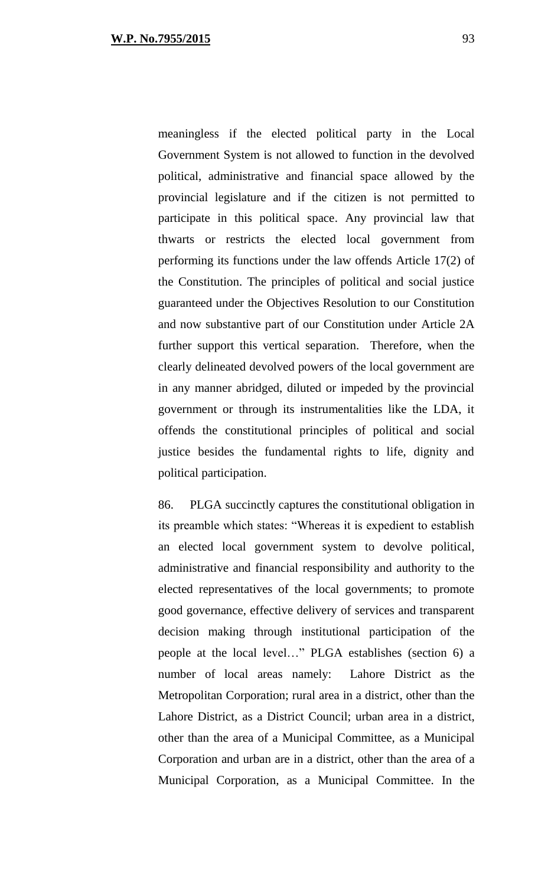meaningless if the elected political party in the Local Government System is not allowed to function in the devolved political, administrative and financial space allowed by the provincial legislature and if the citizen is not permitted to participate in this political space. Any provincial law that thwarts or restricts the elected local government from performing its functions under the law offends Article 17(2) of the Constitution. The principles of political and social justice guaranteed under the Objectives Resolution to our Constitution and now substantive part of our Constitution under Article 2A further support this vertical separation. Therefore, when the clearly delineated devolved powers of the local government are in any manner abridged, diluted or impeded by the provincial government or through its instrumentalities like the LDA, it offends the constitutional principles of political and social justice besides the fundamental rights to life, dignity and political participation.

86. PLGA succinctly captures the constitutional obligation in its preamble which states: "Whereas it is expedient to establish an elected local government system to devolve political, administrative and financial responsibility and authority to the elected representatives of the local governments; to promote good governance, effective delivery of services and transparent decision making through institutional participation of the people at the local level…" PLGA establishes (section 6) a number of local areas namely: Lahore District as the Metropolitan Corporation; rural area in a district, other than the Lahore District, as a District Council; urban area in a district, other than the area of a Municipal Committee, as a Municipal Corporation and urban are in a district, other than the area of a Municipal Corporation, as a Municipal Committee. In the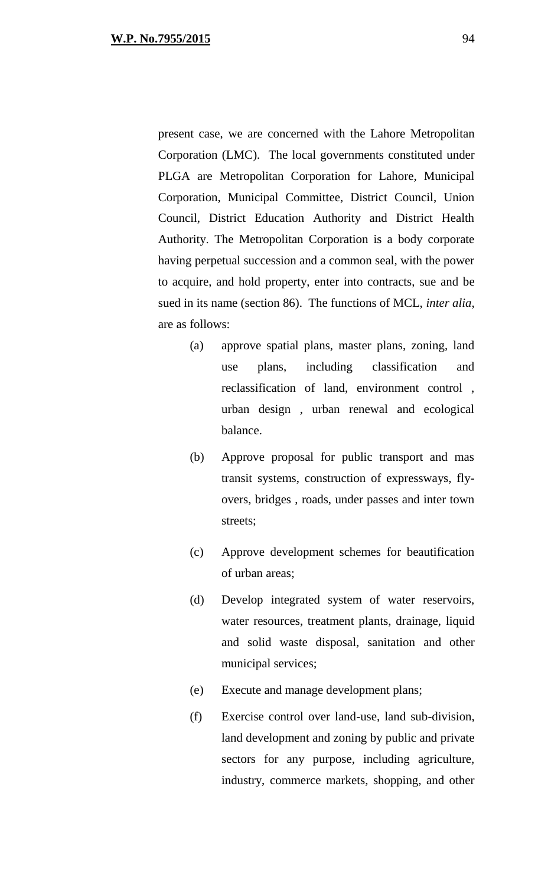present case, we are concerned with the Lahore Metropolitan Corporation (LMC). The local governments constituted under PLGA are Metropolitan Corporation for Lahore, Municipal Corporation, Municipal Committee, District Council, Union Council, District Education Authority and District Health Authority. The Metropolitan Corporation is a body corporate having perpetual succession and a common seal, with the power to acquire, and hold property, enter into contracts, sue and be sued in its name (section 86). The functions of MCL, *inter alia*, are as follows:

- (a) approve spatial plans, master plans, zoning, land use plans, including classification and reclassification of land, environment control , urban design , urban renewal and ecological balance.
- (b) Approve proposal for public transport and mas transit systems, construction of expressways, flyovers, bridges , roads, under passes and inter town streets;
- (c) Approve development schemes for beautification of urban areas;
- (d) Develop integrated system of water reservoirs, water resources, treatment plants, drainage, liquid and solid waste disposal, sanitation and other municipal services;
- (e) Execute and manage development plans;
- (f) Exercise control over land-use, land sub-division, land development and zoning by public and private sectors for any purpose, including agriculture, industry, commerce markets, shopping, and other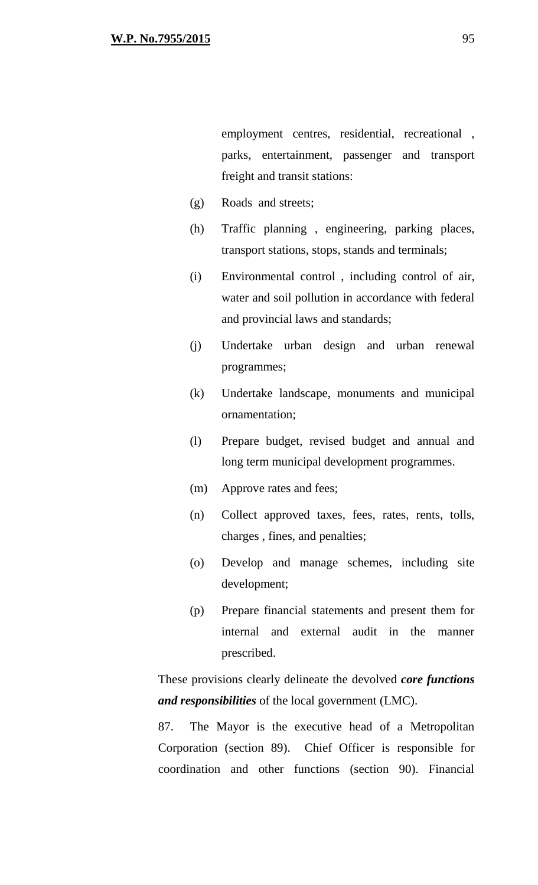employment centres, residential, recreational , parks, entertainment, passenger and transport freight and transit stations:

- (g) Roads and streets;
- (h) Traffic planning , engineering, parking places, transport stations, stops, stands and terminals;
- (i) Environmental control , including control of air, water and soil pollution in accordance with federal and provincial laws and standards;
- (j) Undertake urban design and urban renewal programmes;
- (k) Undertake landscape, monuments and municipal ornamentation;
- (l) Prepare budget, revised budget and annual and long term municipal development programmes.
- (m) Approve rates and fees;
- (n) Collect approved taxes, fees, rates, rents, tolls, charges , fines, and penalties;
- (o) Develop and manage schemes, including site development;
- (p) Prepare financial statements and present them for internal and external audit in the manner prescribed.

These provisions clearly delineate the devolved *core functions and responsibilities* of the local government (LMC).

87. The Mayor is the executive head of a Metropolitan Corporation (section 89). Chief Officer is responsible for coordination and other functions (section 90). Financial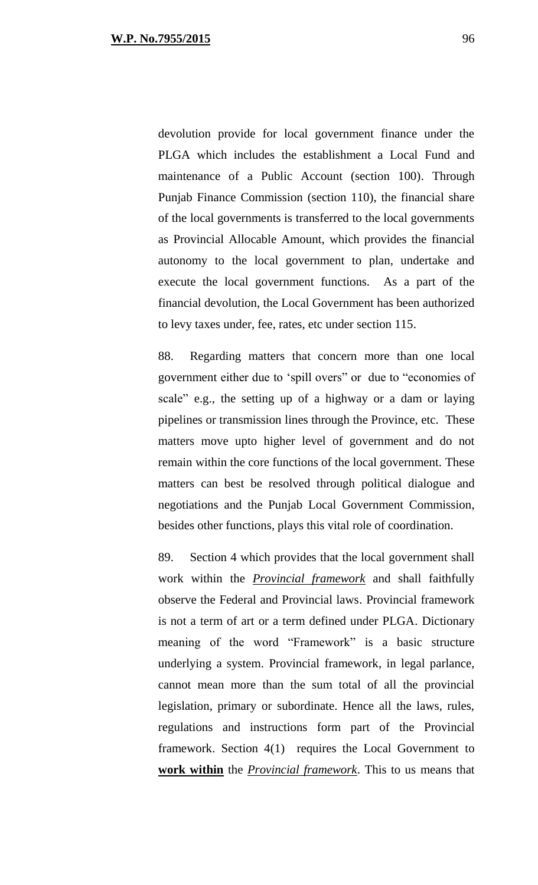devolution provide for local government finance under the PLGA which includes the establishment a Local Fund and maintenance of a Public Account (section 100). Through Punjab Finance Commission (section 110), the financial share of the local governments is transferred to the local governments as Provincial Allocable Amount, which provides the financial autonomy to the local government to plan, undertake and execute the local government functions. As a part of the financial devolution, the Local Government has been authorized to levy taxes under, fee, rates, etc under section 115.

88. Regarding matters that concern more than one local government either due to 'spill overs" or due to "economies of scale" e.g., the setting up of a highway or a dam or laying pipelines or transmission lines through the Province, etc. These matters move upto higher level of government and do not remain within the core functions of the local government. These matters can best be resolved through political dialogue and negotiations and the Punjab Local Government Commission, besides other functions, plays this vital role of coordination.

89. Section 4 which provides that the local government shall work within the *Provincial framework* and shall faithfully observe the Federal and Provincial laws. Provincial framework is not a term of art or a term defined under PLGA. Dictionary meaning of the word "Framework" is a basic structure underlying a system. Provincial framework, in legal parlance, cannot mean more than the sum total of all the provincial legislation, primary or subordinate. Hence all the laws, rules, regulations and instructions form part of the Provincial framework. Section 4(1) requires the Local Government to **work within** the *Provincial framework*. This to us means that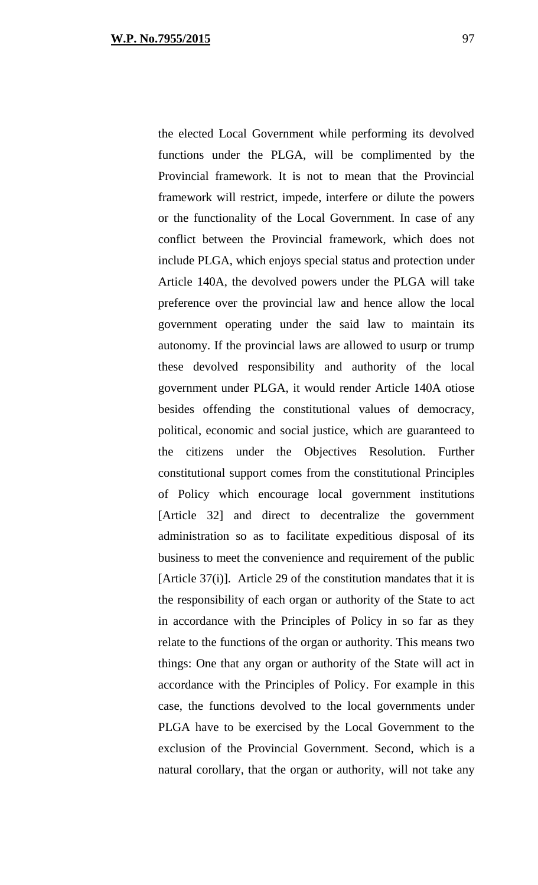the elected Local Government while performing its devolved functions under the PLGA, will be complimented by the Provincial framework. It is not to mean that the Provincial framework will restrict, impede, interfere or dilute the powers or the functionality of the Local Government. In case of any conflict between the Provincial framework, which does not include PLGA, which enjoys special status and protection under Article 140A, the devolved powers under the PLGA will take preference over the provincial law and hence allow the local government operating under the said law to maintain its autonomy. If the provincial laws are allowed to usurp or trump these devolved responsibility and authority of the local government under PLGA, it would render Article 140A otiose besides offending the constitutional values of democracy, political, economic and social justice, which are guaranteed to the citizens under the Objectives Resolution. Further constitutional support comes from the constitutional Principles of Policy which encourage local government institutions [Article 32] and direct to decentralize the government administration so as to facilitate expeditious disposal of its business to meet the convenience and requirement of the public [Article 37(i)]. Article 29 of the constitution mandates that it is the responsibility of each organ or authority of the State to act in accordance with the Principles of Policy in so far as they relate to the functions of the organ or authority. This means two things: One that any organ or authority of the State will act in accordance with the Principles of Policy. For example in this case, the functions devolved to the local governments under PLGA have to be exercised by the Local Government to the exclusion of the Provincial Government. Second, which is a natural corollary, that the organ or authority, will not take any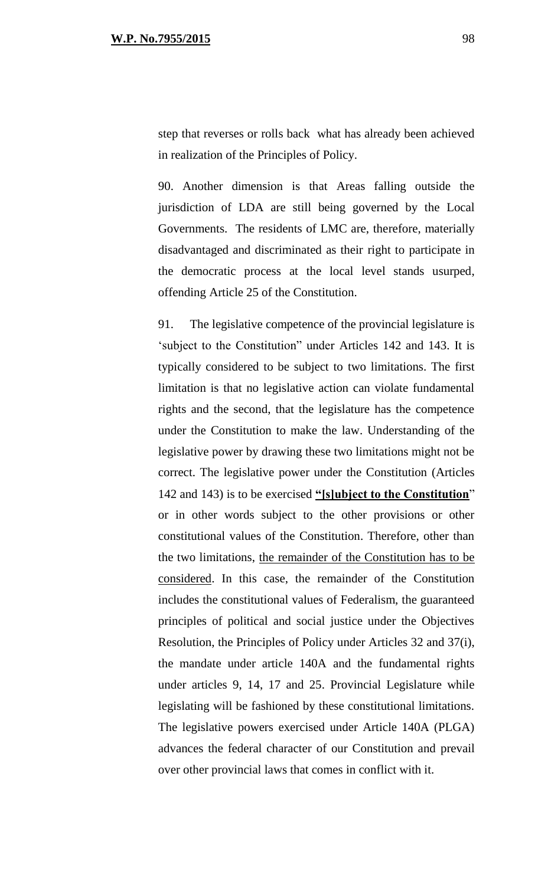step that reverses or rolls back what has already been achieved in realization of the Principles of Policy.

90. Another dimension is that Areas falling outside the jurisdiction of LDA are still being governed by the Local Governments. The residents of LMC are, therefore, materially disadvantaged and discriminated as their right to participate in the democratic process at the local level stands usurped, offending Article 25 of the Constitution.

91. The legislative competence of the provincial legislature is 'subject to the Constitution" under Articles 142 and 143. It is typically considered to be subject to two limitations. The first limitation is that no legislative action can violate fundamental rights and the second, that the legislature has the competence under the Constitution to make the law. Understanding of the legislative power by drawing these two limitations might not be correct. The legislative power under the Constitution (Articles 142 and 143) is to be exercised **"[s]ubject to the Constitution**" or in other words subject to the other provisions or other constitutional values of the Constitution. Therefore, other than the two limitations, the remainder of the Constitution has to be considered. In this case, the remainder of the Constitution includes the constitutional values of Federalism, the guaranteed principles of political and social justice under the Objectives Resolution, the Principles of Policy under Articles 32 and 37(i), the mandate under article 140A and the fundamental rights under articles 9, 14, 17 and 25. Provincial Legislature while legislating will be fashioned by these constitutional limitations. The legislative powers exercised under Article 140A (PLGA) advances the federal character of our Constitution and prevail over other provincial laws that comes in conflict with it.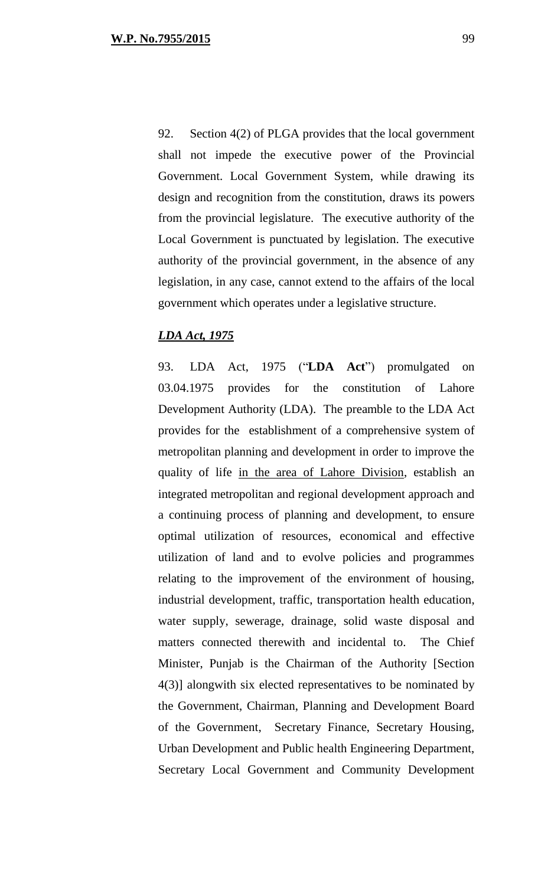92. Section 4(2) of PLGA provides that the local government shall not impede the executive power of the Provincial Government. Local Government System, while drawing its design and recognition from the constitution, draws its powers from the provincial legislature. The executive authority of the Local Government is punctuated by legislation. The executive authority of the provincial government, in the absence of any legislation, in any case, cannot extend to the affairs of the local government which operates under a legislative structure.

### *LDA Act, 1975*

93. LDA Act, 1975 ("**LDA Act**") promulgated on 03.04.1975 provides for the constitution of Lahore Development Authority (LDA). The preamble to the LDA Act provides for the establishment of a comprehensive system of metropolitan planning and development in order to improve the quality of life in the area of Lahore Division, establish an integrated metropolitan and regional development approach and a continuing process of planning and development, to ensure optimal utilization of resources, economical and effective utilization of land and to evolve policies and programmes relating to the improvement of the environment of housing, industrial development, traffic, transportation health education, water supply, sewerage, drainage, solid waste disposal and matters connected therewith and incidental to. The Chief Minister, Punjab is the Chairman of the Authority [Section 4(3)] alongwith six elected representatives to be nominated by the Government, Chairman, Planning and Development Board of the Government, Secretary Finance, Secretary Housing, Urban Development and Public health Engineering Department, Secretary Local Government and Community Development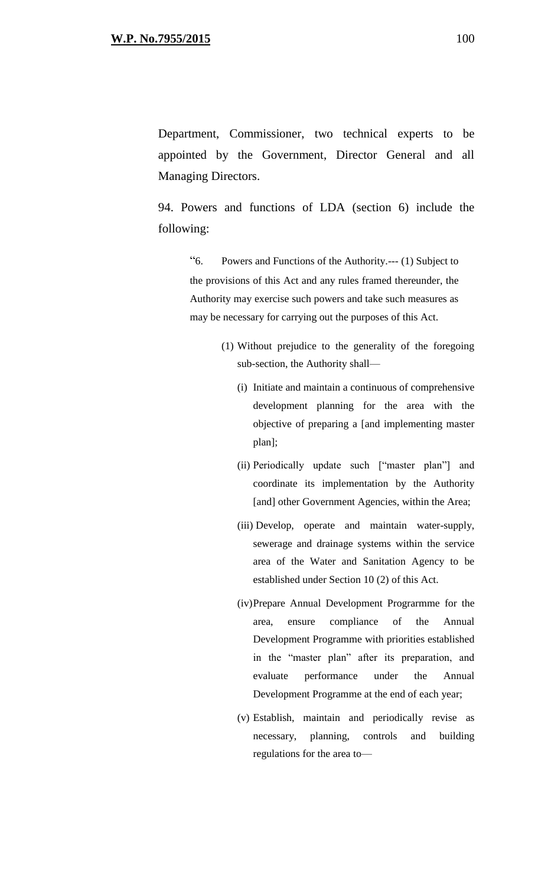Department, Commissioner, two technical experts to be appointed by the Government, Director General and all Managing Directors.

94. Powers and functions of LDA (section 6) include the following:

"6. Powers and Functions of the Authority.--- (1) Subject to the provisions of this Act and any rules framed thereunder, the Authority may exercise such powers and take such measures as may be necessary for carrying out the purposes of this Act.

- (1) Without prejudice to the generality of the foregoing sub-section, the Authority shall—
	- (i) Initiate and maintain a continuous of comprehensive development planning for the area with the objective of preparing a [and implementing master plan];
	- (ii) Periodically update such ["master plan"] and coordinate its implementation by the Authority [and] other Government Agencies, within the Area;
	- (iii) Develop, operate and maintain water-supply, sewerage and drainage systems within the service area of the Water and Sanitation Agency to be established under Section 10 (2) of this Act.
	- (iv)Prepare Annual Development Prograrmme for the area, ensure compliance of the Annual Development Programme with priorities established in the "master plan" after its preparation, and evaluate performance under the Annual Development Programme at the end of each year;
	- (v) Establish, maintain and periodically revise as necessary, planning, controls and building regulations for the area to—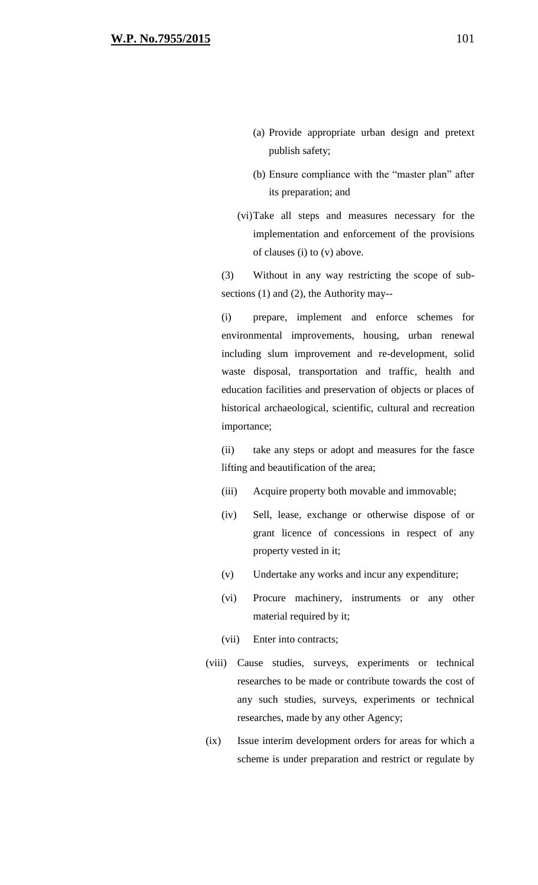- (b) Ensure compliance with the "master plan" after its preparation; and
- (vi)Take all steps and measures necessary for the implementation and enforcement of the provisions of clauses (i) to (v) above.

(3) Without in any way restricting the scope of subsections (1) and (2), the Authority may--

(i) prepare, implement and enforce schemes for environmental improvements, housing, urban renewal including slum improvement and re-development, solid waste disposal, transportation and traffic, health and education facilities and preservation of objects or places of historical archaeological, scientific, cultural and recreation importance;

(ii) take any steps or adopt and measures for the fasce lifting and beautification of the area;

- (iii) Acquire property both movable and immovable;
- (iv) Sell, lease, exchange or otherwise dispose of or grant licence of concessions in respect of any property vested in it;
- (v) Undertake any works and incur any expenditure;
- (vi) Procure machinery, instruments or any other material required by it;
- (vii) Enter into contracts;
- (viii) Cause studies, surveys, experiments or technical researches to be made or contribute towards the cost of any such studies, surveys, experiments or technical researches, made by any other Agency;
- (ix) Issue interim development orders for areas for which a scheme is under preparation and restrict or regulate by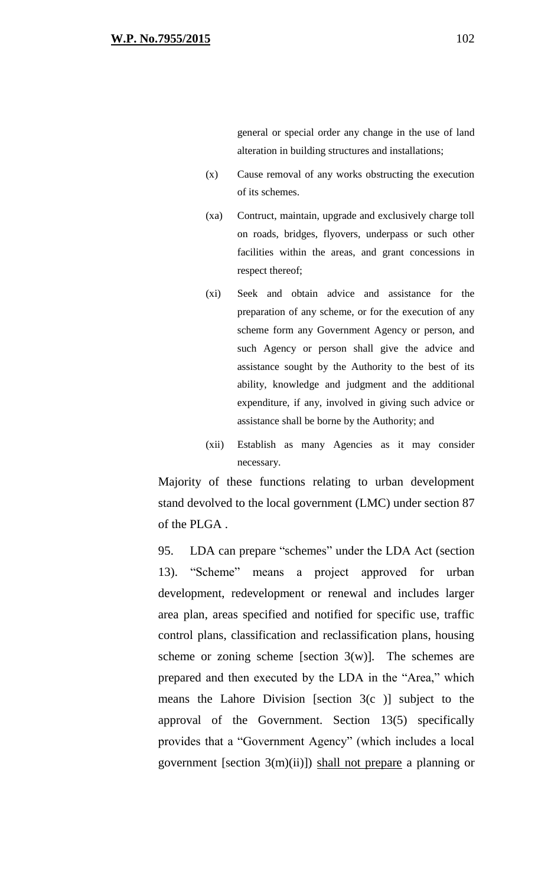general or special order any change in the use of land alteration in building structures and installations;

- (x) Cause removal of any works obstructing the execution of its schemes.
- (xa) Contruct, maintain, upgrade and exclusively charge toll on roads, bridges, flyovers, underpass or such other facilities within the areas, and grant concessions in respect thereof;
- (xi) Seek and obtain advice and assistance for the preparation of any scheme, or for the execution of any scheme form any Government Agency or person, and such Agency or person shall give the advice and assistance sought by the Authority to the best of its ability, knowledge and judgment and the additional expenditure, if any, involved in giving such advice or assistance shall be borne by the Authority; and
- (xii) Establish as many Agencies as it may consider necessary.

Majority of these functions relating to urban development stand devolved to the local government (LMC) under section 87 of the PLGA .

95. LDA can prepare "schemes" under the LDA Act (section 13). "Scheme" means a project approved for urban development, redevelopment or renewal and includes larger area plan, areas specified and notified for specific use, traffic control plans, classification and reclassification plans, housing scheme or zoning scheme [section  $3(w)$ ]. The schemes are prepared and then executed by the LDA in the "Area," which means the Lahore Division [section  $3(c)$ ] subject to the approval of the Government. Section 13(5) specifically provides that a "Government Agency" (which includes a local government [section 3(m)(ii)]) shall not prepare a planning or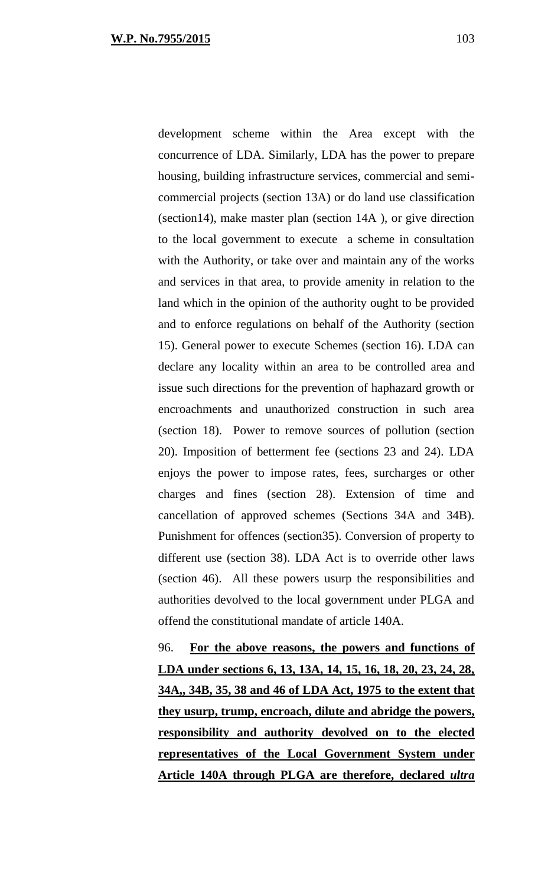development scheme within the Area except with the concurrence of LDA. Similarly, LDA has the power to prepare housing, building infrastructure services, commercial and semicommercial projects (section 13A) or do land use classification (section14), make master plan (section 14A ), or give direction to the local government to execute a scheme in consultation with the Authority, or take over and maintain any of the works and services in that area, to provide amenity in relation to the land which in the opinion of the authority ought to be provided and to enforce regulations on behalf of the Authority (section 15). General power to execute Schemes (section 16). LDA can declare any locality within an area to be controlled area and issue such directions for the prevention of haphazard growth or encroachments and unauthorized construction in such area (section 18). Power to remove sources of pollution (section 20). Imposition of betterment fee (sections 23 and 24). LDA enjoys the power to impose rates, fees, surcharges or other charges and fines (section 28). Extension of time and cancellation of approved schemes (Sections 34A and 34B). Punishment for offences (section35). Conversion of property to different use (section 38). LDA Act is to override other laws (section 46). All these powers usurp the responsibilities and authorities devolved to the local government under PLGA and offend the constitutional mandate of article 140A.

96. **For the above reasons, the powers and functions of LDA under sections 6, 13, 13A, 14, 15, 16, 18, 20, 23, 24, 28, 34A,, 34B, 35, 38 and 46 of LDA Act, 1975 to the extent that they usurp, trump, encroach, dilute and abridge the powers, responsibility and authority devolved on to the elected representatives of the Local Government System under Article 140A through PLGA are therefore, declared** *ultra*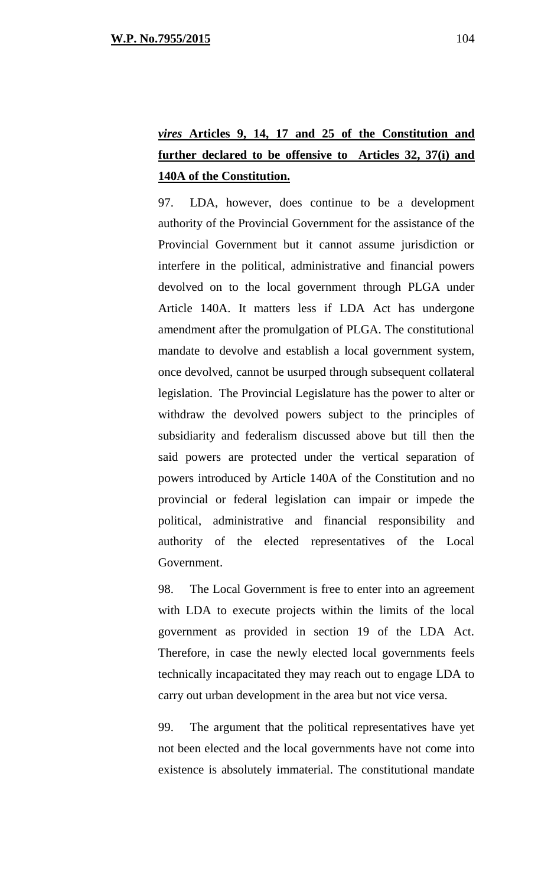# *vires* **Articles 9, 14, 17 and 25 of the Constitution and further declared to be offensive to Articles 32, 37(i) and 140A of the Constitution.**

97. LDA, however, does continue to be a development authority of the Provincial Government for the assistance of the Provincial Government but it cannot assume jurisdiction or interfere in the political, administrative and financial powers devolved on to the local government through PLGA under Article 140A. It matters less if LDA Act has undergone amendment after the promulgation of PLGA. The constitutional mandate to devolve and establish a local government system, once devolved, cannot be usurped through subsequent collateral legislation. The Provincial Legislature has the power to alter or withdraw the devolved powers subject to the principles of subsidiarity and federalism discussed above but till then the said powers are protected under the vertical separation of powers introduced by Article 140A of the Constitution and no provincial or federal legislation can impair or impede the political, administrative and financial responsibility and authority of the elected representatives of the Local Government.

98. The Local Government is free to enter into an agreement with LDA to execute projects within the limits of the local government as provided in section 19 of the LDA Act. Therefore, in case the newly elected local governments feels technically incapacitated they may reach out to engage LDA to carry out urban development in the area but not vice versa.

99. The argument that the political representatives have yet not been elected and the local governments have not come into existence is absolutely immaterial. The constitutional mandate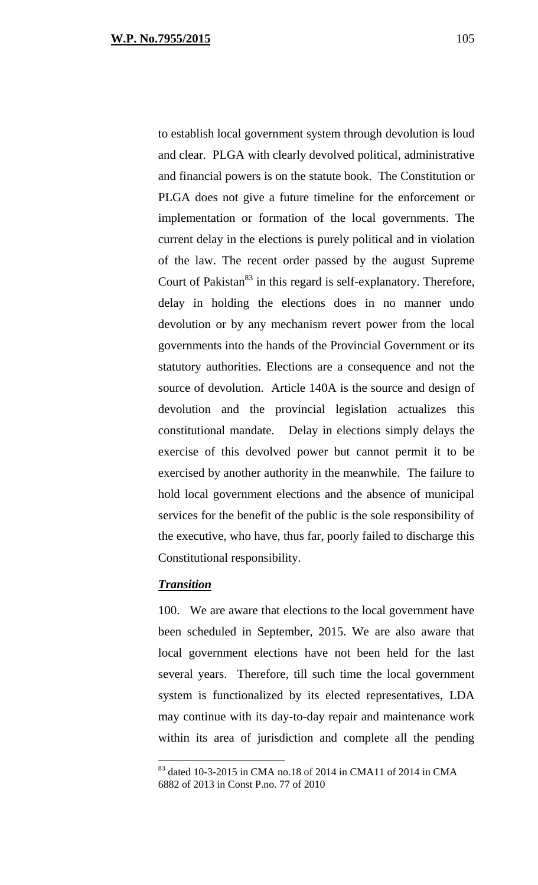to establish local government system through devolution is loud and clear. PLGA with clearly devolved political, administrative and financial powers is on the statute book. The Constitution or PLGA does not give a future timeline for the enforcement or implementation or formation of the local governments. The current delay in the elections is purely political and in violation of the law. The recent order passed by the august Supreme Court of Pakistan<sup>83</sup> in this regard is self-explanatory. Therefore, delay in holding the elections does in no manner undo devolution or by any mechanism revert power from the local governments into the hands of the Provincial Government or its statutory authorities. Elections are a consequence and not the source of devolution. Article 140A is the source and design of devolution and the provincial legislation actualizes this constitutional mandate. Delay in elections simply delays the exercise of this devolved power but cannot permit it to be exercised by another authority in the meanwhile. The failure to hold local government elections and the absence of municipal services for the benefit of the public is the sole responsibility of the executive, who have, thus far, poorly failed to discharge this Constitutional responsibility.

### *Transition*

 $\overline{a}$ 

100. We are aware that elections to the local government have been scheduled in September, 2015. We are also aware that local government elections have not been held for the last several years. Therefore, till such time the local government system is functionalized by its elected representatives, LDA may continue with its day-to-day repair and maintenance work within its area of jurisdiction and complete all the pending

<sup>83</sup> dated 10-3-2015 in CMA no.18 of 2014 in CMA11 of 2014 in CMA 6882 of 2013 in Const P.no. 77 of 2010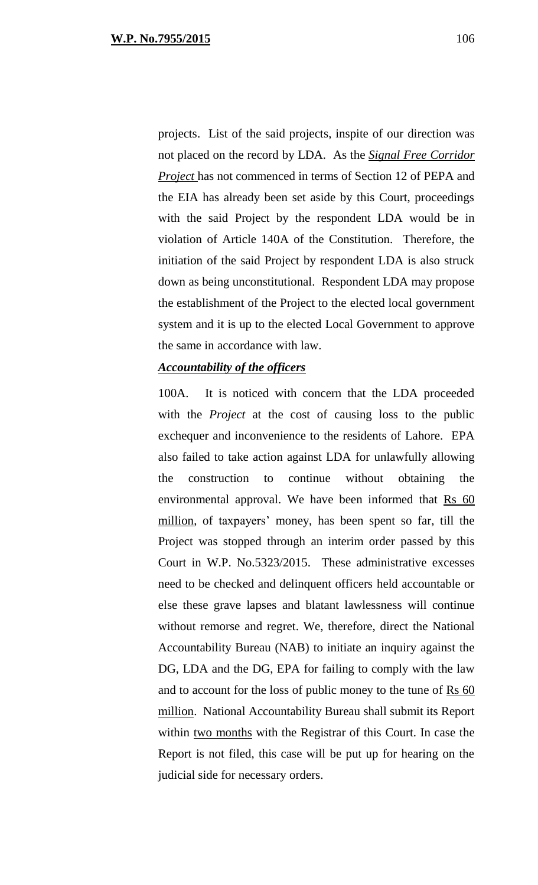projects. List of the said projects, inspite of our direction was not placed on the record by LDA. As the *Signal Free Corridor Project* has not commenced in terms of Section 12 of PEPA and the EIA has already been set aside by this Court, proceedings with the said Project by the respondent LDA would be in violation of Article 140A of the Constitution. Therefore, the initiation of the said Project by respondent LDA is also struck down as being unconstitutional. Respondent LDA may propose the establishment of the Project to the elected local government system and it is up to the elected Local Government to approve the same in accordance with law.

### *Accountability of the officers*

100A. It is noticed with concern that the LDA proceeded with the *Project* at the cost of causing loss to the public exchequer and inconvenience to the residents of Lahore. EPA also failed to take action against LDA for unlawfully allowing the construction to continue without obtaining the environmental approval. We have been informed that Rs 60 million, of taxpayers' money, has been spent so far, till the Project was stopped through an interim order passed by this Court in W.P. No.5323/2015. These administrative excesses need to be checked and delinquent officers held accountable or else these grave lapses and blatant lawlessness will continue without remorse and regret. We, therefore, direct the National Accountability Bureau (NAB) to initiate an inquiry against the DG, LDA and the DG, EPA for failing to comply with the law and to account for the loss of public money to the tune of Rs 60 million. National Accountability Bureau shall submit its Report within two months with the Registrar of this Court. In case the Report is not filed, this case will be put up for hearing on the judicial side for necessary orders.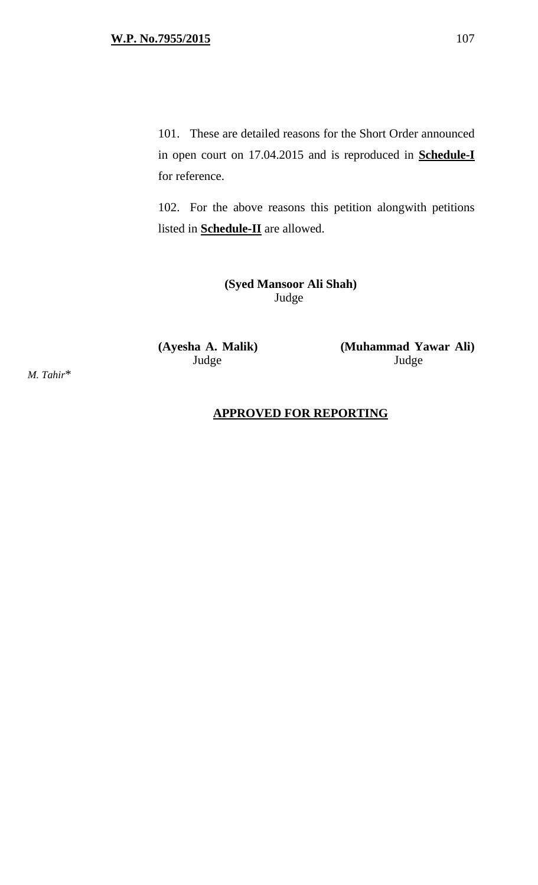101. These are detailed reasons for the Short Order announced in open court on 17.04.2015 and is reproduced in **Schedule-I** for reference.

102. For the above reasons this petition alongwith petitions listed in **Schedule-II** are allowed.

> **(Syed Mansoor Ali Shah)** Judge

**(Ayesha A. Malik) (Muhammad Yawar Ali)**  Judge Judge

*M. Tahir*\*

### **APPROVED FOR REPORTING**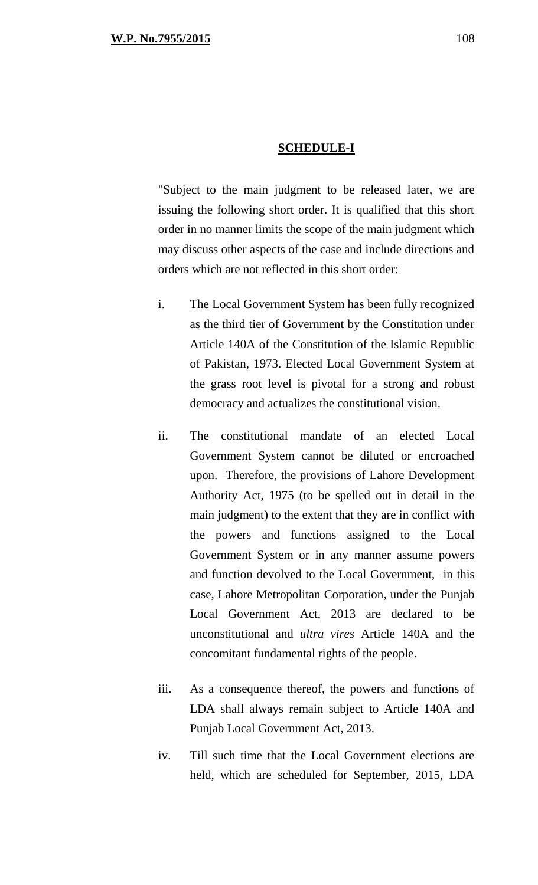#### **SCHEDULE-I**

"Subject to the main judgment to be released later, we are issuing the following short order. It is qualified that this short order in no manner limits the scope of the main judgment which may discuss other aspects of the case and include directions and orders which are not reflected in this short order:

- i. The Local Government System has been fully recognized as the third tier of Government by the Constitution under Article 140A of the Constitution of the Islamic Republic of Pakistan, 1973. Elected Local Government System at the grass root level is pivotal for a strong and robust democracy and actualizes the constitutional vision.
- ii. The constitutional mandate of an elected Local Government System cannot be diluted or encroached upon. Therefore, the provisions of Lahore Development Authority Act, 1975 (to be spelled out in detail in the main judgment) to the extent that they are in conflict with the powers and functions assigned to the Local Government System or in any manner assume powers and function devolved to the Local Government, in this case, Lahore Metropolitan Corporation, under the Punjab Local Government Act, 2013 are declared to be unconstitutional and *ultra vires* Article 140A and the concomitant fundamental rights of the people.
- iii. As a consequence thereof, the powers and functions of LDA shall always remain subject to Article 140A and Punjab Local Government Act, 2013.
- iv. Till such time that the Local Government elections are held, which are scheduled for September, 2015, LDA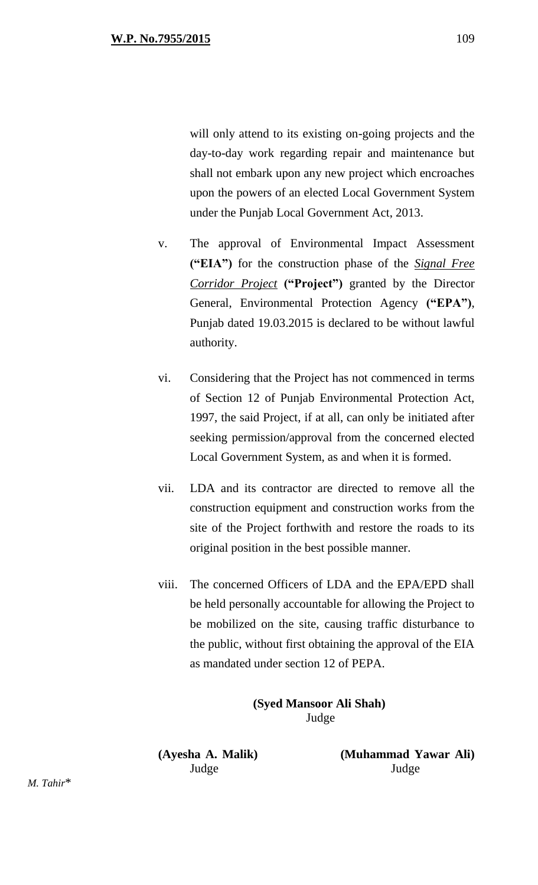will only attend to its existing on-going projects and the day-to-day work regarding repair and maintenance but shall not embark upon any new project which encroaches upon the powers of an elected Local Government System under the Punjab Local Government Act, 2013.

- v. The approval of Environmental Impact Assessment **("EIA")** for the construction phase of the *Signal Free Corridor Project* **("Project")** granted by the Director General, Environmental Protection Agency **("EPA")**, Punjab dated 19.03.2015 is declared to be without lawful authority.
- vi. Considering that the Project has not commenced in terms of Section 12 of Punjab Environmental Protection Act, 1997, the said Project, if at all, can only be initiated after seeking permission/approval from the concerned elected Local Government System, as and when it is formed.
- vii. LDA and its contractor are directed to remove all the construction equipment and construction works from the site of the Project forthwith and restore the roads to its original position in the best possible manner.
- viii. The concerned Officers of LDA and the EPA/EPD shall be held personally accountable for allowing the Project to be mobilized on the site, causing traffic disturbance to the public, without first obtaining the approval of the EIA as mandated under section 12 of PEPA.

**(Syed Mansoor Ali Shah)** Judge

**(Ayesha A. Malik) (Muhammad Yawar Ali)**  Judge Judge